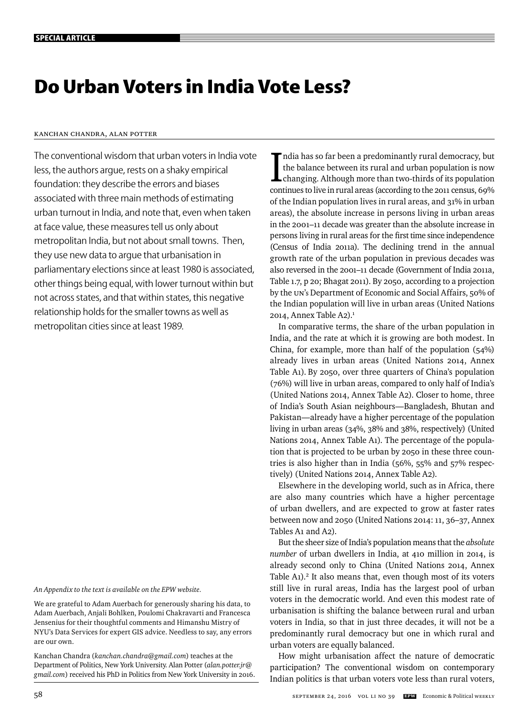# **Do Urban Voters in India Vote Less?**

# Kanchan Chandra, Alan Potter

The conventional wisdom that urban voters in India vote less, the authors argue, rests on a shaky empirical foundation: they describe the errors and biases associated with three main methods of estimating urban turnout in India, and note that, even when taken at face value, these measures tell us only about metropolitan India, but not about small towns. Then, they use new data to argue that urbanisation in parliamentary elections since at least 1980 is associated, other things being equal, with lower turnout within but not across states, and that within states, this negative relationship holds for the smaller towns as well as metropolitan cities since at least 1989.

*An Appendix to the text is available on the EPW website.*

We are grateful to Adam Auerbach for generously sharing his data, to Adam Auerbach, Anjali Bohlken, Poulomi Chakravarti and Francesca Jensenius for their thoughtful comments and Himanshu Mistry of NYU's Data Services for expert GIS advice. Needless to say, any errors are our own.

Kanchan Chandra (*kanchan.chandra@gmail.com*) teaches at the Department of Politics, New York University. Alan Potter (*alan.potter.jr@ gmail.com*) received his PhD in Politics from New York University in 2016.

India has so far been a predominantly rural democracy, but<br>the balance between its rural and urban population is now<br>changing. Although more than two-thirds of its population<br>continues to live in rural areas (according to ndia has so far been a predominantly rural democracy, but the balance between its rural and urban population is now changing. Although more than two-thirds of its population of the Indian population lives in rural areas, and 31% in urban areas), the absolute increase in persons living in urban areas in the 2001–11 decade was greater than the absolute increase in persons living in rural areas for the first time since independence (Census of India 2011a). The declining trend in the annual growth rate of the urban population in previous decades was also reversed in the 2001–11 decade (Government of India 2011a, Table 1.7, p 20; Bhagat 2011). By 2050, according to a projection by the UN's Department of Economic and Social Affairs, 50% of the Indian population will live in urban areas (United Nations 2014, Annex Table A2).<sup>1</sup>

In comparative terms, the share of the urban population in India, and the rate at which it is growing are both modest. In China, for example, more than half of the population (54%) already lives in urban areas (United Nations 2014, Annex Table A1). By 2050, over three quarters of China's population (76%) will live in urban areas, compared to only half of India's (United Nations 2014, Annex Table A2). Closer to home, three of India's South Asian neighbours—Bangladesh, Bhutan and Pakistan—already have a higher percentage of the population living in urban areas (34%, 38% and 38%, respectively) (United Nations 2014, Annex Table A1). The percentage of the population that is projected to be urban by 2050 in these three countries is also higher than in India (56%, 55% and 57% respectively) (United Nations 2014, Annex Table A2).

Elsewhere in the developing world, such as in Africa, there are also many countries which have a higher percentage of urban dwellers, and are expected to grow at faster rates between now and 2050 (United Nations 2014: 11, 36–37, Annex Tables A1 and A2).

But the sheer size of India's population means that the *absolute number* of urban dwellers in India, at 410 million in 2014, is already second only to China (United Nations 2014, Annex Table A1).<sup>2</sup> It also means that, even though most of its voters still live in rural areas, India has the largest pool of urban voters in the democratic world. And even this modest rate of urbanisation is shifting the balance between rural and urban voters in India, so that in just three decades, it will not be a predominantly rural democracy but one in which rural and urban voters are equally balanced.

How might urbanisation affect the nature of democratic participation? The conventional wisdom on contemporary Indian politics is that urban voters vote less than rural voters,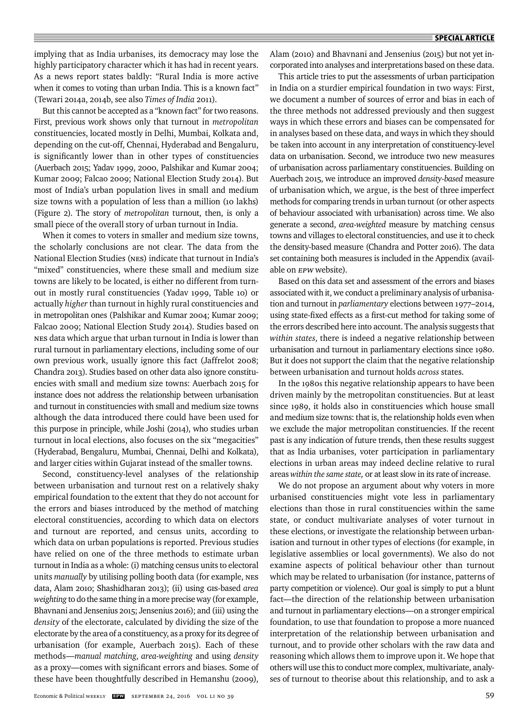implying that as India urbanises, its democracy may lose the highly participatory character which it has had in recent years. As a news report states baldly: "Rural India is more active when it comes to voting than urban India. This is a known fact" (Tewari 2014a, 2014b, see also *Times of India* 2011).

But this cannot be accepted as a "known fact" for two reasons. First, previous work shows only that turnout in *metropolitan* constituencies, located mostly in Delhi, Mumbai, Kolkata and, depending on the cut-off, Chennai, Hyderabad and Bengaluru, is significantly lower than in other types of constituencies (Auerbach 2015; Yadav 1999, 2000, Palshikar and Kumar 2004; Kumar 2009; Falcao 2009; National Election Study 2014). But most of India's urban population lives in small and medium size towns with a population of less than a million (10 lakhs) (Figure 2). The story of *metropolitan* turnout, then, is only a small piece of the overall story of urban turnout in India.

When it comes to voters in smaller and medium size towns, the scholarly conclusions are not clear. The data from the National Election Studies (NES) indicate that turnout in India's "mixed" constituencies, where these small and medium size towns are likely to be located, is either no different from turnout in mostly rural constituencies (Yadav 1999, Table 10) or actually *higher* than turnout in highly rural constituencies and in metropolitan ones (Palshikar and Kumar 2004; Kumar 2009; Falcao 2009; National Election Study 2014). Studies based on NES data which argue that urban turnout in India is lower than rural turnout in parliamentary elections, including some of our own previous work, usually ignore this fact (Jaffrelot 2008; Chandra 2013). Studies based on other data also ignore constituencies with small and medium size towns: Auerbach 2015 for instance does not address the relationship between urbanisation and turnout in constituencies with small and medium size towns although the data introduced there could have been used for this purpose in principle, while Joshi (2014), who studies urban turnout in local elections, also focuses on the six "megacities" (Hyderabad, Bengaluru, Mumbai, Chennai, Delhi and Kolkata), and larger cities within Gujarat instead of the smaller towns.

Second, constituency-level analyses of the relationship between urbanisation and turnout rest on a relatively shaky empirical foundation to the extent that they do not account for the errors and biases introduced by the method of matching electoral constituencies, according to which data on electors and turnout are reported, and census units, according to which data on urban populations is reported. Previous studies have relied on one of the three methods to estimate urban turnout in India as a whole: (i) matching census units to electoral units *manually* by utilising polling booth data (for example, NES data, Alam 2010; Shashidharan 2013); (ii) using GIS-based *area weighting* to do the same thing in a more precise way (for example, Bhavnani and Jensenius 2015; Jensenius 2016); and (iii) using the *density* of the electorate, calculated by dividing the size of the electorate by the area of a constituency, as a proxy for its degree of urbanisation (for example, Auerbach 2015). Each of these methods—*manual matching*, *area-weighting* and using *density* as a proxy—comes with significant errors and biases. Some of these have been thoughtfully described in Hemanshu (2009), Alam (2010) and Bhavnani and Jensenius (2015) but not yet incorporated into analyses and interpretations based on these data.

This article tries to put the assessments of urban participation in India on a sturdier empirical foundation in two ways: First, we document a number of sources of error and bias in each of the three methods not addressed previously and then suggest ways in which these errors and biases can be compensated for in analyses based on these data, and ways in which they should be taken into account in any interpretation of constituency-level data on urbanisation. Second, we introduce two new measures of urbanisation across parliamentary constituencies. Building on Auerbach 2015, we introduce an improved *density-based* measure of urbanisation which, we argue, is the best of three imperfect methods for comparing trends in urban turnout (or other aspects of behaviour associated with urbanisation) across time. We also generate a second, *area-weighted* measure by matching census towns and villages to electoral constituencies, and use it to check the density-based measure (Chandra and Potter 2016). The data set containing both measures is included in the Appendix (available on **EPW** website).

Based on this data set and assessment of the errors and biases associated with it, we conduct a preliminary analysis of urbanisation and turnout in *parliamentary* elections between 1977–2014, using state-fixed effects as a first-cut method for taking some of the errors described here into account. The analysis suggests that *within states*, there is indeed a negative relationship between urbanisation and turnout in parliamentary elections since 1980. But it does not support the claim that the negative relationship between urbanisation and turnout holds *across* states.

In the 1980s this negative relationship appears to have been driven mainly by the metropolitan constituencies. But at least since 1989, it holds also in constituencies which house small and medium size towns: that is, the relationship holds even when we exclude the major metropolitan constituencies. If the recent past is any indication of future trends, then these results suggest that as India urbanises, voter participation in parliamentary elections in urban areas may indeed decline relative to rural areas *within the same state,* or at least slow in its rate of increase.

We do not propose an argument about why voters in more urbanised constituencies might vote less in parliamentary elections than those in rural constituencies within the same state, or conduct multivariate analyses of voter turnout in these elections, or investigate the relationship between urbanisation and turnout in other types of elections (for example, in legislative assemblies or local governments). We also do not examine aspects of political behaviour other than turnout which may be related to urbanisation (for instance, patterns of party competition or violence). Our goal is simply to put a blunt fact—the direction of the relationship between urbanisation and turnout in parliamentary elections—on a stronger empirical foundation, to use that foundation to propose a more nuanced interpretation of the relationship between urbanisation and turnout, and to provide other scholars with the raw data and reasoning which allows them to improve upon it. We hope that others will use this to conduct more complex, multivariate, analyses of turnout to theorise about this relationship, and to ask a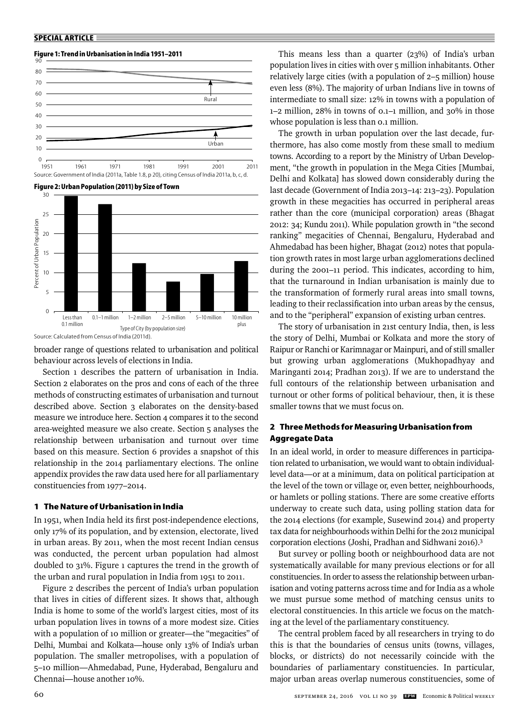# **Figure 1: Trend in Urbanisation in India 1951–2011**







Source: Calculated from Census of India (2011d).

broader range of questions related to urbanisation and political behaviour across levels of elections in India.

Section 1 describes the pattern of urbanisation in India. Section 2 elaborates on the pros and cons of each of the three methods of constructing estimates of urbanisation and turnout described above. Section 3 elaborates on the density-based measure we introduce here. Section 4 compares it to the second area-weighted measure we also create. Section 5 analyses the relationship between urbanisation and turnout over time based on this measure. Section 6 provides a snapshot of this relationship in the 2014 parliamentary elections. The online appendix provides the raw data used here for all parliamentary constituencies from 1977–2014.

# **1 The Nature of Urbanisation in India**

In 1951, when India held its first post-independence elections, only 17% of its population, and by extension, electorate, lived in urban areas. By 2011, when the most recent Indian census was conducted, the percent urban population had almost doubled to 31%. Figure 1 captures the trend in the growth of the urban and rural population in India from 1951 to 2011.

Figure 2 describes the percent of India's urban population that lives in cities of different sizes. It shows that, although India is home to some of the world's largest cities, most of its urban population lives in towns of a more modest size. Cities with a population of 10 million or greater—the "megacities" of Delhi, Mumbai and Kolkata—house only 13% of India's urban population. The smaller metropolises, with a population of 5–10 million—Ahmedabad, Pune, Hyderabad, Bengaluru and Chennai—house another 10%.

This means less than a quarter (23%) of India's urban population lives in cities with over 5 million inhabitants. Other relatively large cities (with a population of 2–5 million) house even less (8%). The majority of urban Indians live in towns of intermediate to small size: 12% in towns with a population of 1–2 million, 28% in towns of 0.1–1 million, and 30% in those whose population is less than 0.1 million.

The growth in urban population over the last decade, furthermore, has also come mostly from these small to medium towns. According to a report by the Ministry of Urban Development, "the growth in population in the Mega Cities [Mumbai, Delhi and Kolkata] has slowed down considerably during the last decade (Government of India 2013–14: 213–23). Population growth in these megacities has occurred in peripheral areas rather than the core (municipal corporation) areas (Bhagat 2012: 34; Kundu 2011). While population growth in "the second ranking" megacities of Chennai, Bengaluru, Hyderabad and Ahmedabad has been higher, Bhagat (2012) notes that population growth rates in most large urban agglomerations declined during the 2001–11 period. This indicates, according to him, that the turnaround in Indian urbanisation is mainly due to the transformation of formerly rural areas into small towns, leading to their reclassification into urban areas by the census, and to the "peripheral" expansion of existing urban centres.

The story of urbanisation in 21st century India, then, is less the story of Delhi, Mumbai or Kolkata and more the story of Raipur or Ranchi or Karimnagar or Mainpuri, and of still smaller but growing urban agglomerations (Mukhopadhyay and Maringanti 2014; Pradhan 2013). If we are to understand the full contours of the relationship between urbanisation and turnout or other forms of political behaviour, then, it is these smaller towns that we must focus on.

# **2 Three Methods for Measuring Urbanisation from Aggregate Data**

In an ideal world, in order to measure differences in participation related to urbanisation, we would want to obtain individuallevel data—or at a minimum, data on political participation at the level of the town or village or, even better, neighbourhoods, or hamlets or polling stations. There are some creative efforts underway to create such data, using polling station data for the 2014 elections (for example, Susewind 2014) and property tax data for neighbourhoods within Delhi for the 2012 municipal corporation elections (Joshi, Pradhan and Sidhwani 2016).3

But survey or polling booth or neighbourhood data are not systematically available for many previous elections or for all constituencies. In order to assess the relationship between urbanisation and voting patterns across time and for India as a whole we must pursue some method of matching census units to electoral constituencies. In this article we focus on the matching at the level of the parliamentary constituency.

The central problem faced by all researchers in trying to do this is that the boundaries of census units (towns, villages, blocks, or districts) do not necessarily coincide with the boundaries of parliamentary constituencies. In particular, major urban areas overlap numerous constituencies, some of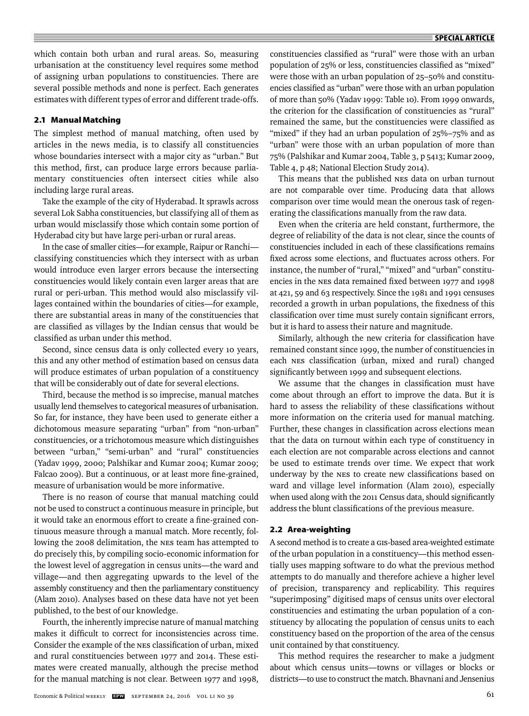which contain both urban and rural areas. So, measuring urbanisation at the constituency level requires some method of assigning urban populations to constituencies. There are several possible methods and none is perfect. Each generates estimates with different types of error and different trade-offs.

# **2.1 Manual Matching**

The simplest method of manual matching, often used by articles in the news media, is to classify all constituencies whose boundaries intersect with a major city as "urban." But this method, first, can produce large errors because parliamentary constituencies often intersect cities while also including large rural areas.

Take the example of the city of Hyderabad. It sprawls across several Lok Sabha constituencies, but classifying all of them as urban would misclassify those which contain some portion of Hyderabad city but have large peri-urban or rural areas.

In the case of smaller cities—for example, Raipur or Ranchi classifying constituencies which they intersect with as urban would introduce even larger errors because the intersecting constituencies would likely contain even larger areas that are rural or peri-urban. This method would also misclassify villages contained within the boundaries of cities—for example, there are substantial areas in many of the constituencies that are classified as villages by the Indian census that would be classified as urban under this method.

Second, since census data is only collected every 10 years, this and any other method of estimation based on census data will produce estimates of urban population of a constituency that will be considerably out of date for several elections.

Third, because the method is so imprecise, manual matches usually lend themselves to categorical measures of urbanisation. So far, for instance, they have been used to generate either a dichotomous measure separating "urban" from "non-urban" constituencies, or a trichotomous measure which distinguishes between "urban," "semi-urban" and "rural" constituencies (Yadav 1999, 2000; Palshikar and Kumar 2004; Kumar 2009; Falcao 2009). But a continuous, or at least more fine-grained, measure of urbanisation would be more informative.

There is no reason of course that manual matching could not be used to construct a continuous measure in principle, but it would take an enormous effort to create a fine-grained continuous measure through a manual match. More recently, following the 2008 delimitation, the NES team has attempted to do precisely this, by compiling socio-economic information for the lowest level of aggregation in census units—the ward and village—and then aggregating upwards to the level of the assembly constituency and then the parliamentary constituency (Alam 2010). Analyses based on these data have not yet been published, to the best of our knowledge.

Fourth, the inherently imprecise nature of manual matching makes it difficult to correct for inconsistencies across time. Consider the example of the NES classification of urban, mixed and rural constituencies between 1977 and 2014. These estimates were created manually, although the precise method for the manual matching is not clear. Between 1977 and 1998, constituencies classified as "rural" were those with an urban population of 25% or less, constituencies classified as "mixed" were those with an urban population of 25–50% and constituencies classified as "urban" were those with an urban population of more than 50% (Yadav 1999: Table 10). From 1999 onwards, the criterion for the classification of constituencies as "rural" remained the same, but the constituencies were classified as "mixed" if they had an urban population of 25%–75% and as "urban" were those with an urban population of more than 75% (Palshikar and Kumar 2004, Table 3, p 5413; Kumar 2009, Table 4, p 48; National Election Study 2014).

This means that the published NES data on urban turnout are not comparable over time. Producing data that allows comparison over time would mean the onerous task of regenerating the classifications manually from the raw data.

Even when the criteria are held constant, furthermore, the degree of reliability of the data is not clear, since the counts of constituencies included in each of these classifications remains fixed across some elections, and fluctuates across others. For instance, the number of "rural," "mixed" and "urban" constituencies in the NES data remained fixed between 1977 and 1998 at 421, 59 and 63 respectively. Since the 1981 and 1991 censuses recorded a growth in urban populations, the fixedness of this classification over time must surely contain significant errors, but it is hard to assess their nature and magnitude.

Similarly, although the new criteria for classification have remained constant since 1999, the number of constituencies in each NES classification (urban, mixed and rural) changed significantly between 1999 and subsequent elections.

We assume that the changes in classification must have come about through an effort to improve the data. But it is hard to assess the reliability of these classifications without more information on the criteria used for manual matching. Further, these changes in classification across elections mean that the data on turnout within each type of constituency in each election are not comparable across elections and cannot be used to estimate trends over time. We expect that work underway by the NES to create new classifications based on ward and village level information (Alam 2010), especially when used along with the 2011 Census data, should significantly address the blunt classifications of the previous measure.

# **2.2 Area-weighting**

A second method is to create a GIS-based area-weighted estimate of the urban population in a constituency—this method essentially uses mapping software to do what the previous method attempts to do manually and therefore achieve a higher level of precision, transparency and replicability. This requires "superimposing" digitised maps of census units over electoral constituencies and estimating the urban population of a constituency by allocating the population of census units to each constituency based on the proportion of the area of the census unit contained by that constituency.

This method requires the researcher to make a judgment about which census units—towns or villages or blocks or districts—to use to construct the match. Bhavnani and Jensenius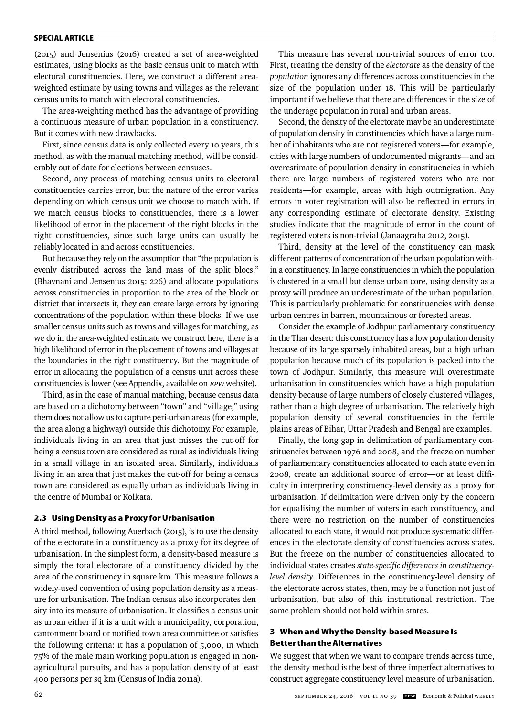#### **SPECIAL ARTICLE**

(2015) and Jensenius (2016) created a set of area-weighted estimates, using blocks as the basic census unit to match with electoral constituencies. Here, we construct a different areaweighted estimate by using towns and villages as the relevant census units to match with electoral constituencies.

The area-weighting method has the advantage of providing a continuous measure of urban population in a constituency. But it comes with new drawbacks.

First, since census data is only collected every 10 years, this method, as with the manual matching method, will be considerably out of date for elections between censuses.

Second, any process of matching census units to electoral constituencies carries error, but the nature of the error varies depending on which census unit we choose to match with. If we match census blocks to constituencies, there is a lower likelihood of error in the placement of the right blocks in the right constituencies, since such large units can usually be reliably located in and across constituencies.

But because they rely on the assumption that "the population is evenly distributed across the land mass of the split blocs," (Bhavnani and Jensenius 2015: 226) and allocate populations across constituencies in proportion to the area of the block or district that intersects it, they can create large errors by ignoring concentrations of the population within these blocks. If we use smaller census units such as towns and villages for matching, as we do in the area-weighted estimate we construct here, there is a high likelihood of error in the placement of towns and villages at the boundaries in the right constituency. But the magnitude of error in allocating the population of a census unit across these constituencies is lower (see Appendix, available on EPW website).

Third, as in the case of manual matching, because census data are based on a dichotomy between "town" and "village," using them does not allow us to capture peri-urban areas (for example, the area along a highway) outside this dichotomy. For example, individuals living in an area that just misses the cut-off for being a census town are considered as rural as individuals living in a small village in an isolated area. Similarly, individuals living in an area that just makes the cut-off for being a census town are considered as equally urban as individuals living in the centre of Mumbai or Kolkata.

## **2.3 Using Density as a Proxy for Urbanisation**

A third method, following Auerbach (2015), is to use the density of the electorate in a constituency as a proxy for its degree of urbanisation. In the simplest form, a density-based measure is simply the total electorate of a constituency divided by the area of the constituency in square km. This measure follows a widely-used convention of using population density as a measure for urbanisation. The Indian census also incorporates density into its measure of urbanisation. It classifies a census unit as urban either if it is a unit with a municipality, corporation, cantonment board or notified town area committee or satisfies the following criteria: it has a population of 5,000, in which 75% of the male main working population is engaged in nonagricultural pursuits, and has a population density of at least 400 persons per sq km (Census of India 2011a).

This measure has several non-trivial sources of error too. First, treating the density of the *electorate* as the density of the *population* ignores any differences across constituencies in the size of the population under 18. This will be particularly important if we believe that there are differences in the size of the underage population in rural and urban areas.

Second, the density of the electorate may be an underestimate of population density in constituencies which have a large number of inhabitants who are not registered voters—for example, cities with large numbers of undocumented migrants—and an overestimate of population density in constituencies in which there are large numbers of registered voters who are not residents—for example, areas with high outmigration. Any errors in voter registration will also be reflected in errors in any corresponding estimate of electorate density. Existing studies indicate that the magnitude of error in the count of registered voters is non-trivial (Janaagraha 2012, 2015).

Third, density at the level of the constituency can mask different patterns of concentration of the urban population within a constituency. In large constituencies in which the population is clustered in a small but dense urban core, using density as a proxy will produce an underestimate of the urban population. This is particularly problematic for constituencies with dense urban centres in barren, mountainous or forested areas.

Consider the example of Jodhpur parliamentary constituency in the Thar desert: this constituency has a low population density because of its large sparsely inhabited areas, but a high urban population because much of its population is packed into the town of Jodhpur. Similarly, this measure will overestimate urbanisation in constituencies which have a high population density because of large numbers of closely clustered villages, rather than a high degree of urbanisation. The relatively high population density of several constituencies in the fertile plains areas of Bihar, Uttar Pradesh and Bengal are examples.

Finally, the long gap in delimitation of parliamentary constituencies between 1976 and 2008, and the freeze on number of parliamentary constituencies allocated to each state even in 2008, create an additional source of error-or at least difficulty in interpreting constituency-level density as a proxy for urbanisation. If delimitation were driven only by the concern for equalising the number of voters in each constituency, and there were no restriction on the number of constituencies allocated to each state, it would not produce systematic differences in the electorate density of constituencies across states. But the freeze on the number of constituencies allocated to individual states creates state-specific differences in constituency*level density.* Differences in the constituency-level density of the electorate across states, then, may be a function not just of urbanisation, but also of this institutional restriction. The same problem should not hold within states.

# **3 When and Why the Density-based Measure Is Better than the Alternatives**

We suggest that when we want to compare trends across time, the density method is the best of three imperfect alternatives to construct aggregate constituency level measure of urbanisation.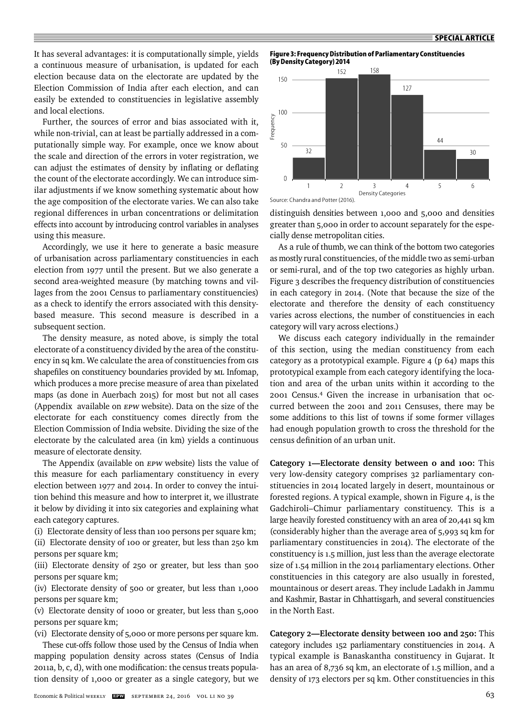It has several advantages: it is computationally simple, yields a continuous measure of urbanisation, is updated for each election because data on the electorate are updated by the Election Commission of India after each election, and can easily be extended to constituencies in legislative assembly and local elections.

Further, the sources of error and bias associated with it, while non-trivial, can at least be partially addressed in a computationally simple way. For example, once we know about the scale and direction of the errors in voter registration, we can adjust the estimates of density by inflating or deflating the count of the electorate accordingly. We can introduce similar adjustments if we know something systematic about how the age composition of the electorate varies. We can also take regional differences in urban concentrations or delimitation effects into account by introducing control variables in analyses using this measure.

Accordingly, we use it here to generate a basic measure of urbanisation across parliamentary constituencies in each election from 1977 until the present. But we also generate a second area-weighted measure (by matching towns and villages from the 2001 Census to parliamentary constituencies) as a check to identify the errors associated with this densitybased measure. This second measure is described in a subsequent section.

The density measure, as noted above, is simply the total electorate of a constituency divided by the area of the constituency in sq km. We calculate the area of constituencies from GIS shapefiles on constituency boundaries provided by ML Infomap, which produces a more precise measure of area than pixelated maps (as done in Auerbach 2015) for most but not all cases (Appendix available on EPW website). Data on the size of the electorate for each constituency comes directly from the Election Commission of India website. Dividing the size of the electorate by the calculated area (in km) yields a continuous measure of electorate density.

The Appendix (available on EPW website) lists the value of this measure for each parliamentary constituency in every election between 1977 and 2014. In order to convey the intuition behind this measure and how to interpret it, we illustrate it below by dividing it into six categories and explaining what each category captures.

(i) Electorate density of less than 100 persons per square km;

(ii) Electorate density of 100 or greater, but less than 250 km persons per square km;

(iii) Electorate density of 250 or greater, but less than 500 persons per square km;

(iv) Electorate density of 500 or greater, but less than 1,000 persons per square km;

(v) Electorate density of 1000 or greater, but less than 5,000 persons per square km;

(vi) Electorate density of 5,000 or more persons per square km.

These cut-offs follow those used by the Census of India when mapping population density across states (Census of India  $2011a$ , b, c, d), with one modification: the census treats population density of 1,000 or greater as a single category, but we





distinguish densities between 1,000 and 5,000 and densities greater than 5,000 in order to account separately for the especially dense metropolitan cities.

As a rule of thumb, we can think of the bottom two categories as mostly rural constituencies, of the middle two as semi-urban or semi-rural, and of the top two categories as highly urban. Figure 3 describes the frequency distribution of constituencies in each category in 2014. (Note that because the size of the electorate and therefore the density of each constituency varies across elections, the number of constituencies in each category will vary across elections.)

We discuss each category individually in the remainder of this section, using the median constituency from each category as a prototypical example. Figure 4 (p 64) maps this prototypical example from each category identifying the location and area of the urban units within it according to the 2001 Census.4 Given the increase in urbanisation that occurred between the 2001 and 2011 Censuses, there may be some additions to this list of towns if some former villages had enough population growth to cross the threshold for the census definition of an urban unit.

**Category 1—Electorate density between 0 and 100:** This very low-density category comprises 32 parliamentary constituencies in 2014 located largely in desert, mountainous or forested regions. A typical example, shown in Figure 4, is the Gadchiroli–Chimur parliamentary constituency. This is a large heavily forested constituency with an area of 20,441 sq km (considerably higher than the average area of 5,993 sq km for parliamentary constituencies in 2014). The electorate of the constituency is 1.5 million, just less than the average electorate size of 1.54 million in the 2014 parliamentary elections. Other constituencies in this category are also usually in forested, mountainous or desert areas. They include Ladakh in Jammu and Kashmir, Bastar in Chhattisgarh, and several constituencies in the North East.

**Category 2—Electorate density between 100 and 250:** This category includes 152 parliamentary constituencies in 2014. A typical example is Banaskantha constituency in Gujarat. It has an area of 8,736 sq km, an electorate of 1.5 million, and a density of 173 electors per sq km. Other constituencies in this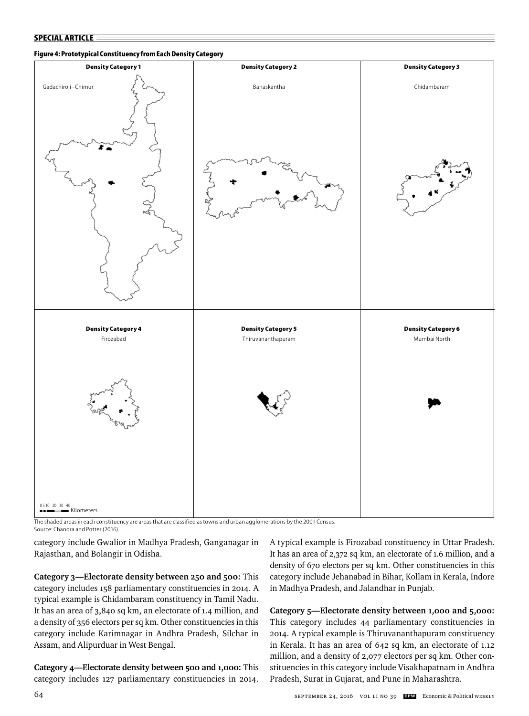## **Figure 4: Prototypical Constituency from Each Density Category**



The shaded areas in each constituency are areas that are classified as towns and urban agglomerations by the 2001 Census.

Source: Chandra and Potter (2016).

category include Gwalior in Madhya Pradesh, Ganganagar in Rajasthan, and Bolangir in Odisha.

**Category 3—Electorate density between 250 and 500:** This category includes 158 parliamentary constituencies in 2014. A typical example is Chidambaram constituency in Tamil Nadu. It has an area of 3,840 sq km, an electorate of 1.4 million, and a density of 356 electors per sq km. Other constituencies in this category include Karimnagar in Andhra Pradesh, Silchar in Assam, and Alipurduar in West Bengal.

**Category 4—Electorate density between 500 and 1,000:** This category includes 127 parliamentary constituencies in 2014. A typical example is Firozabad constituency in Uttar Pradesh. It has an area of 2,372 sq km, an electorate of 1.6 million, and a density of 670 electors per sq km. Other constituencies in this category include Jehanabad in Bihar, Kollam in Kerala, Indore in Madhya Pradesh, and Jalandhar in Punjab.

**Category 5—Electorate density between 1,000 and 5,000:**  This category includes 44 parliamentary constituencies in 2014. A typical example is Thiruvananthapuram constituency in Kerala. It has an area of 642 sq km, an electorate of 1.12 million, and a density of 2,077 electors per sq km. Other constituencies in this category include Visakhapatnam in Andhra Pradesh, Surat in Gujarat, and Pune in Maharashtra.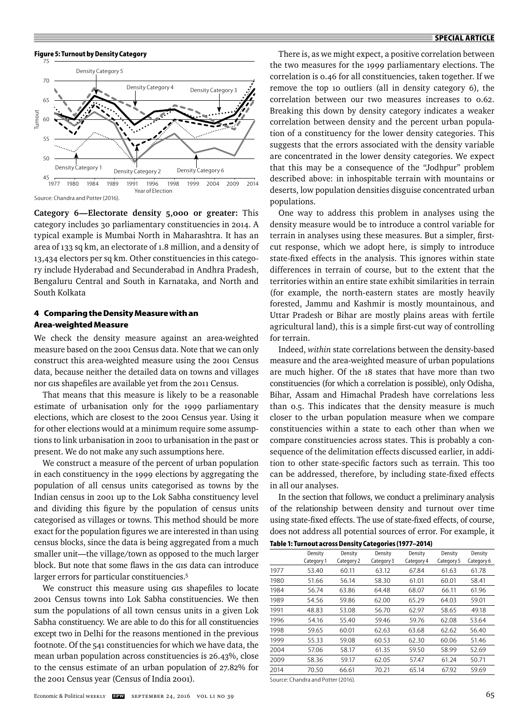



Source: Chandra and Potter (2016).

**Category 6—Electorate density 5,000 or greater:** This category includes 30 parliamentary constituencies in 2014. A typical example is Mumbai North in Maharashtra. It has an area of 133 sq km, an electorate of 1.8 million, and a density of 13,434 electors per sq km. Other constituencies in this category include Hyderabad and Secunderabad in Andhra Pradesh, Bengaluru Central and South in Karnataka, and North and South Kolkata

# **4 Comparing the Density Measure with an Area-weighted Measure**

We check the density measure against an area-weighted measure based on the 2001 Census data. Note that we can only construct this area-weighted measure using the 2001 Census data, because neither the detailed data on towns and villages nor GIS shapefiles are available yet from the 2011 Census.

That means that this measure is likely to be a reasonable estimate of urbanisation only for the 1999 parliamentary elections, which are closest to the 2001 Census year. Using it for other elections would at a minimum require some assumptions to link urbanisation in 2001 to urbanisation in the past or present. We do not make any such assumptions here.

We construct a measure of the percent of urban population in each constituency in the 1999 elections by aggregating the population of all census units categorised as towns by the Indian census in 2001 up to the Lok Sabha constituency level and dividing this figure by the population of census units categorised as villages or towns. This method should be more exact for the population figures we are interested in than using census blocks, since the data is being aggregated from a much smaller unit—the village/town as opposed to the much larger block. But note that some flaws in the GIS data can introduce larger errors for particular constituencies.<sup>5</sup>

We construct this measure using GIS shapefiles to locate 2001 Census towns into Lok Sabha constituencies. We then sum the populations of all town census units in a given Lok Sabha constituency. We are able to do this for all constituencies except two in Delhi for the reasons mentioned in the previous footnote. Of the 541 constituencies for which we have data, the mean urban population across constituencies is 26.43%, close to the census estimate of an urban population of 27.82% for the 2001 Census year (Census of India 2001).

There is, as we might expect, a positive correlation between the two measures for the 1999 parliamentary elections. The correlation is 0.46 for all constituencies, taken together. If we remove the top 10 outliers (all in density category 6), the correlation between our two measures increases to 0.62. Breaking this down by density category indicates a weaker correlation between density and the percent urban population of a constituency for the lower density categories. This suggests that the errors associated with the density variable are concentrated in the lower density categories. We expect that this may be a consequence of the "Jodhpur" problem described above: in inhospitable terrain with mountains or deserts, low population densities disguise concentrated urban populations.

One way to address this problem in analyses using the density measure would be to introduce a control variable for terrain in analyses using these measures. But a simpler, firstcut response, which we adopt here, is simply to introduce state-fixed effects in the analysis. This ignores within state differences in terrain of course, but to the extent that the territories within an entire state exhibit similarities in terrain (for example, the north-eastern states are mostly heavily forested, Jammu and Kashmir is mostly mountainous, and Uttar Pradesh or Bihar are mostly plains areas with fertile agricultural land), this is a simple first-cut way of controlling for terrain.

Indeed, *within* state correlations between the density-based measure and the area-weighted measure of urban populations are much higher. Of the 18 states that have more than two constituencies (for which a correlation is possible), only Odisha, Bihar, Assam and Himachal Pradesh have correlations less than 0.5. This indicates that the density measure is much closer to the urban population measure when we compare constituencies within a state to each other than when we compare constituencies across states. This is probably a consequence of the delimitation effects discussed earlier, in addition to other state-specific factors such as terrain. This too can be addressed, therefore, by including state-fixed effects in all our analyses.

In the section that follows, we conduct a preliminary analysis of the relationship between density and turnout over time using state-fixed effects. The use of state-fixed effects, of course, does not address all potential sources of error. For example, it

|      | Density<br>Category 1 | Density<br>Category 2 | Density<br>Category 3 | Density<br>Category 4 | Density<br>Category 5 | Density<br>Category 6 |
|------|-----------------------|-----------------------|-----------------------|-----------------------|-----------------------|-----------------------|
| 1977 | 53.40                 | 60.11                 | 63.12                 | 67.84                 | 61.63                 | 61.78                 |
| 1980 | 51.66                 | 56.14                 | 58.30                 | 61.01                 | 60.01                 | 58.41                 |
| 1984 | 56.74                 | 63.86                 | 64.48                 | 68.07                 | 66.11                 | 61.96                 |
| 1989 | 54.56                 | 59.86                 | 62.00                 | 65.29                 | 64.03                 | 59.01                 |
| 1991 | 48.83                 | 53.08                 | 56.70                 | 62.97                 | 58.65                 | 49.18                 |
| 1996 | 54.16                 | 55.40                 | 59.46                 | 59.76                 | 62.08                 | 53.64                 |
| 1998 | 59.65                 | 60.01                 | 62.63                 | 63.68                 | 62.62                 | 56.40                 |
| 1999 | 55.33                 | 59.08                 | 60.53                 | 62.30                 | 60.06                 | 51.46                 |
| 2004 | 57.06                 | 58.17                 | 61.35                 | 59.50                 | 58.99                 | 52.69                 |
| 2009 | 58.36                 | 59.17                 | 62.05                 | 57.47                 | 61.24                 | 50.71                 |
| 2014 | 70.50                 | 66.61                 | 70.21                 | 65.14                 | 67.92                 | 59.69                 |
|      |                       |                       |                       |                       |                       |                       |

Source: Chandra and Potter (2016).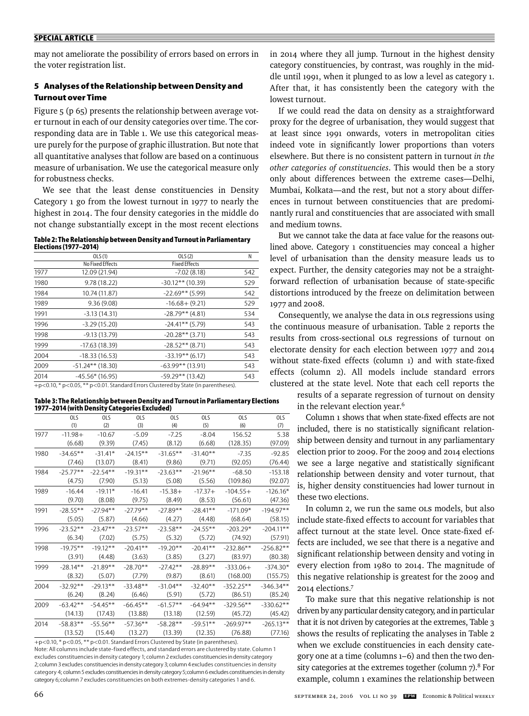may not ameliorate the possibility of errors based on errors in the voter registration list.

# **5 Analyses of the Relationship between Density and Turnout over Time**

Figure 5 (p 65) presents the relationship between average voter turnout in each of our density categories over time. The corresponding data are in Table 1. We use this categorical measure purely for the purpose of graphic illustration. But note that all quantitative analyses that follow are based on a continuous measure of urbanisation. We use the categorical measure only for robustness checks.

We see that the least dense constituencies in Density Category 1 go from the lowest turnout in 1977 to nearly the highest in 2014. The four density categories in the middle do not change substantially except in the most recent elections

| Table 2: The Relationship between Density and Turnout in Parliamentary |  |
|------------------------------------------------------------------------|--|
| Elections (1977–2014)                                                  |  |

|      | OLS(1)             | OLS(2)               | Ν   |
|------|--------------------|----------------------|-----|
|      | No Fixed Effects   | <b>Fixed Effects</b> |     |
| 1977 | 12.09 (21.94)      | $-7.02(8.18)$        | 542 |
| 1980 | 9.78 (18.22)       | $-30.12**$ (10.39)   | 529 |
| 1984 | 10.74 (11.87)      | $-22.69**$ (5.99)    | 542 |
| 1989 | 9.36(9.08)         | $-16.68 + (9.21)$    | 529 |
| 1991 | $-3.13(14.31)$     | $-28.79**$ (4.81)    | 534 |
| 1996 | $-3.29(15.20)$     | $-24.41**$ (5.79)    | 543 |
| 1998 | $-9.13(13.79)$     | $-20.28**$ (3.71)    | 543 |
| 1999 | $-17.63(18.39)$    | $-28.52**$ (8.71)    | 543 |
| 2004 | $-18.33(16.53)$    | $-33.19**$ (6.17)    | 543 |
| 2009 | $-51.24**$ (18.30) | $-63.99**$ (13.91)   | 543 |
| 2014 | $-45.56*(16.95)$   | $-59.29**$ (13.42)   | 543 |
|      |                    |                      |     |

+p<0.10, \* p<0.05, \*\* p<0.01. Standard Errors Clustered by State (in parentheses).

**Table 3: The Relationship between Density and Turnout in Parliamentary Elections 1977–2014 (with Density Categories Excluded)**

|      | 01S         | 01S        | 01S         | 01S         | 01S         | 01S          | 0 <sub>15</sub> |
|------|-------------|------------|-------------|-------------|-------------|--------------|-----------------|
|      | (1)         | (2)        | (3)         | (4)         | (5)         | (6)          | (7)             |
| 1977 | $-11.98+$   | $-10.67$   | $-5.09$     | $-7.25$     | $-8.04$     | 156.52       | 5.38            |
|      | (6.68)      | (9.39)     | (7.45)      | (8.12)      | (6.68)      | (128.35)     | (97.09)         |
| 1980 | $-34.65***$ | $-31.41*$  | $-24.15***$ | $-31.65***$ | $-31.40**$  | $-7.35$      | $-92.85$        |
|      | (7.46)      | (13.07)    | (8.41)      | (9.86)      | (9.71)      | (92.05)      | (76.44)         |
| 1984 | $-25.77**$  | $-22.54**$ | $-19.31**$  | $-23.63**$  | $-21.96**$  | $-68.50$     | $-153.18$       |
|      | (4.75)      | (7.90)     | (5.13)      | (5.08)      | (5.56)      | (109.86)     | (92.07)         |
| 1989 | $-16.44$    | $-19.11*$  | $-16.41$    | $-15.38+$   | $-17.37+$   | $-104.55+$   | $-126.16*$      |
|      | (9.70)      | (8.08)     | (9.75)      | (8.49)      | (8.53)      | (56.61)      | (47.36)         |
| 1991 | $-28.55***$ | $-27.94**$ | $-27.79**$  | $-27.89**$  | $-28.41**$  | $-171.09*$   | $-194.97**$     |
|      | (5.05)      | (5.87)     | (4.66)      | (4.27)      | (4.48)      | (68.64)      | (58.15)         |
| 1996 | $-23.52**$  | $-23.47**$ | $-23.57**$  | $-23.58**$  | $-24.55***$ | $-203.29*$   | $-204.11**$     |
|      | (6.34)      | (7.02)     | (5.75)      | (5.32)      | (5.72)      | (74.92)      | (57.91)         |
| 1998 | $-19.75***$ | $-19.12**$ | $-20.41**$  | $-19.20**$  | $-20.41**$  | $-232.86***$ | $-256.82**$     |
|      | (3.91)      | (4.48)     | (3.63)      | (3.85)      | (3.27)      | (83.97)      | (80.38)         |
| 1999 | $-28.14**$  | $-21.89**$ | $-28.70**$  | $-27.42**$  | $-28.89**$  | $-333.06+$   | $-374.30*$      |
|      | (8.32)      | (5.07)     | (7.79)      | (9.87)      | (8.61)      | (168.00)     | (155.75)        |
| 2004 | $-32.92**$  | $-29.13**$ | $-33.48**$  | $-31.04***$ | $-32.40**$  | $-352.25**$  | $-346.34**$     |
|      | (6.24)      | (8.24)     | (6.46)      | (5.91)      | (5.72)      | (86.51)      | (85.24)         |
| 2009 | $-63.42**$  | $-54.45**$ | $-66.45***$ | $-61.57**$  | $-64.94**$  | $-329.56***$ | $-330.62**$     |
|      | (14.13)     | (17.43)    | (13.88)     | (13.18)     | (12.59)     | (45.72)      | (45.42)         |
| 2014 | $-58.83**$  | $-55.56**$ | $-57.36**$  | $-58.28**$  | $-59.51***$ | $-269.97**$  | $-265.13**$     |
|      | (13.52)     | (15.44)    | (13.27)     | (13.39)     | (12.35)     | (76.88)      | (77.16)         |

+p<0.10, \* p<0.05, \*\* p<0.01. Standard Errors Clustered by State (in parentheses). Note: All columns include state-fixed effects, and standard errors are clustered by state. Column 1 excludes constituencies in density category 1; column 2 excludes constituencies in density category 2; column 3 excludes constituencies in density category 3; column 4 excludes constituencies in density category 4; column 5 excludes constituencies in density category 5; column 6 excludes constituencies in density category 6; column 7 excludes constituencies on both extremes-density categories 1 and 6.

in 2014 where they all jump. Turnout in the highest density category constituencies, by contrast, was roughly in the middle until 1991, when it plunged to as low a level as category 1. After that, it has consistently been the category with the lowest turnout.

If we could read the data on density as a straightforward proxy for the degree of urbanisation, they would suggest that at least since 1991 onwards, voters in metropolitan cities indeed vote in significantly lower proportions than voters elsewhere. But there is no consistent pattern in turnout *in the other categories of constituencies*. This would then be a story only about differences between the extreme cases—Delhi, Mumbai, Kolkata—and the rest, but not a story about differences in turnout between constituencies that are predominantly rural and constituencies that are associated with small and medium towns.

But we cannot take the data at face value for the reasons outlined above. Category 1 constituencies may conceal a higher level of urbanisation than the density measure leads us to expect. Further, the density categories may not be a straightforward reflection of urbanisation because of state-specific distortions introduced by the freeze on delimitation between 1977 and 2008.

Consequently, we analyse the data in OLS regressions using the continuous measure of urbanisation. Table 2 reports the results from cross-sectional OLS regressions of turnout on electorate density for each election between 1977 and 2014 without state-fixed effects (column 1) and with state-fixed effects (column 2). All models include standard errors clustered at the state level. Note that each cell reports the results of a separate regression of turnout on density in the relevant election year.<sup>6</sup>

> Column 1 shows that when state-fixed effects are not included, there is no statistically significant relationship between density and turnout in any parliamentary election prior to 2009. For the 2009 and 2014 elections we see a large negative and statistically significant relationship between density and voter turnout, that is, higher density constituencies had lower turnout in these two elections.

> In column 2, we run the same OLS models, but also include state-fixed effects to account for variables that affect turnout at the state level. Once state-fixed effects are included, we see that there is a negative and significant relationship between density and voting in every election from 1980 to 2014. The magnitude of this negative relationship is greatest for the 2009 and 2014 elections.7

> To make sure that this negative relationship is not driven by any particular density category, and in particular that it is not driven by categories at the extremes, Table 3 shows the results of replicating the analyses in Table 2 when we exclude constituencies in each density category one at a time (columns 1–6) and then the two density categories at the extremes together (column  $7$ ).<sup>8</sup> For example, column 1 examines the relationship between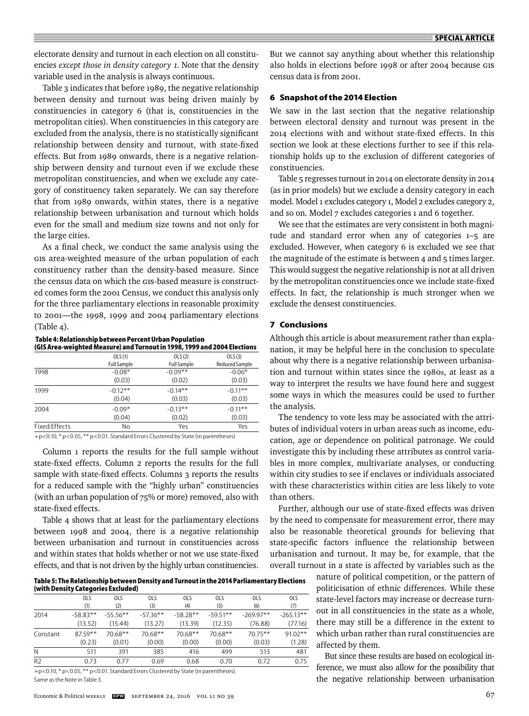electorate density and turnout in each election on all constituencies *except those in density category 1*. Note that the density variable used in the analysis is always continuous.

Table 3 indicates that before 1989, the negative relationship between density and turnout was being driven mainly by constituencies in category 6 (that is, constituencies in the metropolitan cities). When constituencies in this category are excluded from the analysis, there is no statistically significant relationship between density and turnout, with state-fixed effects. But from 1989 onwards, there is a negative relationship between density and turnout even if we exclude these metropolitan constituencies, and when we exclude any category of constituency taken separately. We can say therefore that from 1989 onwards, within states, there is a negative relationship between urbanisation and turnout which holds even for the small and medium size towns and not only for the large cities.

As a final check, we conduct the same analysis using the GIS area-weighted measure of the urban population of each constituency rather than the density-based measure. Since the census data on which the GIS-based measure is constructed comes form the 2001 Census, we conduct this analysis only for the three parliamentary elections in reasonable proximity to 2001—the 1998, 1999 and 2004 parliamentary elections (Table 4).

 **Table 4: Relationship between Percent Urban Population (GIS Area-weighted Measure) and Turnout in 1998, 1999 and 2004 Elections** 

|                      | OLS(1)             | OLS(2)             | OLS(3)                |
|----------------------|--------------------|--------------------|-----------------------|
|                      | <b>Full Sample</b> | <b>Full Sample</b> | <b>Reduced Sample</b> |
| 1998                 | $-0.08*$           | $-0.09**$          | $-0.06*$              |
|                      | (0.03)             | (0.02)             | (0.03)                |
| 1999                 | $-0.12**$          | $-0.14**$          | $-0.11***$            |
|                      | (0.04)             | (0.03)             | (0.03)                |
| 2004                 | $-0.09*$           | $-0.13**$          | $-0.11**$             |
|                      | (0.04)             | (0.02)             | (0.03)                |
| <b>Fixed Effects</b> | No                 | Yes                | Yes                   |
|                      |                    |                    |                       |

+p<0.10, \* p<0.05, \*\* p<0.01. Standard Errors Clustered by State (in parentheses)

Column 1 reports the results for the full sample without state-fixed effects. Column 2 reports the results for the full sample with state-fixed effects. Columns 3 reports the results for a reduced sample with the "highly urban" constituencies (with an urban population of 75% or more) removed, also with state-fixed effects.

Table 4 shows that at least for the parliamentary elections between 1998 and 2004, there is a negative relationship between urbanisation and turnout in constituencies across and within states that holds whether or not we use state-fixed effects, and that is not driven by the highly urban constituencies.

**Table 5: The Relationship between Density and Turnout in the 2014 Parliamentary Elections (with Density Categories Excluded)**

|                | 01S        | 0 <sub>l</sub> | 01S        | 0 <sub>15</sub> | <b>OLS</b>                         | 01S         | <b>OLS</b>  |
|----------------|------------|----------------|------------|-----------------|------------------------------------|-------------|-------------|
|                | (1)        | (2)            | (3)        | (4)             | (5)                                | (6)         | (7)         |
| 2014           | $-58.83**$ | $-55.56***$    | $-57.36**$ | $-58.28**$      | $-59.51**$                         | $-269.97**$ | $-265.13**$ |
|                | (13.52)    | (15.44)        | (13.27)    | (13.39)         | (12.35)                            | (76.88)     | (77.16)     |
| Constant       | $87.59**$  | $70.68**$      | $70.68**$  | $70.68**$       | $70.68**$                          | $70.75***$  | $91.02**$   |
|                | (0.23)     | (0.01)         | (0.00)     | (0.00)          | (0.00)                             | (0.03)      | (1.28)      |
| N              | 511        | 391            | 385        | 416             | 499                                | 513         | 481         |
| R <sub>2</sub> | 0.73       | 0.77           | 0.69       | 0.68            | 0.70                               | 0.72        | 0.75        |
|                |            |                |            |                 | $\sim$ $\sim$ $\sim$ $\sim$ $\sim$ |             |             |

+p<0.10, \* p<0.05, \*\* p<0.01. Standard Errors Clustered by State (in parentheses). Same as the Note in Table 3.

Economic & Political WEEKLY **EEW** SEPTEMBER 24, 2016 VOL LI NO 39 67

But we cannot say anything about whether this relationship also holds in elections before 1998 or after 2004 because GIS census data is from 2001.

# **6 Snapshot of the 2014 Election**

We saw in the last section that the negative relationship between electoral density and turnout was present in the 2014 elections with and without state-fixed effects. In this section we look at these elections further to see if this relationship holds up to the exclusion of different categories of constituencies.

Table 5 regresses turnout in 2014 on electorate density in 2014 (as in prior models) but we exclude a density category in each model. Model 1 excludes category 1, Model 2 excludes category 2, and so on. Model 7 excludes categories 1 and 6 together.

We see that the estimates are very consistent in both magnitude and standard error when any of categories 1–5 are excluded. However, when category 6 is excluded we see that the magnitude of the estimate is between 4 and 5 times larger. This would suggest the negative relationship is not at all driven by the metropolitan constituencies once we include state-fixed effects. In fact, the relationship is much stronger when we exclude the densest constituencies.

# **7 Conclusions**

Although this article is about measurement rather than explanation, it may be helpful here in the conclusion to speculate about why there is a negative relationship between urbanisation and turnout within states since the 1980s, at least as a way to interpret the results we have found here and suggest some ways in which the measures could be used to further the analysis.

The tendency to vote less may be associated with the attributes of individual voters in urban areas such as income, education, age or dependence on political patronage. We could investigate this by including these attributes as control variables in more complex, multivariate analyses, or conducting within city studies to see if enclaves or individuals associated with these characteristics within cities are less likely to vote than others.

Further, although our use of state-fixed effects was driven by the need to compensate for measurement error, there may also be reasonable theoretical grounds for believing that state-specific factors influence the relationship between urbanisation and turnout. It may be, for example, that the overall turnout in a state is affected by variables such as the

> nature of political competition, or the pattern of politicisation of ethnic differences. While these state-level factors may increase or decrease turnout in all constituencies in the state as a whole, there may still be a difference in the extent to which urban rather than rural constituencies are affected by them.

> But since these results are based on ecological inference, we must also allow for the possibility that the negative relationship between urbanisation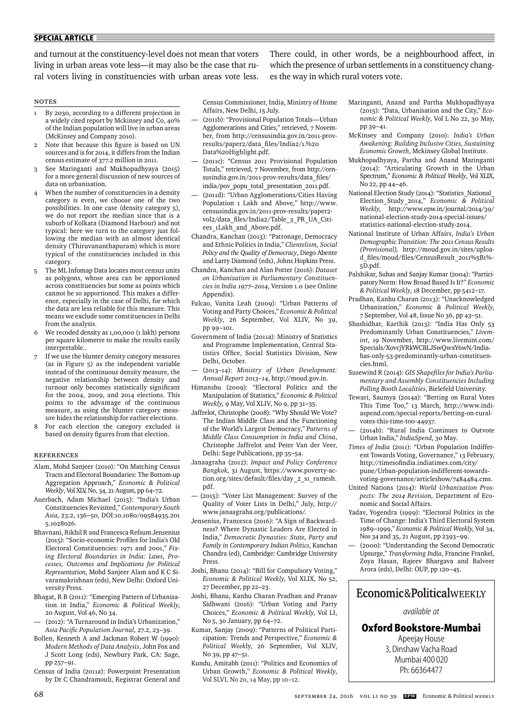and turnout at the constituency-level does not mean that voters living in urban areas vote less—it may also be the case that rural voters living in constituencies with urban areas vote less.

There could, in other words, be a neighbourhood affect, in which the presence of urban settlements in a constituency changes the way in which rural voters vote.

## notes

- 1 By 2030, according to a different projection in a widely cited report by Mckinsey and Co, 40% of the Indian population will live in urban areas (McKinsey and Company 2010).
- 2 Note that because this figure is based on UN sources and is for 2014, it differs from the Indian census estimate of 377.2 million in 2011.
- 3 See Maringanti and Mukhopadhyaya (2015) for a more general discussion of new sources of data on urbanisation.
- When the number of constituencies in a density category is even, we choose one of the two possibilities. In one case (density category 5), we do not report the median since that is a suburb of Kolkata (Diamond Harbour) and not typical: here we turn to the category just following the median with an almost identical density (Thiruvananthapuram) which is more typical of the constituencies included in this category.
- 5 The ML Infomap Data locates most census units as polygons, whose area can be apportioned across constituencies but some as points which cannot be so apportioned. This makes a difference, especially in the case of Delhi, for which the data are less reliable for this measure. This means we exclude some constituencies in Delhi from the analysis.
- 6 We recoded density as 1,00,000 (1 lakh) persons per square kilometre to make the results easily interpretable..
- If we use the blunter density category measures (as in Figure 5) as the independent variable instead of the continuous density measure, the negative relationship between density and turnout only becomes statistically significant for the 2004, 2009, and 2014 elections. This points to the advantage of the continuous measure, as using the blunter category measure hides the relationship for earlier elections.
- For each election the category excluded is based on density figures from that election.

## REFERENCES

- Alam, Mohd Sanjeer (2010): "On Matching Census Tracts and Electoral Boundaries: The Bottom-up Aggregation Approach," *Economic & Political Weekly*, Vol XLV, No, 34, 21 August, pp 64–72.
- Auerbach, Adam Michael (2015): "India's Urban Constituencies Revisited," *Contemporary South Asia*, 23:2, 136–50, DOI:10.1080/09584935.201 5.1028026.
- Bhavnani, Rikhil R and Francesca Refsum Jensenius (2015): "Socio-economic Profi les for India's Old Electoral Constituencies: 1971 and 2001," *Fixing Electoral Boundaries in India: Laws, Processes, Outcomes and Implications for Political Representation,* Mohd Sanjeer Alam and K C Sivaramakrishnan (eds), New Delhi: Oxford University Press.
- Bhagat, R B (2011): "Emerging Pattern of Urbanisation in India," *Economic & Political Weekly*, 20 August, Vol 46, No 34.
- (2012): "A Turnaround in India's Urbanization," *Asia Pacifi c Population Journal,* 27.2, 23–39.
- Bollen, Kenneth A and Jackman Robert W (1990): *Modern Methods of Data Analysis*, John Fox and J Scott Long (eds), Newbury Park, CA: Sage, pp 257–91.
- Census of India (2011a): Powerpoint Presentation by Dr C Chandramouli, Registrar General and

Census Commissioner, India, Ministry of Home Affairs, New Delhi, 15 July.

- (2011b): "Provisional Population Totals—Urban Agglomerations and Cities," retrieved, 7 November, from http://censusindia.gov.in/2011-provresults/paper2/data\_fi les/India2/1.%20 Data%20Highlight.pdf.
- (2011c): "Census 2011 Provisional Population Totals," retrieved, 7 November, from http://censusindia.gov.in/2011-prov-results/data\_files/ india/pov\_popu\_total\_presentation\_2011.pdf.
- (2011d): "Urban Agglomerations/Cities Having Population 1 Lakh and Above,*"* http://www. censusindia.gov.in/2011-prov-results/paper2 vol2/data\_files/India2/Table\_3\_PR\_UA\_Citiees\_1Lakh\_and\_Above.pdf.
- Chandra, Kanchan (2013): "Patronage, Democracy and Ethnic Politics in India," *Clientelism, Social Policy and the Quality of Democracy*, Diego Abente and Larry Diamond (eds), Johns Hopkins Press.
- Chandra, Kanchan and Alan Potter (2016): *Dataset on Urbanization in Parliamentary Constituencies in India 1977–2014*, Version 1.0 (see Online Appendix).
- Falcao, Vanita Leah (2009): "Urban Patterns of Voting and Party Choices," *Economic & Political Weekly*, 26 September, Vol XLIV, No 39, pp 99–101.
- Government of India (2011a): Ministry of Statistics and Programme Implementation, Central Statistics Office, Social Statistics Division, New Delhi, October.
- (2013–14): *Ministry of Urban Development: Ann ual Report 2013–14*, http://moud.gov.in.
- Himanshu (2009): "Electoral Politics and the Manipulation of Statistics," *Economic & Political Weekly,* 9 May, Vol XLIV, No 9, pp 31–35.
- Jaffrelot, Christophe (2008): "Why Should We Vote? The Indian Middle Class and the Functioning of the World's Largest Democracy," *Patterns of Middle Class Consumption in India and China*, Christophe Jaffrelot and Peter Van der Veer, Delhi: Sage Publications, pp 35–54.
- Janaagraha (2012): *Impact and Policy Conference Bangkok,* 31 August, https://www.poverty-action.org/sites/default/files/day\_2\_s1\_ramesh. pdf.
- (2015): "Voter List Management: Survey of the Quality of Voter Lists in Delhi," July, http:// www.janaagraha.org/publications/.
- Jensenius, Francesca (2016): "A Sign of Backwardness? Where Dynastic Leaders Are Elected in India," *Democratic Dynasties: State, Party and Family in Contemporary Indian Politics*, Kanchan Chandra (ed), Cambridge: Cambridge University Press.
- Joshi, Bhanu (2014): "Bill for Compulsory Voting," *Economic & Political Weekly*, Vol XLIX, No 52, 27 December, pp 22–23.
- Joshi, Bhanu, Kanhu Charan Pradhan and Pranav Sidhwani (2016): "Urban Voting and Party Choices," *Economic & Political Weekly*, Vol LI, No 5, 30 January, pp 64–72.
- Kumar, Sanjay (2009): "Patterns of Political Participation: Trends and Perspective," *Economic & Political Week*ly, 26 September, Vol XLIV, No 39, pp 47–51.
- Kundu, Amitabh (2011): "Politics and Economics of Urban Growth," *Economic & Political Weekly*, Vol SLVI, No 20, 14 May, pp 10–12.
- Maringanti, Anand and Partha Mukhopadhyaya (2015): "Data, Urbanisation and the City," *Economic & Political Weekly*, Vol L No 22, 30 May, pp 39–41.
- McKinsey and Company (2010): *India's Urban Awakening: Building Inclusive Cities, Sustaining Economic Growth*, Mckinsey Global Institute.
- Mukhopadhyaya, Partha and Anand Maringanti (2014): "Articulating Growth in the Urban Spectrum," *Economic & Political Weekly*, Vol XLIX, No 22, pp 44–46.
- National Election Study (2014): "Statistics\_National\_ Election\_Study\_2014," *Economic & Political Weekly*, http://www.epw.in/journal/2014/39/ national-election-study-2014-special-issues/ statistics-national-election-study-2014.
- National Institute of Urban Affairs, *India's Urban Demographic Transition: The 2011 Census Results*  (Provisional), http://moud.gov.in/sites/upload files/moud/files/CensusResult\_2011%5 B1%-5D.pdf.
- Palshikar, Suhas and Sanjay Kumar (2004): "Participatory Norm: How Broad Based Is It?" *Economic & Political Weekly*, 18 December, pp 5412–17.
- Pradhan, Kanhu Charan (2013): "Unacknowledged Urbanisation," *Economic & Political Weekly*, 7 September, Vol 48, Issue No 36, pp 43–51.
- Shashidhar, Karthik (2013): "India Has Only 53 Predominantly Urban Constituencies," *Livemint*, 19 November, http://www.livemint.com/ Specials/XovcjYRkWCBLJSwQwxY6wN/Indiahas-only-53-predominantly-urban-constituencies.html.
- Susewind R (2014): GIS Shapefiles for India's Parlia*mentary and Assembly Constituencies Including Polling Booth Localities*, Bielefeld University.
- Tewari, Saumya (2014a): "Betting on Rural Votes This Time Too," 13 March, http://www.indiaspend.com/special-reports/betting-on-ruralvotes-this-time-too-44937.
- (2014b): "Rural India Continues to Outvote Urban India," *IndiaSpend*, 30 May.
- *Times of India* (2011): "Urban Population Indifferent Towards Voting, Governance," 13 February, http://timesofindia.indiatimes.com/city/ pune/Urban-population-indifferent-towardsvoting-governance/articleshow/7484484.cms.
- United Nations (2014): *World Urbanization Prospects: The 2014 Revision,* Department of Economic and Social Affairs.
- Yadav, Yogendra (1999): "Electoral Politics in the Time of Change: India's Third Electoral System 1989–1999," *Economic & Political Weekly*, Vol 34, Nos 34 and 35, 21 August, pp 2393–99.
- (2000): "Understanding the Second Democratic Upsurge," *Transforming India*, Francine Frankel, Zoya Hasan, Rajeev Bhargava and Balveer Arora (eds), Delhi: OUP, pp 120–45.

# Economic&PoliticalWEEKLY

*available at*

**Oxford Bookstore-Mumbai**

Apeejay House 3, Dinshaw Vacha Road Mumbai 400 020 Ph: 66364477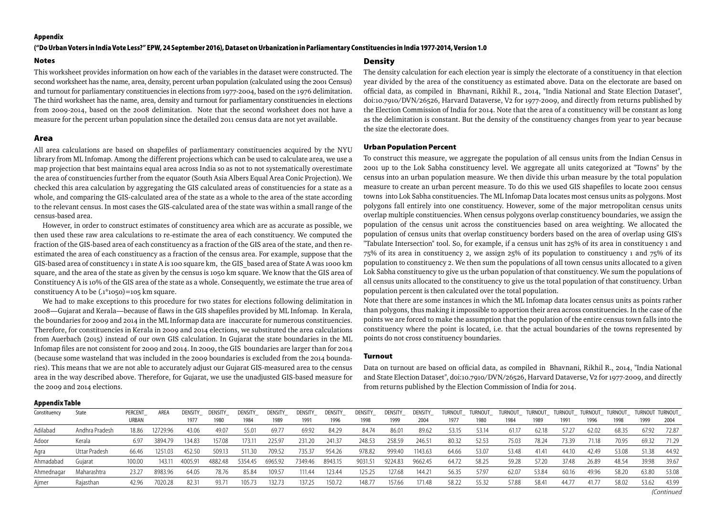#### **Appendix**

#### **("Do Urban Voters in India Vote Less?" EPW, 24 September 2016), Dataset on Urbanization in Parliamentary Constituencies in India 1977-2014, Version 1.0**

#### **Notes**

This worksheet provides information on how each of the variables in the dataset were constructed. The second worksheet has the name, area, density, percent urban population (calculated using the 2001 Census) and turnout for parliamentary constituencies in elections from 1977-2004, based on the 1976 delimitation. The third worksheet has the name, area, density and turnout for parliamentary constituencies in elections from 2009-2014, based on the 2008 delimitation. Note that the second worksheet does not have a measure for the percent urban population since the detailed 2011 census data are not yet available.

#### **Area**

All area calculations are based on shapefiles of parliamentary constituencies acquired by the NYU library from ML Infomap. Among the different projections which can be used to calculate area, we use a map projection that best maintains equal area across India so as not to not systematically overestimate the area of constituencies further from the equator (South Asia Albers Equal Area Conic Projection). We checked this area calculation by aggregating the GIS calculated areas of constituencies for a state as a whole, and comparing the GIS-calculated area of the state as a whole to the area of the state according to the relevant census. In most cases the GIS-calculated area of the state was within a small range of the census-based area.

However, in order to construct estimates of constituency area which are as accurate as possible, we then used these raw area calculations to re-estimate the area of each constituency. We computed the fraction of the GIS-based area of each constituency as a fraction of the GIS area of the state, and then reestimated the area of each constituency as a fraction of the census area. For example, suppose that the GIS-based area of constituency 1 in state A is 100 square km, the GIS based area of State A was 1000 km square, and the area of the state as given by the census is 1050 km square. We know that the GIS area of Constituency A is 10% of the GIS area of the state as a whole. Consequently, we estimate the true area of constituency A to be  $(.1^*1050) = 105$  km square.

We had to make exceptions to this procedure for two states for elections following delimitation in 2008—Gujarat and Kerala—because of flaws in the GIS shapefiles provided by ML Infomap. In Kerala, the boundaries for 2009 and 2014 in the ML Informap data are inaccurate for numerous constituencies. Therefore, for constituencies in Kerala in 2009 and 2014 elections, we substituted the area calculations from Auerbach (2015) instead of our own GIS calculation. In Gujarat the state boundaries in the ML Infomap files are not consistent for 2009 and 2014. In 2009, the GIS boundaries are larger than for 2014 (because some wasteland that was included in the 2009 boundaries is excluded from the 2014 boundaries). This means that we are not able to accurately adjust our Gujarat GIS-measured area to the census area in the way described above. Therefore, for Gujarat, we use the unadjusted GIS-based measure for the 2009 and 2014 elections.

#### **Density**

The density calculation for each election year is simply the electorate of a constituency in that election year divided by the area of the constituency as estimated above. Data on the electorate are based on official data, as compiled in Bhavnani, Rikhil R., 2014, "India National and State Election Dataset", doi:10.7910/DVN/26526, Harvard Dataverse, V2 for 1977-2009, and directly from returns published by the Election Commission of India for 2014. Note that the area of a constituency will be constant as long as the delimitation is constant. But the density of the constituency changes from year to year because the size the electorate does.

#### **Urban Population Percent**

To construct this measure, we aggregate the population of all census units from the Indian Census in 2001 up to the Lok Sabha constituency level. We aggregate all units categorized at "Towns" by the census into an urban population measure. We then divide this urban measure by the total population measure to create an urban percent measure. To do this we used GIS shapefiles to locate 2001 census towns into Lok Sabha constituencies. The ML Infomap Data locates most census units as polygons. Most polygons fall entirely into one constituency. However, some of the major metropolitan census units overlap multiple constituencies. When census polygons overlap constituency boundaries, we assign the population of the census unit across the constituencies based on area weighting. We allocated the population of census units that overlap constituency borders based on the area of overlap using GIS's "Tabulate Intersection" tool. So, for example, if a census unit has 25% of its area in constituency 1 and 75% of its area in constituency 2, we assign 25% of its population to constituency 1 and 75% of its population to constituency 2. We then sum the populations of all town census units allocated to a given Lok Sabha constituency to give us the urban population of that constituency. We sum the populations of all census units allocated to the constituency to give us the total population of that constituency. Urban population percent is then calculated over the total population.

Note that there are some instances in which the ML Infomap data locates census units as points rather than polygons, thus making it impossible to apportion their area across constituencies. In the case of the points we are forced to make the assumption that the population of the entire census town falls into the constituency where the point is located, i.e. that the actual boundaries of the towns represented by points do not cross constituency boundaries.

#### **Turnout**

Data on turnout are based on official data, as compiled in Bhavnani, Rikhil R., 2014, "India National and State Election Dataset", doi:10.7910/DVN/26526, Harvard Dataverse, V2 for 1977-2009, and directly from returns published by the Election Commission of India for 2014.

#### **Appendix Table**

| - -          |                |                  |          |                 |                 |                 |                 |                 |                 |                 |                 |                 |       |                           |       |       |       |       |                                                                       |       |       |
|--------------|----------------|------------------|----------|-----------------|-----------------|-----------------|-----------------|-----------------|-----------------|-----------------|-----------------|-----------------|-------|---------------------------|-------|-------|-------|-------|-----------------------------------------------------------------------|-------|-------|
| Constituency | State          | PERCENT<br>URBAN | AREA     | DENSITY<br>1977 | DENSITY<br>1980 | DENSITY<br>1984 | DENSITY<br>1989 | DENSITY<br>1991 | DENSITY<br>1996 | DENSITY<br>1998 | DENSITY<br>1999 | DENSITY<br>2004 | 1977  | TURNOUT_ TURNOUT_<br>1980 | 1984  | 1989  | 1991  | 1996  | TURNOUT_ TURNOUT_ TURNOUT_ TURNOUT_ TURNOUT_ TURNOUT TURNOUT_<br>1998 | 1999  | 2004  |
| Adilabad     | Andhra Pradesh | 18.86            | 12729.96 | 43.06           | 49.07           | 55.01           | 69.7            | 69.92           | 84.29           | 84.74           | 86.01           | 89.62           | 53.15 | 53.14                     | 61.17 | 62.18 | 57.27 | 62.02 | 68.35                                                                 | 67.92 | 72.87 |
| Adoor        | Kerala         | 6.97             | 3894.79  | 134.83          | 157.08          | 173.11          | 225.9           | 231.20          | 241.37          | 248.53          | 258.59          | 246.5           | 80.32 | 52.53                     | 75.03 | 78.24 | 73.39 | 71.18 | 70.95                                                                 | 69.32 | 71.29 |
| Agra         | Uttar Pradesh  | 66.46            | 1251.03  | 452.50          | 509.13          | 511.30          | 709.52          | 735.37          | 954.26          | 978.82          | 999.40          | 1143.63         | 64.66 | 53.07                     | 53.48 | 41.41 | 44.10 | 42.49 | 53.08                                                                 | 51.38 | 44.92 |
| Ahmadabad    | Gujarat        | 100.00           | 143.11   | 4005.91         | 4882.48         | 5354.45         | 6965.92         | 7349.46         | 8943.15         | 9031.51         | 9224.83         | 9662.45         | 64.72 | 58.25                     | 59.28 | 57.20 | 37.48 | 26.89 | 48.54                                                                 | 39.98 | 39.67 |
| Ahmednagar   | Maharashtra    | 23.27            | 8983.96  | 64.05           | 78.76           | 85.84           | 109.57          | 111.44          | 123.44          | 125.25          | 127.68          | $144.2^{\circ}$ | 56.35 | 57.97                     | 62.07 | 53.84 | 60.16 | 49.96 | 58.20                                                                 | 63.80 | 53.08 |
| Aimer        | Raiasthan      | 42.96            | 7020.28  | 82.31           | 93.71           | 105.73          | 132.73          | 137.25          | 150.72          | 148.77          | 157.66          | 171.48          | 58.22 | 55.32                     | 57.88 | 58.41 | 44.77 | 41.7  | 58.02                                                                 | 53.62 | 43.99 |
|              |                |                  |          |                 |                 |                 |                 |                 |                 |                 |                 |                 |       |                           |       |       |       |       |                                                                       |       |       |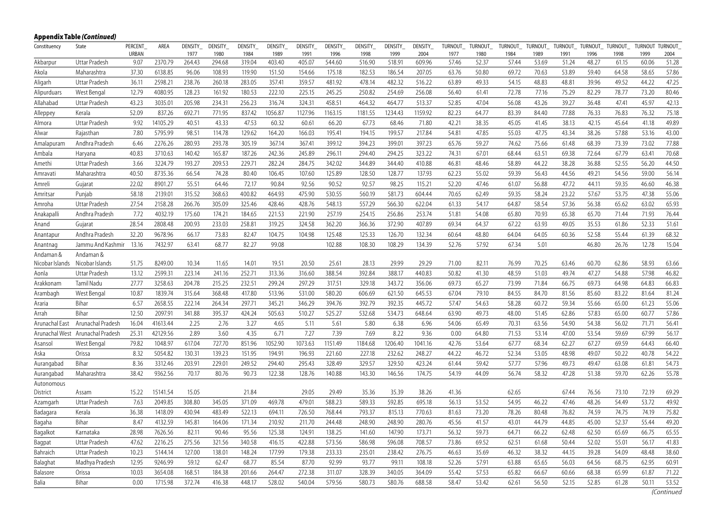| Constituency    | State                            | PERCENT              | AREA     | DENSITY_       | DENSITY_       | DENSITY_       | DENSITY        | DENSITY_       | DENSITY_       | DENSITY_       | DENSITY_       | DENSITY_       | TURNOUT_      | TURNOUT       | TURNOUT       | TURNOUT       | TURNOUT       | TURNOUT_      | TURNOUT       | <b>TURNOUT</b> | <b>TURNOUT</b> |
|-----------------|----------------------------------|----------------------|----------|----------------|----------------|----------------|----------------|----------------|----------------|----------------|----------------|----------------|---------------|---------------|---------------|---------------|---------------|---------------|---------------|----------------|----------------|
| Akbarpur        | <b>Uttar Pradesh</b>             | <b>URBAN</b><br>9.07 | 2370.79  | 1977<br>264.43 | 1980<br>294.68 | 1984<br>319.04 | 1989<br>403.40 | 1991<br>405.07 | 1996<br>544.60 | 1998<br>516.90 | 1999<br>518.91 | 2004<br>609.96 | 1977<br>57.46 | 1980<br>52.37 | 1984<br>57.44 | 1989<br>53.69 | 1991<br>51.24 | 1996<br>48.27 | 1998<br>61.15 | 1999<br>60.06  | 2004<br>51.28  |
|                 |                                  |                      |          |                |                |                |                |                |                |                |                |                |               |               |               |               |               |               |               |                |                |
| Akola           | Maharashtra                      | 37.30                | 6138.85  | 96.06          | 108.93         | 119.90         | 151.50         | 154.66         | 175.18         | 182.53         | 186.54         | 207.05         | 63.76         | 50.80         | 69.72         | 70.63         | 53.89         | 59.40         | 64.58         | 58.65          | 57.86          |
| Aligarh         | Uttar Pradesh                    | 36.11                | 2598.21  | 238.76         | 260.18         | 283.05         | 357.41         | 359.57         | 481.92         | 478.14         | 482.32         | 516.22         | 63.89         | 49.33         | 54.15         | 48.83         | 48.81         | 39.96         | 49.52         | 44.22          | 47.25          |
| Alipurduars     | West Bengal                      | 12.79                | 4080.95  | 128.23         | 161.92         | 180.53         | 222.10         | 225.15         | 245.25         | 250.82         | 254.69         | 256.08         | 56.40         | 61.41         | 72.78         | 77.16         | 75.29         | 82.29         | 78.77         | 73.20          | 80.46          |
| Allahabad       | Uttar Pradesh                    | 43.23                | 3035.01  | 205.98         | 234.31         | 256.23         | 316.74         | 324.31         | 458.51         | 464.32         | 464.77         | 513.37         | 52.85         | 47.04         | 56.08         | 43.26         | 39.27         | 36.48         | 47.41         | 45.97          | 42.13          |
| Alleppey        | Kerala                           | 52.09                | 837.26   | 692.71         | 771.95         | 837.42         | 1056.87        | 1127.96        | 1163.15        | 1181.55        | 1234.43        | 1159.92        | 82.23         | 64.77         | 83.39         | 84.40         | 77.88         | 76.33         | 76.83         | 76.32          | 75.18          |
| Almora          | Uttar Pradesh                    | 9.92                 | 14105.29 | 40.51          | 43.33          | 47.53          | 60.32          | 60.61          | 66.20          | 67.73          | 68.46          | 71.80          | 42.21         | 38.35         | 45.05         | 41.45         | 38.13         | 42.15         | 45.64         | 41.18          | 49.89          |
| Alwar           | Rajasthan                        | 7.80                 | 5795.99  | 98.51          | 114.78         | 129.62         | 164.20         | 166.03         | 195.41         | 194.15         | 199.57         | 217.84         | 54.81         | 47.85         | 55.03         | 47.75         | 43.34         | 38.26         | 57.88         | 53.16          | 43.00          |
| Amalapuram      | Andhra Pradesh                   | 6.46                 | 2276.26  | 280.93         | 293.78         | 305.19         | 367.14         | 367.41         | 399.12         | 394.23         | 399.01         | 397.23         | 65.76         | 59.27         | 74.62         | 75.66         | 61.48         | 68.39         | 73.39         | 73.02          | 77.88          |
| Ambala          | Haryana                          | 40.83                | 3710.63  | 140.42         | 165.87         | 187.26         | 242.36         | 245.89         | 296.11         | 294.40         | 294.25         | 323.22         | 74.31         | 67.01         | 68.44         | 63.51         | 69.38         | 72.64         | 67.79         | 63.41          | 70.68          |
| Amethi          | Uttar Pradesh                    | 3.66                 | 3224.79  | 193.27         | 209.53         | 229.71         | 282.24         | 284.75         | 342.02         | 344.89         | 344.40         | 410.88         | 46.81         | 48.46         | 58.89         | 44.22         | 38.28         | 36.88         | 52.55         | 56.20          | 44.50          |
| Amravati        | Maharashtra                      | 40.50                | 8735.36  | 66.54          | 74.28          | 80.40          | 106.45         | 107.60         | 125.89         | 128.50         | 128.77         | 137.93         | 62.23         | 55.02         | 59.39         | 56.43         | 44.56         | 49.21         | 54.56         | 59.00          | 56.14          |
| Amreli          | Gujarat                          | 22.02                | 8901.27  | 55.51          | 64.46          | 72.17          | 90.84          | 92.56          | 90.52          | 92.57          | 98.25          | 115.21         | 52.20         | 47.46         | 61.07         | 56.88         | 47.72         | 44.11         | 59.35         | 46.60          | 46.38          |
| Amritsar        | Punjab                           | 58.18                | 2139.01  | 315.52         | 368.63         | 400.82         | 464.93         | 475.90         | 530.55         | 560.19         | 581.73         | 604.44         | 70.65         | 62.49         | 59.35         | 58.24         | 23.22         | 57.67         | 53.75         | 47.38          | 55.06          |
| Amroha          | Uttar Pradesh                    | 27.54                | 2158.28  | 266.76         | 305.09         | 325.46         | 428.46         | 428.76         | 548.13         | 557.29         | 566.30         | 622.04         | 61.33         | 54.17         | 64.87         | 58.54         | 57.36         | 56.38         | 65.62         | 63.02          | 65.93          |
| Anakapalli      | Andhra Pradesh                   | 7.72                 | 4032.19  | 175.60         | 174.21         | 184.65         | 221.53         | 221.90         | 257.19         | 254.15         | 256.86         | 253.74         | 51.81         | 54.08         | 65.80         | 70.93         | 65.38         | 65.70         | 71.44         | 71.93          | 76.44          |
| Anand           | Gujarat                          | 28.54                | 2808.48  | 200.93         | 233.03         | 258.81         | 319.25         | 324.58         | 362.20         | 366.36         | 372.90         | 407.89         | 69.34         | 64.37         | 67.22         | 63.93         | 49.05         | 35.53         | 61.86         | 52.33          | 51.61          |
| Anantapur       | Andhra Pradesh                   | 32.20                | 9678.96  | 66.17          | 73.83          | 82.47          | 104.75         | 104.98         | 125.48         | 125.33         | 126.70         | 132.34         | 60.64         | 48.80         | 64.04         | 64.05         | 60.36         | 52.58         | 55.44         | 61.39          | 68.32          |
| Anantnag        | Jammu And Kashmir                | 13.16                | 7432.97  | 63.41          | 68.77          | 82.27          | 99.08          |                | 102.88         | 108.30         | 108.29         | 134.39         | 52.76         | 57.92         | 67.34         | 5.01          |               | 46.80         | 26.76         | 12.78          | 15.04          |
| Andaman &       | Andaman &                        |                      |          |                |                |                |                |                |                |                |                |                |               |               |               |               |               |               |               |                |                |
| Nicobar Islands | Nicobar Islands                  | 51.75                | 8249.00  | 10.34          | 11.65          | 14.01          | 19.51          | 20.50          | 25.61          | 28.13          | 29.99          | 29.29          | 71.00         | 82.11         | 76.99         | 70.25         | 63.46         | 60.70         | 62.86         | 58.93          | 63.66          |
| Aonla           | Uttar Pradesh                    | 13.12                | 2599.31  | 223.14         | 241.16         | 252.71         | 313.36         | 316.60         | 388.54         | 392.84         | 388.17         | 440.83         | 50.82         | 41.30         | 48.59         | 51.03         | 49.74         | 47.27         | 54.88         | 57.98          | 46.82          |
| Arakkonam       | Tamil Nadu                       | 27.77                | 3258.63  | 204.78         | 215.25         | 232.51         | 299.24         | 297.29         | 317.51         | 329.18         | 343.72         | 356.06         | 69.73         | 65.27         | 73.99         | 71.84         | 66.75         | 69.73         | 64.98         | 64.83          | 66.83          |
| Arambagh        | West Bengal                      | 10.87                | 1839.74  | 315.64         | 368.48         | 417.80         | 513.96         | 531.00         | 580.20         | 606.69         | 621.50         | 645.53         | 67.04         | 79.10         | 84.55         | 84.70         | 81.56         | 85.60         | 83.22         | 81.64          | 81.24          |
| Araria          | Bihar                            | 6.57                 | 2658.55  | 222.14         | 264.34         | 297.71         | 345.21         | 346.29         | 394.76         | 392.79         | 392.35         | 445.72         | 57.47         | 54.63         | 58.28         | 60.72         | 59.34         | 55.66         | 65.00         | 61.23          | 55.06          |
| Arrah           | Bihar                            | 12.50                | 2097.91  | 341.88         | 395.37         | 424.24         | 505.63         | 510.27         | 525.27         | 532.68         | 534.73         | 648.64         | 63.90         | 49.73         | 48.00         | 51.45         | 62.86         | 57.83         | 65.00         | 60.77          | 57.86          |
| Arunachal East  | Arunachal Pradesh                | 16.04                | 41613.44 | 2.25           | 2.76           | 3.27           | 4.65           | 5.11           | 5.61           | 5.80           | 6.38           | 6.96           | 54.06         | 65.49         | 70.31         | 63.56         | 54.90         | 54.38         | 56.02         | 71.71          | 56.41          |
|                 | Arunachal West Arunachal Pradesh | 25.31                | 42129.56 | 2.89           | 3.60           | 4.35           | 6.71           | 7.27           | 7.39           | 7.69           | 8.22           | 9.36           | 0.00          | 64.80         | 71.53         | 53.14         | 47.00         | 53.54         | 59.69         | 67.99          | 56.17          |
| Asansol         | West Bengal                      | 79.82                | 1048.97  | 617.04         | 727.70         | 851.96         | 1052.90        | 1073.63        | 1151.49        | 1184.68        | 1206.40        | 1041.16        | 42.76         | 53.64         | 67.77         | 68.34         | 62.27         | 67.27         | 69.59         | 64.43          | 66.40          |
| Aska            | Orissa                           | 8.32                 | 5054.82  | 130.31         | 139.23         | 151.95         | 194.91         | 196.93         | 221.60         | 227.18         | 232.62         | 248.27         | 44.22         | 46.72         | 52.34         | 53.05         | 48.98         | 49.07         | 50.22         | 40.78          | 54.22          |
| Aurangabad      | Bihar                            | 8.36                 | 3312.46  | 203.91         | 229.01         | 249.52         | 294.40         | 295.43         | 328.49         | 329.57         | 329.50         | 423.24         | 61.44         | 59.42         | 57.77         | 57.96         | 49.73         | 49.47         | 63.08         | 61.81          | 54.73          |
| Aurangabad      | Maharashtra                      | 38.42                | 9362.56  | 70.17          | 80.76          | 90.73          | 122.38         | 128.76         | 140.88         | 143.30         | 146.56         | 174.75         | 54.19         | 44.09         | 56.74         | 58.32         | 47.28         | 51.38         | 59.70         | 62.26          | 55.78          |
| Autonomous      |                                  |                      |          |                |                |                |                |                |                |                |                |                |               |               |               |               |               |               |               |                |                |
| District        | Assam                            | 15.22                | 15141.54 | 15.05          |                | 21.84          |                | 29.05          | 29.49          | 35.36          | 35.39          | 38.26          | 41.36         |               | 62.65         |               | 67.44         | 76.56         | 73.10         | 72.19          | 69.29          |
| Azamgarh        | Uttar Pradesh                    | 7.63                 | 2049.85  | 308.80         | 345.05         | 371.09         | 469.78         | 479.01         | 588.23         | 589.33         | 592.85         | 695.18         | 56.13         | 53.52         | 54.95         | 46.22         | 47.46         | 48.26         | 54.49         | 53.72          | 49.92          |
| Badagara        | Kerala                           | 36.38                | 1418.09  | 430.94         | 483.49         | 522.13         | 694.11         | 726.50         | 768.44         | 793.37         | 815.13         | 770.63         | 81.63         | 73.20         | 78.26         | 80.48         | 76.82         | 74.59         | 74.75         | 74.19          | 75.82          |
| Bagaha          | Bihar                            | 8.47                 | 4132.59  | 145.81         | 164.06         | 171.34         | 210.92         | 211.70         | 244.48         | 248.90         | 248.90         | 280.76         | 45.56         | 41.57         | 43.01         | 44.79         | 44.85         | 45.00         | 52.37         | 55.44          | 49.20          |
| Bagalkot        | Karnataka                        | 28.98                | 7626.56  | 82.11          | 90.46          | 95.56          | 125.38         | 124.91         | 138.25         | 141.60         | 147.90         | 173.71         | 56.32         | 59.73         | 64.71         | 66.22         | 62.48         | 62.50         | 65.69         | 66.75          | 65.55          |
| Bagpat          | Uttar Pradesh                    | 47.62                | 2216.25  | 275.56         | 321.56         | 340.58         | 416.15         | 422.88         | 573.56         | 586.98         | 596.08         | 708.57         | 73.86         | 69.52         | 62.51         | 61.68         | 50.44         | 52.02         | 55.01         | 56.17          | 41.83          |
| Bahraich        | Uttar Pradesh                    | 10.23                | 5144.14  | 127.00         | 138.01         | 148.24         | 177.99         | 179.38         | 233.33         | 235.01         | 238.42         | 276.75         | 46.63         | 35.69         | 46.32         | 38.32         | 44.15         | 39.28         | 54.09         | 48.48          | 38.60          |
| Balaghat        | Madhya Pradesh                   | 12.95                | 9246.99  | 59.12          | 62.47          | 68.77          | 85.54          | 87.70          | 92.99          | 93.77          | 99.11          | 108.18         | 52.26         | 57.91         | 63.88         | 65.65         | 56.03         | 64.56         | 68.75         | 62.95          | 60.91          |
| Balasore        | Orissa                           | 10.03                | 3654.08  | 168.51         | 184.38         | 201.66         | 264.47         | 272.38         | 311.07         | 328.39         | 340.05         | 364.09         | 55.42         | 57.53         | 65.82         | 66.67         | 60.66         | 68.38         | 65.99         | 61.87          | 71.22          |
| Balia           | Bihar                            | 0.00                 | 1715.98  | 372.74         | 416.38         | 448.17         | 528.02         | 540.04         | 579.56         | 580.73         | 580.76         | 688.58         | 58.47         | 53.42         | 62.61         | 56.50         | 52.15         | 52.85         | 61.28         | 50.11          | 53.52          |
|                 |                                  |                      |          |                |                |                |                |                |                |                |                |                |               |               |               |               |               |               |               |                |                |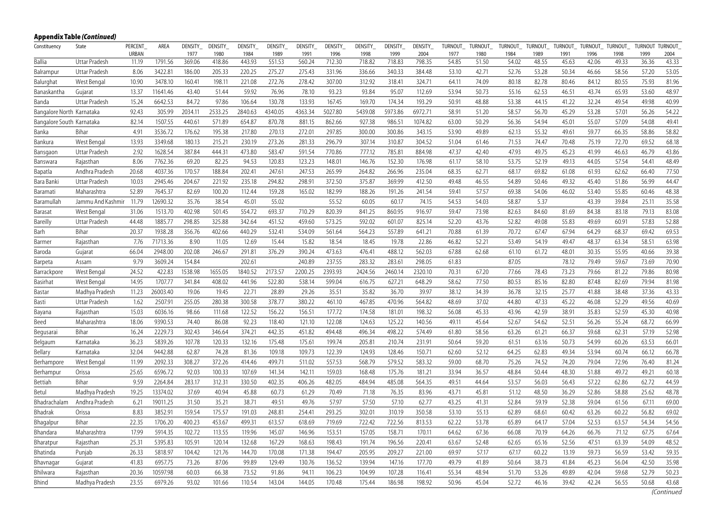| Constituency              | State             | PERCENT | AREA     | DENSITY_ | DENSITY_ | DENSITY_ | DENSITY | DENSITY_ | DENSITY_ | DENSITY_ | DENSITY_ | DENSITY_ | TURNOUT_ | TURNOUT | TURNOUT_ | TURNOUT | TURNOUT_ | TURNOUT_ | TURNOUT_ | <b>TURNOUT</b> | <b>TURNOUT</b> |
|---------------------------|-------------------|---------|----------|----------|----------|----------|---------|----------|----------|----------|----------|----------|----------|---------|----------|---------|----------|----------|----------|----------------|----------------|
|                           |                   | URBAN   |          | 1977     | 1980     | 1984     | 1989    | 1991     | 1996     | 1998     | 1999     | 2004     | 1977     | 1980    | 1984     | 1989    | 1991     | 1996     | 1998     | 1999           | 2004           |
| Ballia                    | Uttar Pradesh     | 11.19   | 1791.56  | 369.06   | 418.86   | 443.93   | 551.53  | 560.24   | 712.30   | 718.82   | 718.83   | 798.35   | 54.85    | 51.50   | 54.02    | 48.55   | 45.63    | 42.06    | 49.33    | 36.36          | 43.33          |
| Balrampur                 | Uttar Pradesh     | 8.06    | 3422.81  | 186.00   | 205.33   | 220.25   | 275.27  | 275.43   | 331.96   | 336.66   | 340.33   | 384.48   | 53.10    | 42.71   | 52.76    | 53.28   | 50.34    | 46.66    | 58.56    | 57.20          | 53.05          |
| Balurghat                 | West Bengal       | 10.90   | 3478.10  | 160.41   | 198.11   | 221.08   | 272.76  | 278.42   | 307.00   | 312.92   | 318.41   | 324.71   | 64.11    | 74.09   | 80.18    | 82.78   | 80.46    | 84.12    | 80.55    | 75.93          | 81.96          |
| Banaskantha               | Gujarat           | 13.37   | 11641.46 | 43.40    | 51.44    | 59.92    | 76.96   | 78.10    | 93.23    | 93.84    | 95.07    | 112.69   | 53.94    | 50.73   | 55.16    | 62.53   | 46.51    | 43.74    | 65.93    | 53.60          | 48.97          |
| Banda                     | Uttar Pradesh     | 15.24   | 6642.53  | 84.72    | 97.86    | 106.64   | 130.78  | 133.93   | 167.45   | 169.70   | 174.34   | 193.29   | 50.91    | 48.88   | 53.38    | 44.15   | 41.22    | 32.24    | 49.54    | 49.98          | 40.99          |
| Bangalore North Karnataka |                   | 92.43   | 305.99   | 2034.11  | 2533.25  | 2840.63  | 4340.05 | 4363.34  | 5027.80  | 5439.08  | 5973.86  | 6972.71  | 58.91    | 51.20   | 58.57    | 56.70   | 45.29    | 53.28    | 57.01    | 56.26          | 54.22          |
| Bangalore South Karnataka |                   | 82.14   | 1507.55  | 440.61   | 571.89   | 654.87   | 870.78  | 881.15   | 862.66   | 927.38   | 986.51   | 1074.82  | 63.00    | 50.29   | 56.36    | 54.94   | 45.01    | 55.07    | 57.09    | 54.08          | 49.41          |
| Banka                     | Bihar             | 4.91    | 3536.72  | 176.62   | 195.38   | 217.80   | 270.13  | 272.01   | 297.85   | 300.00   | 300.86   | 343.15   | 53.90    | 49.89   | 62.13    | 55.32   | 49.61    | 59.77    | 66.35    | 58.86          | 58.82          |
| Bankura                   | West Bengal       | 13.93   | 3349.68  | 180.13   | 215.21   | 230.19   | 273.26  | 281.33   | 296.79   | 307.14   | 310.87   | 304.52   | 51.04    | 61.46   | 71.53    | 74.47   | 70.48    | 75.19    | 72.70    | 69.52          | 68.18          |
| Bansgaon                  | Uttar Pradesh     | 2.92    | 1628.54  | 387.84   | 444.31   | 473.80   | 583.47  | 591.54   | 770.86   | 777.12   | 785.81   | 884.98   | 47.37    | 42.40   | 47.93    | 49.75   | 45.23    | 41.99    | 46.63    | 46.79          | 43.86          |
| Banswara                  | Rajasthan         | 8.06    | 7762.36  | 69.20    | 82.25    | 94.53    | 120.83  | 123.23   | 148.01   | 146.76   | 152.30   | 176.98   | 61.17    | 58.10   | 53.75    | 52.19   | 49.13    | 44.05    | 57.54    | 54.41          | 48.49          |
| Bapatla                   | Andhra Pradesh    | 20.68   | 4037.36  | 170.57   | 188.84   | 202.41   | 247.61  | 247.53   | 265.99   | 264.82   | 266.96   | 235.04   | 68.35    | 62.71   | 68.17    | 69.82   | 61.08    | 61.93    | 62.62    | 66.40          | 77.50          |
| Bara Banki                | Uttar Pradesh     | 10.03   | 2945.46  | 204.67   | 221.92   | 235.18   | 294.82  | 298.91   | 372.50   | 375.87   | 369.99   | 412.50   | 49.48    | 46.55   | 54.89    | 50.46   | 49.32    | 45.40    | 51.86    | 56.99          | 44.47          |
| Baramati                  | Maharashtra       | 52.89   | 7645.37  | 82.69    | 100.20   | 112.44   | 159.28  | 165.02   | 182.99   | 188.26   | 191.26   | 241.54   | 59.41    | 57.57   | 69.38    | 54.06   | 46.02    | 53.40    | 55.85    | 60.46          | 48.38          |
| Baramullah                | Jammu And Kashmir | 11.79   | 12690.32 | 35.76    | 38.54    | 45.01    | 55.02   |          | 55.52    | 60.05    | 60.17    | 74.15    | 54.53    | 54.03   | 58.87    | 5.37    |          | 43.39    | 39.84    | 25.11          | 35.58          |
| Barasat                   | West Bengal       | 31.06   | 1513.70  | 402.98   | 501.45   | 554.72   | 693.37  | 710.29   | 820.39   | 841.25   | 860.95   | 916.97   | 59.47    | 73.98   | 82.63    | 84.60   | 81.69    | 84.38    | 83.18    | 79.13          | 83.08          |
| Bareilly                  | Uttar Pradesh     | 44.48   | 1885.77  | 298.85   | 325.88   | 342.64   | 451.52  | 459.60   | 573.25   | 592.02   | 601.07   | 825.14   | 52.20    | 43.76   | 52.82    | 49.08   | 55.83    | 49.69    | 60.91    | 57.83          | 52.88          |
| Barh                      | Bihar             | 20.37   | 1938.28  | 356.76   | 402.66   | 440.29   | 532.41  | 534.09   | 561.64   | 564.23   | 557.89   | 641.21   | 70.88    | 61.39   | 70.72    | 67.47   | 67.94    | 64.29    | 68.37    | 69.42          | 69.53          |
| Barmer                    | Rajasthan         | 7.76    | 71713.36 | 8.90     | 11.05    | 12.69    | 15.44   | 15.82    | 18.54    | 18.45    | 19.78    | 22.86    | 46.82    | 52.21   | 53.49    | 54.19   | 49.47    | 48.37    | 63.34    | 58.51          | 63.98          |
| Baroda                    | Gujarat           | 66.04   | 2948.00  | 202.08   | 246.67   | 291.81   | 376.29  | 390.24   | 473.63   | 476.41   | 488.12   | 562.03   | 67.88    | 62.68   | 61.10    | 61.72   | 48.01    | 30.35    | 55.95    | 40.66          | 39.38          |
| Barpeta                   | Assam             | 9.79    | 3609.24  | 154.84   |          | 202.61   |         | 240.89   | 237.55   | 283.32   | 283.61   | 298.05   | 61.83    |         | 87.05    |         | 78.12    | 79.49    | 59.67    | 73.69          | 70.90          |
| Barrackpore               | West Bengal       | 24.52   | 422.83   | 1538.98  | 1655.05  | 1840.52  | 2173.57 | 2200.25  | 2393.93  | 2424.56  | 2460.14  | 2320.10  | 70.31    | 67.20   | 77.66    | 78.43   | 73.23    | 79.66    | 81.22    | 79.86          | 80.98          |
| Basirhat                  | West Bengal       | 14.95   | 1707.77  | 341.84   | 408.02   | 441.96   | 522.80  | 538.14   | 599.04   | 616.75   | 627.21   | 648.29   | 58.62    | 77.50   | 80.53    | 85.16   | 82.80    | 87.48    | 82.69    | 79.94          | 81.98          |
| Bastar                    | Madhya Pradesh    | 11.23   | 26003.40 | 19.06    | 19.45    | 22.71    | 28.89   | 29.26    | 35.51    | 35.82    | 36.70    | 39.97    | 38.12    | 34.39   | 36.78    | 32.15   | 25.77    | 41.88    | 38.48    | 37.36          | 43.33          |
| Basti                     | Uttar Pradesh     | 1.62    | 2507.91  | 255.05   | 280.38   | 300.58   | 378.77  | 380.22   | 461.10   | 467.85   | 470.96   | 564.82   | 48.69    | 37.02   | 44.80    | 47.33   | 45.22    | 46.08    | 52.29    | 49.56          | 40.69          |
| Bayana                    | Rajasthan         | 15.03   | 6036.16  | 98.66    | 111.68   | 122.52   | 156.22  | 156.51   | 177.72   | 174.58   | 181.01   | 198.32   | 56.08    | 45.33   | 43.96    | 42.59   | 38.91    | 35.83    | 52.59    | 45.30          | 40.98          |
| Beed                      | Maharashtra       | 18.06   | 9390.53  | 74.40    | 86.08    | 92.23    | 118.40  | 121.10   | 122.08   | 124.63   | 125.22   | 140.56   | 49.11    | 45.64   | 52.67    | 54.62   | 52.51    | 56.26    | 55.24    | 68.72          | 66.99          |
| Begusarai                 | Bihar             | 16.24   | 2229.73  | 302.43   | 346.64   | 374.21   | 442.35  | 451.82   | 494.48   | 496.34   | 498.22   | 574.49   | 61.80    | 58.56   | 63.26    | 61.21   | 66.37    | 59.68    | 62.31    | 57.19          | 52.98          |
| Belgaum                   | Karnataka         | 36.23   | 5839.26  | 107.78   | 120.33   | 132.16   | 175.48  | 175.61   | 199.74   | 205.81   | 210.74   | 231.91   | 50.64    | 59.20   | 61.51    | 63.16   | 50.73    | 54.99    | 60.26    | 63.53          | 66.01          |
| Bellary                   | Karnataka         | 32.04   | 9442.88  | 62.87    | 74.28    | 81.36    | 109.18  | 109.73   | 122.39   | 124.93   | 128.46   | 150.71   | 62.60    | 52.12   | 64.25    | 62.83   | 49.34    | 53.94    | 60.74    | 66.12          | 66.78          |
| Berhampore                | West Bengal       | 11.99   | 2092.33  | 308.27   | 372.26   | 414.46   | 499.71  | 511.02   | 557.53   | 568.79   | 579.52   | 583.32   | 59.00    | 68.70   | 75.26    | 74.52   | 74.20    | 79.04    | 72.96    | 76.40          | 81.24          |
| Berhampur                 | Orissa            | 25.65   | 6596.72  | 92.03    | 100.33   | 107.69   | 141.34  | 142.11   | 159.03   | 168.48   | 175.76   | 181.21   | 33.94    | 36.57   | 48.84    | 50.44   | 48.30    | 51.88    | 49.72    | 49.21          | 60.18          |
| Bettiah                   | Bihar             | 9.59    | 2264.84  | 283.17   | 312.31   | 330.50   | 402.35  | 406.26   | 482.05   | 484.94   | 485.08   | 564.35   | 49.51    | 44.64   | 53.57    | 56.03   | 56.43    | 57.22    | 62.86    | 62.72          | 44.59          |
| Betul                     | Madhya Pradesh    | 19.25   | 13374.02 | 37.69    | 40.94    | 45.88    | 60.73   | 61.29    | 70.49    | 71.18    | 76.35    | 83.96    | 43.71    | 45.81   | 51.12    | 48.50   | 36.29    | 52.86    | 58.88    | 25.62          | 48.78          |
| Bhadrachalam              | Andhra Pradesh    | 6.21    | 19011.25 | 31.50    | 35.21    | 38.71    | 49.51   | 49.76    | 57.97    | 57.50    | 57.10    | 62.77    | 43.25    | 41.31   | 52.84    | 59.19   | 52.38    | 59.04    | 61.56    | 67.11          | 69.00          |
| Bhadrak                   | Orissa            | 8.83    | 3852.91  | 159.54   | 175.57   | 191.03   | 248.81  | 254.41   | 293.25   | 302.01   | 310.19   | 350.58   | 53.10    | 55.13   | 62.89    | 68.61   | 60.42    | 63.26    | 60.22    | 56.82          | 69.02          |
| Bhagalpur                 | Bihar             | 22.35   | 1706.20  | 400.23   | 453.67   | 499.31   | 613.57  | 618.69   | 719.69   | 722.42   | 722.56   | 813.53   | 62.22    | 53.78   | 65.89    | 64.17   | 57.04    | 52.53    | 63.57    | 54.34          | 54.56          |
| Bhandara                  | Maharashtra       | 17.99   | 5914.35  | 102.72   | 113.55   | 119.96   | 145.07  | 146.96   | 153.51   | 157.05   | 158.71   | 170.11   | 64.62    | 67.36   | 66.08    | 70.19   | 64.26    | 66.76    | 71.12    | 67.75          | 67.64          |
| Bharatpur                 | Rajasthan         | 25.31   | 5395.83  | 105.91   | 120.14   | 132.68   | 167.29  | 168.63   | 198.43   | 191.74   | 196.56   | 220.41   | 63.67    | 52.48   | 62.65    | 65.16   | 52.56    | 47.51    | 63.39    | 54.09          | 48.52          |
| Bhatinda                  | Puniab            | 26.33   | 5818.97  | 104.42   | 121.76   | 144.70   | 170.08  | 171.38   | 194.47   | 205.95   | 209.27   | 221.00   | 69.97    | 57.17   | 67.17    | 60.22   | 13.19    | 59.73    | 56.59    | 53.42          | 59.35          |
| Bhavnagar                 | Gujarat           | 41.83   | 6957.75  | 73.26    | 87.06    | 99.89    | 129.49  | 130.76   | 136.52   | 139.94   | 147.16   | 177.70   | 49.79    | 41.89   | 50.64    | 38.73   | 41.84    | 45.23    | 56.04    | 42.50          | 35.98          |
| Bhilwara                  | Rajasthan         | 20.36   | 10597.98 | 60.03    | 66.38    | 73.52    | 91.86   | 94.11    | 106.23   | 104.99   | 107.28   | 116.41   | 55.34    | 48.94   | 51.70    | 53.26   | 49.89    | 42.04    | 59.68    | 52.79          | 50.23          |
| Bhind                     | Madhya Pradesh    | 23.55   | 6979.26  | 93.02    | 101.66   | 110.54   | 143.04  | 144.05   | 170.48   | 175.44   | 186.98   | 198.92   | 50.96    | 45.04   | 52.72    | 46.16   | 39.42    | 42.24    | 56.55    | 50.68          | 43.68          |
|                           |                   |         |          |          |          |          |         |          |          |          |          |          |          |         |          |         |          |          |          |                |                |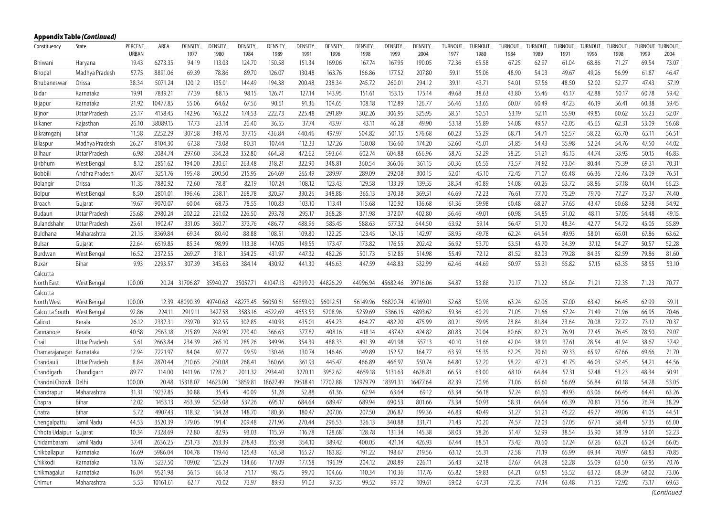|                          | Appendix Table (Continued) |                         |          |                 |                  |                 |                 |                 |                        |                  |                 |                 |                 |                 |                 |                  |                 |                  |                 |                        |                        |
|--------------------------|----------------------------|-------------------------|----------|-----------------|------------------|-----------------|-----------------|-----------------|------------------------|------------------|-----------------|-----------------|-----------------|-----------------|-----------------|------------------|-----------------|------------------|-----------------|------------------------|------------------------|
| Constituency             | State                      | PERCENT<br><b>URBAN</b> | AREA     | DENSITY<br>1977 | DENSITY_<br>1980 | DENSITY<br>1984 | DENSITY<br>1989 | DENSITY<br>1991 | <b>DENSITY</b><br>1996 | DENSITY_<br>1998 | DENSITY<br>1999 | DENSITY<br>2004 | TURNOUT<br>1977 | TURNOUT<br>1980 | TURNOUT<br>1984 | TURNOUT_<br>1989 | TURNOUT<br>1991 | TURNOUT_<br>1996 | TURNOUT<br>1998 | <b>TURNOUT</b><br>1999 | <b>TURNOUT</b><br>2004 |
| Bhiwani                  | Haryana                    | 19.43                   | 6273.35  | 94.19           | 113.03           | 124.70          | 150.58          | 151.34          | 169.06                 | 167.74           | 167.95          | 190.05          | 72.36           | 65.58           | 67.25           | 62.97            | 61.04           | 68.86            | 71.27           | 69.54                  | 73.07                  |
| Bhopal                   | Madhya Pradesh             | 57.75                   | 8891.06  | 69.39           | 78.86            | 89.70           | 126.07          | 130.48          | 163.76                 | 166.86           | 177.52          | 207.80          | 59.11           | 55.06           | 48.90           | 54.03            | 49.67           | 49.26            | 56.99           | 61.87                  | 46.47                  |
| Bhubaneswar              | Orissa                     | 38.34                   | 5071.24  | 120.12          | 135.01           | 144.49          | 194.38          | 200.48          | 238.34                 | 245.72           | 260.01          | 294.12          | 39.11           | 43.71           | 54.01           | 57.56            | 48.50           | 52.02            | 52.77           | 47.43                  | 57.19                  |
| Bidar                    | Karnataka                  | 19.91                   | 7839.21  | 77.39           | 88.15            | 98.15           | 126.71          | 127.14          | 143.95                 | 151.61           | 153.15          | 175.14          | 49.68           | 38.63           | 43.80           | 55.46            | 45.17           | 42.88            | 50.17           | 60.78                  | 59.42                  |
| Bijapur                  | Karnataka                  | 21.92                   | 10477.85 | 55.06           | 64.62            | 67.56           | 90.61           | 91.36           | 104.65                 | 108.18           | 112.89          | 126.77          | 56.46           | 53.65           | 60.07           | 60.49            | 47.23           | 46.19            | 56.41           | 60.38                  | 59.45                  |
| Bijnor                   | Uttar Pradesh              | 25.17                   | 4158.45  | 142.96          | 163.22           | 174.53          | 222.73          | 225.48          | 291.89                 | 302.26           | 306.95          | 325.95          | 58.51           | 50.51           | 53.19           | 52.11            | 55.90           | 49.85            | 60.62           | 55.23                  | 52.07                  |
| Bikaner                  | Rajasthan                  | 26.10                   | 38089.15 | 17.73           | 23.14            | 26.40           | 36.55           | 37.74           | 43.97                  | 43.11            | 46.28           | 49.90           | 53.18           | 55.89           | 54.08           | 49.57            | 42.05           | 45.65            | 62.31           | 53.09                  | 56.68                  |
| Bikramganj               | Bihar                      | 11.58                   | 2252.29  | 307.58          | 349.70           | 377.15          | 436.84          | 440.46          | 497.97                 | 504.82           | 501.15          | 576.68          | 60.23           | 55.29           | 68.71           | 54.71            | 52.57           | 58.22            | 65.70           | 65.11                  | 56.51                  |
| Bilaspur                 | Madhya Pradesh             | 26.27                   | 8104.30  | 67.38           | 73.08            | 80.31           | 107.44          | 112.33          | 127.26                 | 130.08           | 136.60          | 174.20          | 52.60           | 45.01           | 51.85           | 54.43            | 35.98           | 52.24            | 54.76           | 47.50                  | 44.02                  |
| Bilhaur                  | Uttar Pradesh              | 6.98                    | 2084.74  | 297.60          | 334.28           | 352.80          | 464.58          | 472.62          | 593.64                 | 602.74           | 604.88          | 656.96          | 58.76           | 52.29           | 58.25           | 51.21            | 46.13           | 44.74            | 53.93           | 50.15                  | 46.83                  |
| Birbhum                  | West Bengal                | 8.12                    | 2851.62  | 194.00          | 230.61           | 263.48          | 318.21          | 322.90          | 348.81                 | 360.54           | 366.06          | 361.15          | 50.36           | 65.55           | 73.57           | 74.92            | 73.04           | 80.44            | 75.39           | 69.31                  | 70.31                  |
| Bobbili                  | Andhra Pradesh             | 20.47                   | 3251.76  | 195.48          | 200.50           | 215.95          | 264.69          | 265.49          | 289.97                 | 289.09           | 292.08          | 300.15          | 52.01           | 45.10           | 72.45           | 71.07            | 65.48           | 66.36            | 72.46           | 73.09                  | 76.51                  |
| Bolangir                 | Orissa                     | 11.35                   | 7880.92  | 72.60           | 78.81            | 82.19           | 107.24          | 108.12          | 123.43                 | 129.58           | 133.39          | 139.55          | 38.54           | 40.89           | 54.08           | 60.26            | 53.72           | 58.86            | 57.18           | 60.14                  | 66.23                  |
| Bolpur                   | West Bengal                | 8.50                    | 2801.01  | 196.46          | 238.11           | 268.78          | 320.57          | 330.26          | 348.88                 | 365.13           | 370.38          | 369.51          | 46.69           | 72.23           | 76.61           | 77.70            | 75.29           | 79.70            | 77.27           | 75.37                  | 74.40                  |
| Broach                   | Gujarat                    | 19.67                   | 9070.07  | 60.04           | 68.75            | 78.55           | 100.83          | 103.10          | 113.41                 | 115.68           | 120.92          | 136.68          | 61.36           | 59.98           | 60.48           | 68.27            | 57.65           | 43.47            | 60.68           | 52.98                  | 54.92                  |
| Budaun                   | Uttar Pradesh              | 25.68                   | 2980.24  | 202.22          | 221.02           | 226.50          | 293.78          | 295.17          | 368.28                 | 371.98           | 372.07          | 402.80          | 56.46           | 49.01           | 60.98           | 54.85            | 51.02           | 48.11            | 57.05           | 54.48                  | 49.15                  |
| Bulandshahr              | Uttar Pradesh              | 25.61                   | 1902.47  | 331.05          | 360.71           | 373.76          | 486.77          | 488.96          | 585.45                 | 588.63           | 577.32          | 644.50          | 63.92           | 59.14           | 56.47           | 51.70            | 48.34           | 42.77            | 54.72           | 45.05                  | 55.89                  |
| Buldhana                 | Maharashtra                | 21.15                   | 8369.84  | 69.34           | 80.40            | 88.88           | 108.51          | 109.80          | 122.25                 | 123.45           | 124.15          | 142.97          | 58.95           | 49.78           | 62.24           | 64.54            | 49.93           | 58.01            | 65.01           | 67.86                  | 63.62                  |
| Bulsar                   | Gujarat                    | 22.64                   | 6519.85  | 85.34           | 98.99            | 113.38          | 147.05          | 149.55          | 173.47                 | 173.82           | 176.55          | 202.42          | 56.92           | 53.70           | 53.51           | 45.70            | 34.39           | 37.12            | 54.27           | 50.57                  | 52.28                  |
| Burdwan                  | West Bengal                | 16.52                   | 2372.55  | 269.27          | 318.11           | 354.25          | 431.97          | 447.32          | 482.26                 | 501.73           | 512.85          | 514.98          | 55.49           | 72.12           | 81.52           | 82.03            | 79.28           | 84.35            | 82.59           | 79.86                  | 81.60                  |
| Buxar                    | Bihar                      | 9.93                    | 2293.57  | 307.39          | 345.63           | 384.14          | 430.92          | 441.30          | 446.63                 | 447.59           | 448.83          | 532.99          | 62.46           | 44.69           | 50.97           | 55.31            | 55.82           | 57.15            | 63.35           | 58.55                  | 53.10                  |
| Calcutta                 |                            |                         |          |                 |                  |                 |                 |                 |                        |                  |                 |                 |                 |                 |                 |                  |                 |                  |                 |                        |                        |
| North East               | West Bengal                | 100.00                  |          | 20.24 31706.87  | 35940.27         | 35057.71        | 41047.13        | 42399.70        | 44826.29               | 44996.94         | 45682.46        | 39716.06        | 54.87           | 53.88           | 70.17           | 71.22            | 65.04           | 71.21            | 72.35           | 71.23                  | 70.77                  |
| Calcutta                 |                            |                         |          |                 |                  |                 |                 |                 |                        |                  |                 |                 |                 |                 |                 |                  |                 |                  |                 |                        |                        |
| North West               | West Bengal                | 100.00                  | 12.39    | 48090.39        | 49740.68         | 48273.45        | 56050.61        | 56859.00        | 56012.51               | 56149.96         | 56820.74        | 49169.01        | 52.68           | 50.98           | 63.24           | 62.06            | 57.00           | 63.42            | 66.45           | 62.99                  | 59.11                  |
| Calcutta South           | West Bengal                | 92.86                   | 224.11   | 2919.11         | 3427.58          | 3583.16         | 4522.69         | 4653.53         | 5208.96                | 5259.69          | 5366.15         | 4893.62         | 59.36           | 60.29           | 71.05           | 71.66            | 67.24           | 71.49            | 71.96           | 66.95                  | 70.46                  |
| Calicut                  | Kerala                     | 26.12                   | 2332.31  | 239.70          | 302.55           | 302.85          | 410.93          | 435.01          | 454.23                 | 464.27           | 482.20          | 475.99          | 80.21           | 59.95           | 78.84           | 81.84            | 73.64           | 70.08            | 72.72           | 73.12                  | 70.37                  |
| Cannanore                | Kerala                     | 40.58                   | 2563.18  | 215.89          | 248.90           | 270.40          | 366.63          | 377.82          | 408.16                 | 418.14           | 437.42          | 424.82          | 80.83           | 70.04           | 80.66           | 82.73            | 76.91           | 72.45            | 76.45           | 78.50                  | 79.07                  |
| Chail                    | Uttar Pradesh              | 5.61                    | 2663.84  | 234.39          | 265.10           | 285.26          | 349.96          | 354.39          | 488.33                 | 491.39           | 491.98          | 557.13          | 40.10           | 31.66           | 42.04           | 38.91            | 37.61           | 28.54            | 41.94           | 38.67                  | 37.42                  |
| Chamarajanagar Karnataka |                            | 12.94                   | 7221.97  | 84.04           | 97.77            | 99.59           | 130.46          | 130.74          | 146.46                 | 149.89           | 152.57          | 164.77          | 63.59           | 55.35           | 62.25           | 70.61            | 59.33           | 65.97            | 67.66           | 69.66                  | 71.70                  |
| Chandauli                | Uttar Pradesh              | 8.84                    | 2870.44  | 210.65          | 250.08           | 268.41          | 360.66          | 361.93          | 445.47                 | 466.89           | 466.97          | 550.74          | 64.80           | 52.20           | 58.22           | 47.73            | 41.75           | 46.03            | 52.45           | 54.21                  | 44.56                  |
| Chandigarh               | Chandigarh                 | 89.77                   | 114.00   | 1411.96         | 1728.21          | 2011.32         | 2934.40         | 3270.11         | 3952.62                | 4659.18          | 5131.63         | 4628.81         | 66.53           | 63.00           | 68.10           | 64.84            | 57.31           | 57.48            | 53.23           | 48.34                  | 50.91                  |
| Chandni Chowk            | Delhi                      | 100.00                  | 20.48    | 15318.07        | 14623.00         | 13859.81        | 18627.49        | 19518.41        | 17702.88               | 17979.79         | 18391.31        | 16477.64        | 82.39           | 70.96           | 71.06           | 65.61            | 56.69           | 56.84            | 61.18           | 54.28                  | 53.05                  |
| Chandrapur               | Maharashtra                | 31.31                   | 19237.85 | 30.88           | 35.45            | 40.09           | 51.28           | 52.88           | 61.36                  | 62.94            | 63.64           | 69.12           | 63.34           | 56.18           | 57.24           | 61.60            | 49.93           | 63.06            | 66.45           | 64.41                  | 63.26                  |
| Chapra                   | Bihar                      | 12.02                   | 1453.13  | 453.39          | 525.08           | 537.26          | 695.17          | 684.64          | 689.47                 | 689.94           | 690.53          | 801.66          | 73.34           | 50.93           | 58.31           | 64.64            | 65.39           | 70.81            | 73.56           | 76.74                  | 38.29                  |
| Chatra                   | Bihar                      | 5.72                    | 4907.43  | 118.32          | 134.28           | 148.70          | 180.36          | 180.47          | 207.06                 | 207.50           | 206.87          | 199.36          | 46.83           | 40.49           | 51.27           | 51.21            | 45.22           | 49.77            | 49.06           | 41.05                  | 44.51                  |
| Chengalpattu             | <b>Tamil Nadu</b>          | 44.53                   | 3520.39  | 179.05          | 191.41           | 209.48          | 271.96          | 270.44          | 296.53                 | 326.13           | 340.88          | 331.71          | 71.43           | 70.20           | 74.57           | 72.03            | 67.05           | 67.71            | 58.41           | 57.35                  | 65.00                  |
| Chhota Udaipur           | Gujarat                    | 10.34                   | 7328.69  | 72.80           | 82.95            | 93.03           | 115.59          | 116.78          | 128.68                 | 128.78           | 131.34          | 145.38          | 58.03           | 58.26           | 51.47           | 52.99            | 38.54           | 35.90            | 58.19           | 53.01                  | 52.23                  |
| Chidambaram              | Tamil Nadu                 | 37.41                   | 2636.25  | 251.73          | 263.39           | 278.43          | 355.98          | 354.10          | 389.42                 | 400.05           | 421.14          | 426.93          | 67.44           | 68.51           | 73.42           | 70.60            | 67.24           | 67.26            | 63.21           | 65.24                  | 66.05                  |
| Chikballapur             | Karnataka                  | 16.69                   | 5986.04  | 104.78          | 119.46           | 125.43          | 163.58          | 165.27          | 183.82                 | 191.22           | 198.67          | 219.56          | 63.12           | 55.31           | 72.58           | 71.19            | 65.99           | 69.34            | 70.97           | 68.83                  | 70.85                  |
| Chikkodi                 | Karnataka                  | 13.76                   | 5237.50  | 109.02          | 125.29           | 134.66          | 177.09          | 177.58          | 196.19                 | 204.12           | 208.89          | 226.11          | 56.43           | 52.18           | 67.67           | 64.28            | 52.28           | 55.09            | 63.50           | 67.95                  | 70.76                  |
| Chikmagalur              | Karnataka                  | 16.04                   | 9521.98  | 56.15           | 66.18            | 71.17           | 98.75           | 99.70           | 104.66                 | 110.34           | 110.36          | 117.76          | 65.82           | 59.83           | 64.21           | 67.81            | 53.52           | 63.72            | 68.39           | 68.02                  | 73.06                  |
| Chimur                   | Maharashtra                | 5.53                    | 10161.61 | 62.17           | 70.02            | 73.97           | 89.93           | 91.03           | 97.35                  | 99.52            | 99.72           | 109.61          | 69.02           | 67.31           | 72.35           | 77.14            | 63.48           | 71.35            | 72.92           | 73.17                  | 69.63                  |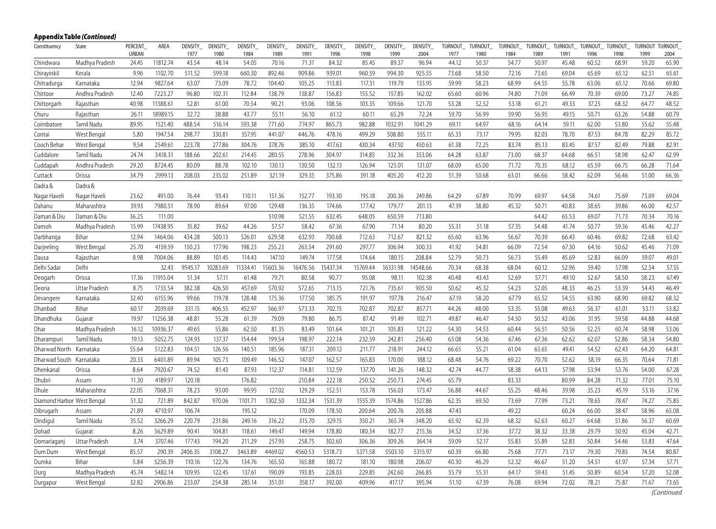|                            | Appendix Table (Continued) |                         |          |                  |                  |                 |                 |                  |                 |                 |                 |                  |                 |                 |                 |                  |                 |                 |                 |                        |                        |
|----------------------------|----------------------------|-------------------------|----------|------------------|------------------|-----------------|-----------------|------------------|-----------------|-----------------|-----------------|------------------|-----------------|-----------------|-----------------|------------------|-----------------|-----------------|-----------------|------------------------|------------------------|
| Constituency               | State                      | PERCENT<br><b>URBAN</b> | AREA     | DENSITY_<br>1977 | DENSITY_<br>1980 | DENSITY<br>1984 | DENSITY<br>1989 | DENSITY_<br>1991 | DENSITY<br>1996 | DENSITY<br>1998 | DENSITY<br>1999 | DENSITY_<br>2004 | TURNOUT<br>1977 | TURNOUT<br>1980 | TURNOUT<br>1984 | TURNOUT_<br>1989 | TURNOUT<br>1991 | TURNOUT<br>1996 | TURNOUT<br>1998 | <b>TURNOUT</b><br>1999 | <b>TURNOUT</b><br>2004 |
| Chindwara                  | Madhya Pradesh             | 24.45                   | 11812.74 | 43.54            | 48.14            | 54.05           | 70.16           | 71.31            | 84.32           | 85.45           | 89.37           | 96.94            | 44.12           | 50.37           | 54.77           | 50.97            | 45.48           | 60.52           | 68.91           | 59.20                  | 65.90                  |
| Chirayinkil                | Kerala                     | 9.96                    | 1102.70  | 511.52           | 599.18           | 660.30          | 892.46          | 909.86           | 939.01          | 960.59          | 994.30          | 925.55           | 73.68           | 58.50           | 72.16           | 73.65            | 69.04           | 65.69           | 65.12           | 62.51                  | 65.61                  |
| Chitradurga                | Karnataka                  | 12.94                   | 9827.64  | 63.07            | 73.09            | 78.72           | 104.40          | 105.25           | 113.83          | 117.31          | 119.79          | 133.95           | 59.99           | 58.23           | 68.99           | 64.55            | 55.78           | 63.06           | 65.12           | 70.66                  | 69.80                  |
| Chittoor                   | Andhra Pradesh             | 12.40                   | 7223.27  | 96.80            | 102.31           | 112.84          | 138.79          | 138.87           | 156.83          | 155.52          | 157.85          | 162.02           | 65.60           | 60.96           | 74.80           | 71.09            | 66.49           | 70.39           | 69.00           | 73.27                  | 74.85                  |
| Chittorgarh                | Rajasthan                  | 40.98                   | 11388.61 | 52.81            | 61.00            | 70.54           | 90.21           | 93.06            | 108.56          | 103.35          | 109.66          | 121.70           | 53.28           | 52.52           | 53.18           | 61.21            | 49.33           | 37.25           | 68.32           | 64.77                  | 48.52                  |
| Churu                      | Rajasthan                  | 26.11                   | 18989.15 | 32.72            | 38.88            | 43.77           | 55.11           | 56.10            | 61.12           | 60.11           | 65.29           | 72.24            | 59.70           | 56.99           | 59.90           | 56.95            | 49.15           | 50.71           | 63.26           | 54.88                  | 60.79                  |
| Coimbatore                 | Tamil Nadu                 | 89.95                   | 1521.40  | 488.54           | 516.14           | 593.38          | 771.60          | 774.97           | 865.73          | 982.88          | 1032.91         | 1041.29          | 69.11           | 64.97           | 68.16           | 64.14            | 59.11           | 62.00           | 53.80           | 55.62                  | 55.48                  |
| Contai                     | West Bengal                | 5.80                    | 1947.54  | 298.77           | 330.81           | 357.95          | 441.07          | 446.76           | 478.16          | 499.29          | 508.80          | 555.11           | 65.33           | 73.17           | 79.95           | 82.03            | 78.70           | 87.53           | 84.78           | 82.29                  | 85.72                  |
| Cooch Behar                | West Bengal                | 9.54                    | 2549.61  | 223.78           | 277.86           | 304.76          | 378.76          | 385.10           | 417.63          | 430.34          | 437.92          | 450.63           | 61.38           | 72.25           | 83.74           | 85.13            | 83.45           | 87.57           | 82.49           | 79.88                  | 82.91                  |
| Cuddalore                  | Tamil Nadu                 | 24.74                   | 3418.31  | 188.66           | 202.61           | 214.45          | 280.55          | 278.96           | 304.97          | 314.85          | 332.36          | 353.06           | 64.28           | 63.87           | 73.00           | 68.37            | 64.68           | 66.51           | 58.98           | 62.47                  | 62.99                  |
| Cuddapah                   | Andhra Pradesh             | 29.20                   | 8724.45  | 80.09            | 88.78            | 102.10          | 130.13          | 130.50           | 132.13          | 126.94          | 125.01          | 131.07           | 68.09           | 65.00           | 71.72           | 70.35            | 68.12           | 65.59           | 66.75           | 66.28                  | 71.64                  |
| Cuttack                    | Orissa                     | 34.79                   | 2999.13  | 208.03           | 235.02           | 251.89          | 321.19          | 329.35           | 375.86          | 391.18          | 405.20          | 412.20           | 51.39           | 50.68           | 63.01           | 66.66            | 58.42           | 62.09           | 56.46           | 51.00                  | 66.36                  |
| Dadra &                    | Dadra &                    |                         |          |                  |                  |                 |                 |                  |                 |                 |                 |                  |                 |                 |                 |                  |                 |                 |                 |                        |                        |
| Nagar Haveli               | Nagar Haveli               | 23.62                   | 491.00   | 76.44            | 93.43            | 110.11          | 151.36          | 152.77           | 193.30          | 195.18          | 200.36          | 249.86           | 64.29           | 67.89           | 70.99           | 69.97            | 64.58           | 74.61           | 75.69           | 73.09                  | 69.04                  |
| Dahanu                     | Maharashtra                | 39.93                   | 7980.51  | 78.90            | 89.64            | 97.00           | 129.48          | 136.35           | 174.66          | 177.42          | 179.77          | 201.13           | 47.39           | 38.80           | 45.32           | 50.71            | 40.83           | 38.65           | 39.86           | 46.00                  | 42.57                  |
| Daman & Diu                | Daman & Diu                | 36.25                   | 111.00   |                  |                  |                 | 510.98          | 521.55           | 632.45          | 648.05          | 650.59          | 713.80           |                 |                 |                 | 64.42            | 65.53           | 69.07           | 71.73           | 70.34                  | 70.16                  |
| Damoh                      | Madhya Pradesh             | 15.99                   | 17438.95 | 35.82            | 39.62            | 44.26           | 57.57           | 58.42            | 67.36           | 67.90           | 71.14           | 80.20            | 55.31           | 51.18           | 57.35           | 54.48            | 41.74           | 50.77           | 59.36           | 45.46                  | 42.27                  |
| Darbhanga                  | Bihar                      | 12.94                   | 1464.06  | 434.28           | 500.13           | 526.01          | 629.58          | 632.93           | 700.68          | 712.63          | 712.67          | 821.32           | 65.60           | 63.96           | 56.67           | 70.39            | 66.43           | 60.46           | 69.82           | 72.68                  | 63.42                  |
| Darjeeling                 | West Bengal                | 25.70                   | 4159.59  | 150.23           | 177.96           | 198.23          | 255.23          | 263.54           | 291.60          | 297.77          | 306.94          | 300.33           | 41.92           | 54.81           | 66.09           | 72.54            | 67.30           | 64.16           | 50.62           | 45.46                  | 71.09                  |
| Dausa                      | Rajasthan                  | 8.98                    | 7004.06  | 88.89            | 101.45           | 114.43          | 147.10          | 149.74           | 177.58          | 174.64          | 180.15          | 208.84           | 52.79           | 50.73           | 56.73           | 55.49            | 45.69           | 52.83           | 66.09           | 59.07                  | 49.01                  |
| Delhi Sadar                | Delhi                      |                         | 32.43    | 9545.17          | 10283.69         | 11334.41        | 15603.36        | 16476.56         | 15437.34        | 15769.44        | 16331.98        | 14548.66         | 70.34           | 68.38           | 68.04           | 60.12            | 52.96           | 59.40           | 57.98           | 52.54                  | 57.55                  |
| Deogarh                    | Orissa                     | 17.36                   | 11915.04 | 51.34            | 57.11            | 61.48           | 79.71           | 80.58            | 90.77           | 95.08           | 98.11           | 102.38           | 40.48           | 43.43           | 52.69           | 57.71            | 49.10           | 52.67           | 58.50           | 58.23                  | 67.49                  |
| Deoria                     | Uttar Pradesh              | 8.75                    | 1733.54  | 382.38           | 426.50           | 457.69          | 570.92          | 572.65           | 713.15          | 721.76          | 735.61          | 905.50           | 50.62           | 45.32           | 54.23           | 52.05            | 48.33           | 46.25           | 53.39           | 54.43                  | 46.49                  |
| Devangere                  | Karnataka                  | 32.40                   | 6155.96  | 99.66            | 119.78           | 128.48          | 175.36          | 177.50           | 185.75          | 191.97          | 197.78          | 216.47           | 67.19           | 58.20           | 67.79           | 65.52            | 54.55           | 63.90           | 68.90           | 69.82                  | 68.32                  |
| Dhanbad                    | Bihar                      | 60.17                   | 2039.69  | 331.15           | 406.55           | 452.97          | 566.97          | 573.33           | 702.15          | 702.87          | 702.87          | 857.71           | 44.26           | 48.00           | 53.35           | 55.08            | 49.63           | 56.37           | 61.01           | 53.11                  | 53.82                  |
| Dhandhuka                  | Gujarat                    | 19.97                   | 11256.38 | 48.81            | 55.28            | 61.39           | 79.09           | 79.80            | 86.75           | 87.42           | 91.49           | 102.71           | 49.87           | 46.47           | 54.50           | 50.52            | 43.06           | 31.95           | 59.58           | 44.88                  | 44.68                  |
| Dhar                       | Madhya Pradesh             | 16.12                   | 10936.37 | 49.65            | 55.86            | 62.50           | 81.35           | 83.49            | 101.64          | 101.21          | 105.83          | 121.22           | 54.30           | 54.53           | 60.44           | 56.51            | 50.56           | 52.25           | 60.74           | 58.98                  | 53.06                  |
| Dharampuri                 | Tamil Nadu                 | 19.13                   | 5052.75  | 124.93           | 137.37           | 154.44          | 199.54          | 198.97           | 222.14          | 232.59          | 242.81          | 256.40           | 63.08           | 54.36           | 67.46           | 67.36            | 62.62           | 62.07           | 52.86           | 58.34                  | 54.80                  |
| Dharwad North              | Karnataka                  | 55.64                   | 5122.83  | 104.51           | 126.56           | 140.51          | 185.96          | 187.31           | 209.12          | 211.77          | 218.91          | 244.12           | 66.65           | 55.21           | 61.04           | 63.65            | 49.41           | 54.52           | 62.43           | 64.20                  | 64.81                  |
| Dharwad South              | Karnataka                  | 20.33                   | 6401.89  | 89.94            | 105.73           | 109.49          | 146.52          | 147.07           | 162.57          | 165.83          | 170.00          | 188.12           | 68.48           | 54.76           | 69.22           | 70.70            | 52.62           | 58.19           | 66.35           | 70.64                  | 71.81                  |
| Dhenkanal                  | Orissa                     | 8.64                    | 7920.67  | 74.52            | 81.43            | 87.93           | 112.37          | 114.81           | 132.59          | 137.70          | 141.26          | 148.32           | 42.74           | 44.77           | 58.38           | 64.13            | 57.98           | 53.94           | 53.76           | 54.00                  | 67.28                  |
| Dhubri                     | Assam                      | 11.30                   | 4189.97  | 120.18           |                  | 176.82          |                 | 210.84           | 222.18          | 250.52          | 250.73          | 274.45           | 65.79           |                 | 83.33           |                  | 80.99           | 84.28           | 71.32           | 77.01                  | 75.10                  |
| Dhule                      | Maharashtra                | 22.05                   | 7068.31  | 78.23            | 93.00            | 99.95           | 127.02          | 129.29           | 152.51          | 153.78          | 156.03          | 173.47           | 56.88           | 44.67           | 55.25           | 48.46            | 39.98           | 35.23           | 45.19           | 53.16                  | 37.16                  |
| Diamond Harbor West Bengal |                            | 51.32                   | 721.89   | 842.87           | 970.06           | 1101.71         | 1302.50         | 1332.34          | 1531.39         | 1555.39         | 1574.86         | 1527.86          | 62.35           | 69.50           | 73.69           | 77.99            | 73.21           | 78.65           | 78.47           | 74.27                  | 75.85                  |
| Dibrugarh                  | Assam                      | 21.89                   | 4710.97  | 106.74           |                  | 195.12          |                 | 170.09           | 178.50          | 200.64          | 200.76          | 205.88           | 47.43           |                 | 49.22           |                  | 60.24           | 66.00           | 38.47           | 58.96                  | 65.08                  |
| Dindigul                   | Tamil Nadu                 | 35.52                   | 3266.29  | 220.79           | 231.86           | 249.16          | 316.22          | 315.70           | 329.15          | 350.21          | 365.74          | 348.20           | 65.92           | 62.39           | 68.32           | 62.63            | 60.27           | 64.68           | 51.86           | 56.37                  | 60.69                  |
| Dohad                      | Gujarat                    | 8.26                    | 5629.89  | 90.41            | 104.81           | 118.61          | 149.47          | 149.94           | 178.80          | 180.34          | 182.77          | 215.36           | 34.52           | 37.36           | 37.72           | 38.32            | 33.38           | 29.79           | 50.92           | 45.04                  | 42.71                  |
| Domariaganj                | Uttar Pradesh              | 3.74                    | 3707.46  | 177.43           | 194.20           | 211.29          | 257.93          | 258.75           | 302.60          | 306.36          | 309.26          | 364.14           | 59.09           | 52.17           | 55.83           | 55.89            | 52.83           | 50.84           | 54.46           | 53.83                  | 47.64                  |
| Dum Dum                    | West Bengal                | 85.57                   | 290.39   | 2406.35          | 3108.27          | 3463.89         | 4469.02         | 4560.53          | 5318.73         | 5371.58         | 5503.10         | 5315.97          | 60.39           | 66.80           | 75.68           | 77.71            | 73.17           | 79.30           | 79.85           | 74.54                  | 80.87                  |
| Dumka                      | Bihar                      | 5.84                    | 5256.39  | 110.16           | 122.76           | 134.76          | 165.50          | 165.88           | 180.72          | 181.10          | 180.98          | 206.07           | 40.30           | 46.29           | 52.32           | 46.67            | 51.20           | 54.51           | 61.97           | 57.34                  | 57.71                  |
| Durg                       | Madhya Pradesh             | 45.74                   | 5482.14  | 109.95           | 122.45           | 137.61          | 190.09          | 193.85           | 228.03          | 229.85          | 242.60          | 266.85           | 55.79           | 55.31           | 64.17           | 59.43            | 51.45           | 50.89           | 60.54           | 57.20                  | 52.08                  |
| Durgapur                   | West Bengal                | 32.82                   | 2906.86  | 233.07           | 254.38           | 285.14          | 351.01          | 358.17           | 392.00          | 409.96          | 417.17          | 395.94           | 51.10           | 67.39           | 76.08           | 69.94            | 72.02           | 78.21           | 75.87           | 71.67                  | 73.65                  |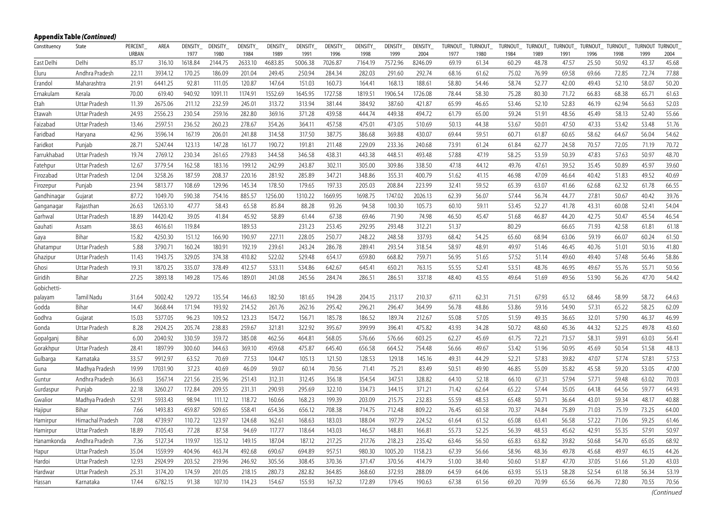|              | <b>Appendix Table (Continued)</b> |         |          |                |                |                |                |                |                |                |                |                |                |                |                |                |                |                |                |                |                |
|--------------|-----------------------------------|---------|----------|----------------|----------------|----------------|----------------|----------------|----------------|----------------|----------------|----------------|----------------|----------------|----------------|----------------|----------------|----------------|----------------|----------------|----------------|
| Constituency | State                             | PERCENT | AREA     | <b>DENSITY</b> | <b>DENSITY</b> | <b>DENSITY</b> | <b>DENSITY</b> | <b>DENSITY</b> | <b>DENSITY</b> | <b>DENSITY</b> | <b>DENSITY</b> | <b>DENSITY</b> | <b>TURNOUT</b> | <b>TURNOUT</b> | <b>TURNOUT</b> | <b>TURNOUT</b> | <b>TURNOUT</b> | <b>TURNOUT</b> | <b>TURNOUT</b> | <b>TURNOUT</b> | <b>TURNOUT</b> |
|              |                                   | URBAN   |          | 1977           | 1980           | 1984           | 1989           | 1991           | 1996           | 1998           | 1999           | 2004           | 1977           | 1980           | 1984           | 1989           | 1991           | 1996           | 1998           | 1999           | 2004           |
| East Delhi   | Delhi                             | 85.17   | 316.10   | 1618.84        | 2144.75        | 2633.10        | 4683.85        | 5006.38        | 7026.87        | 7164.19        | 7572.96        | 8246.09        | 69.19          | 61.34          | 60.29          | 48.78          | 47.57          | 25.50          | 50.92          | 43.37          | 45.68          |
| Eluru        | Andhra Pradesh                    | 22.11   | 3934.12  | 170.25         | 186.09         | 201.04         | 249.45         | 250.94         | 284.34         | 282.03         | 291.60         | 292.74         | 68.16          | 61.62          | 75.02          | 76.99          | 69.58          | 69.66          | 72.85          | 72.74          | 77.88          |
| Erandol      | Maharashtra                       | 21.91   | 6441.25  | 92.81          | 111.05         | 120.87         | 147.64         | 151.03         | 160.73         | 164.41         | 168.13         | 188.61         | 58.80          | 54.46          | 58.74          | 52.77          | 42.00          | 49.43          | 52.10          | 58.07          | 50.20          |
| Ernakulam    | Kerala                            | 70.00   | 619.40   | 940.92         | 1091.11        | 1174.91        | 1552.69        | 1645.95        | 1727.58        | 1819.51        | 1906.54        | 1726.08        | 78.44          | 58.30          | 75.28          | 80.30          | 71.72          | 66.83          | 68.38          | 65.71          | 61.63          |
| Etah         | <b>Uttar Pradesh</b>              | 11.39   | 2675.06  | 211.12         | 232.59         | 245.01         | 313.72         | 313.94         | 381.44         | 384.92         | 387.60         | 421.87         | 65.99          | 46.65          | 53.46          | 52.10          | 52.83          | 46.19          | 62.94          | 56.63          | 52.03          |
| Etawah       | Uttar Pradesh                     | 24.93   | 2556.23  | 230.54         | 259.16         | 282.80         | 369.16         | 371.28         | 439.58         | 444.74         | 449.38         | 494.72         | 61.79          | 65.00          | 59.24          | 51.91          | 48.56          | 45.49          | 58.13          | 52.40          | 55.66          |
| Faizabad     | Uttar Pradesh                     | 13.46   | 2597.51  | 236.52         | 260.23         | 278.67         | 354.26         | 364.11         | 457.58         | 475.01         | 473.05         | 510.69         | 50.13          | 44.38          | 53.67          | 50.01          | 47.50          | 47.33          | 53.42          | 53.48          | 51.76          |
| Faridbad     | Haryana                           | 42.96   | 3596.14  | 167.19         | 206.01         | 241.88         | 314.58         | 317.50         | 387.75         | 386.68         | 369.88         | 430.07         | 69.44          | 59.51          | 60.71          | 61.87          | 60.65          | 58.62          | 64.67          | 56.04          | 54.62          |
| Faridkot     | Punjab                            | 28.71   | 5247.44  | 123.13         | 147.28         | 161.77         | 190.72         | 191.81         | 211.48         | 229.09         | 233.36         | 240.68         | 73.91          | 61.24          | 61.84          | 62.77          | 24.58          | 70.57          | 72.05          | 71.19          | 70.72          |
| Farrukhabad  | Uttar Pradesh                     | 19.74   | 2769.12  | 230.34         | 261.65         | 279.83         | 344.58         | 346.58         | 438.31         | 443.38         | 448.51         | 493.48         | 57.88          | 47.19          | 58.25          | 53.59          | 50.39          | 47.83          | 57.63          | 50.97          | 48.70          |
| Fatehpur     | Uttar Pradesh                     | 12.67   | 3779.54  | 162.58         | 183.16         | 199.12         | 242.99         | 243.87         | 302.11         | 305.00         | 309.86         | 338.50         | 47.18          | 44.12          | 49.76          | 47.61          | 39.52          | 35.45          | 50.89          | 45.97          | 39.60          |
| Firozabad    | Uttar Pradesh                     | 12.04   | 3258.26  | 187.59         | 208.37         | 220.16         | 281.92         | 285.89         | 347.21         | 348.86         | 355.31         | 400.79         | 51.62          | 41.15          | 46.98          | 47.09          | 46.64          | 40.42          | 51.83          | 49.52          | 40.69          |
| Firozepur    | Punjab                            | 23.94   | 5813.77  | 108.69         | 129.96         | 145.34         | 178.50         | 179.65         | 197.33         | 205.03         | 208.84         | 223.99         | 32.41          | 59.52          | 65.39          | 63.07          | 41.66          | 62.68          | 62.32          | 61.78          | 66.55          |
| Gandhinagar  | Gujarat                           | 87.72   | 1049.70  | 590.38         | 754.16         | 885.57         | 1256.00        | 1310.22        | 1669.95        | 1698.75        | 1747.02        | 2026.13        | 62.39          | 56.07          | 57.44          | 56.74          | 44.77          | 27.81          | 50.67          | 40.42          | 39.76          |
| Ganganagar   | Rajasthan                         | 26.63   | 12653.10 | 47.77          | 58.43          | 65.58          | 85.84          | 88.28          | 93.26          | 94.58          | 100.30         | 105.73         | 60.10          | 59.11          | 53.45          | 52.27          | 41.78          | 43.31          | 60.08          | 52.41          | 54.04          |
| Garhwal      | Uttar Pradesh                     | 18.89   | 14420.42 | 39.05          | 41.84          | 45.92          | 58.89          | 61.44          | 67.38          | 69.46          | 71.90          | 74.98          | 46.50          | 45.47          | 51.68          | 46.87          | 44.20          | 42.75          | 50.47          | 45.54          | 46.54          |
| Gauhati      | Assam                             | 38.63   | 4616.61  | 119.84         |                | 189.53         |                | 231.23         | 253.45         | 292.95         | 293.48         | 312.21         | 51.37          |                | 80.29          |                | 66.65          | 71.93          | 42.58          | 61.81          | 61.18          |
| Gaya         | Bihar                             | 15.82   | 4250.30  | 151.12         | 166.90         | 190.97         | 227.11         | 228.05         | 250.77         | 248.22         | 248.58         | 337.93         | 68.42          | 54.25          | 65.60          | 68.94          | 63.06          | 59.19          | 66.07          | 60.24          | 61.50          |
| Ghatampur    | Uttar Pradesh                     | 5.88    | 3790.71  | 160.24         | 180.91         | 192.19         | 239.61         | 243.24         | 286.78         | 289.41         | 293.54         | 318.54         | 58.97          | 48.91          | 49.97          | 51.46          | 46.45          | 40.76          | 51.01          | 50.16          | 41.80          |
| Ghazipur     | Uttar Pradesh                     | 11.43   | 1943.75  | 329.05         | 374.38         | 410.82         | 522.02         | 529.48         | 654.17         | 659.80         | 668.82         | 759.71         | 56.95          | 51.65          | 57.52          | 51.14          | 49.60          | 49.40          | 57.48          | 56.46          | 58.86          |
| Ghosi        | Uttar Pradesh                     | 19.31   | 1870.25  | 335.07         | 378.49         | 412.57         | 533.11         | 534.86         | 642.67         | 645.41         | 650.21         | 763.15         | 55.55          | 52.41          | 53.51          | 48.76          | 46.95          | 49.67          | 55.76          | 55.71          | 50.56          |
| Giridih      | Bihar                             | 27.25   | 3893.18  | 149.28         | 175.46         | 189.01         | 241.08         | 245.56         | 284.74         | 286.51         | 286.51         | 337.18         | 48.40          | 43.55          | 49.64          | 51.69          | 49.56          | 53.90          | 56.26          | 47.70          | 54.42          |
| Gobichetti-  |                                   |         |          |                |                |                |                |                |                |                |                |                |                |                |                |                |                |                |                |                |                |
| palayam      | Tamil Nadu                        | 31.64   | 5002.42  | 129.72         | 135.54         | 146.63         | 182.50         | 181.65         | 194.28         | 204.15         | 213.17         | 210.37         | 67.11          | 62.31          | 71.51          | 67.93          | 65.12          | 68.46          | 58.99          | 58.72          | 64.63          |
| Godda        | Bihar                             | 14.47   | 3668.44  | 171.94         | 193.92         | 214.52         | 261.76         | 262.16         | 295.42         | 296.21         | 296.47         | 364.99         | 56.78          | 48.86          | 53.86          | 59.16          | 54.90          | 57.31          | 65.22          | 58.25          | 62.09          |
| Godhra       | Gujarat                           | 15.03   | 5377.05  | 96.23          | 109.52         | 123.23         | 154.72         | 156.71         | 185.78         | 186.52         | 189.74         | 212.67         | 55.08          | 57.05          | 51.59          | 49.35          | 36.65          | 32.01          | 57.90          | 46.37          | 46.99          |
| Gonda        | Uttar Pradesh                     | 8.28    | 2924.25  | 205.74         | 238.83         | 259.67         | 321.81         | 322.92         | 395.67         | 399.99         | 396.41         | 475.82         | 43.93          | 34.28          | 50.72          | 48.60          | 45.36          | 44.32          | 52.25          | 49.78          | 43.60          |
| Gopalganj    | Bihar                             | 6.00    | 2040.92  | 330.59         | 359.72         | 385.08         | 462.56         | 464.81         | 568.05         | 576.66         | 576.66         | 603.25         | 62.27          | 45.69          | 61.75          | 72.21          | 73.57          | 58.31          | 59.91          | 63.03          | 56.41          |
| Gorakhpur    | <b>Uttar Pradesh</b>              | 28.41   | 1897.99  | 300.60         | 344.63         | 369.10         | 459.68         | 475.87         | 645.40         | 656.58         | 664.52         | 754.48         | 56.66          | 49.67          | 53.42          | 51.96          | 50.95          | 45.69          | 50.54          | 51.58          | 48.13          |
| Gulbarga     | Karnataka                         | 33.57   | 9912.97  | 63.52          | 70.69          | 77.53          | 104.47         | 105.13         | 121.50         | 128.53         | 129.18         | 145.16         | 49.31          | 44.29          | 52.21          | 57.83          | 39.82          | 47.07          | 57.74          | 57.81          | 57.53          |
| Guna         | Madhya Pradesh                    | 19.99   | 17031.90 | 37.23          | 40.69          | 46.09          | 59.07          | 60.14          | 70.56          | 71.41          | 75.21          | 83.49          | 50.51          | 49.90          | 46.85          | 55.09          | 35.82          | 45.58          | 59.20          | 53.05          | 47.00          |
| Guntur       | Andhra Pradesh                    | 36.63   | 3567.14  | 221.56         | 235.96         | 251.43         | 312.31         | 312.45         | 356.18         | 354.54         | 347.51         | 328.82         | 64.10          | 52.18          | 66.10          | 67.31          | 57.94          | 57.71          | 59.48          | 63.02          | 70.03          |
| Gurdaspur    | Punjab                            | 22.18   | 3260.27  | 172.84         | 209.55         | 231.31         | 290.93         | 295.69         | 322.10         | 334.73         | 344.15         | 371.21         | 71.42          | 62.64          | 65.22          | 57.44          | 35.05          | 64.18          | 64.56          | 59.77          | 64.93          |
| Gwalior      | Madhya Pradesh                    | 52.91   | 5933.43  | 98.94          | 111.12         | 118.72         | 160.66         | 168.23         | 199.39         | 203.09         | 215.75         | 232.83         | 55.59          | 48.53          | 65.48          | 50.71          | 36.64          | 43.01          | 59.34          | 48.17          | 40.88          |
| Hajipur      | Bihar                             | 7.66    | 1493.83  | 459.87         | 509.65         | 558.41         | 654.36         | 656.12         | 708.38         | 714.75         | 712.48         | 809.22         | 76.45          | 60.58          | 70.37          | 74.84          | 75.89          | 71.03          | 75.19          | 73.25          | 64.00          |
| Hamirpur     | Himachal Pradesh                  | 7.08    | 4739.97  | 110.72         | 123.97         | 124.68         | 162.61         | 168.63         | 183.03         | 188.04         | 197.79         | 224.52         | 61.64          | 61.52          | 65.08          | 63.41          | 56.58          | 57.22          | 71.06          | 59.25          | 61.46          |
| Hamirpur     | Uttar Pradesh                     | 18.89   | 7105.43  | 77.28          | 87.58          | 94.69          | 117.77         | 118.64         | 143.03         | 146.57         | 148.81         | 166.81         | 55.73          | 52.25          | 56.39          | 48.53          | 45.62          | 42.91          | 55.35          | 57.91          | 50.97          |
| Hanamkonda   | Andhra Pradesh                    | 7.36    | 5127.34  | 119.97         | 135.12         | 149.15         | 187.04         | 187.12         | 217.25         | 217.76         | 218.23         | 235.42         | 63.46          | 56.50          | 65.83          | 63.82          | 39.82          | 50.68          | 54.70          | 65.05          | 68.92          |
| Hapur        | Uttar Pradesh                     | 35.04   | 1559.99  | 404.96         | 463.74         | 492.68         | 690.67         | 694.89         | 957.51         | 980.30         | 1005.20        | 1158.23        | 67.39          | 56.66          | 58.96          | 48.36          | 49.78          | 45.68          | 49.97          | 46.15          | 44.26          |
| Hardoi       | Uttar Pradesh                     | 12.93   | 2924.99  | 203.52         | 219.96         | 246.92         | 305.56         | 308.45         | 370.36         | 371.47         | 370.56         | 414.79         | 51.00          | 38.40          | 50.60          | 51.87          | 47.70          | 37.05          | 51.66          | 51.20          | 43.03          |
| Hardwar      | Uttar Pradesh                     | 25.31   | 3174.20  | 174.59         | 201.05         | 218.15         | 280.73         | 282.82         | 364.85         | 368.60         | 372.93         | 288.09         | 64.59          | 64.06          | 63.93          | 55.13          | 58.28          | 52.54          | 61.18          | 56.34          | 53.19          |
| Hassan       | Karnataka                         | 17.44   | 6782.15  | 91.38          | 107.10         | 114.23         | 154.67         | 155.93         | 167.32         | 172.89         | 179.45         | 190.63         | 67.38          | 61.56          | 69.20          | 70.99          | 65.56          | 66.76          | 72.80          | 70.55          | 70.56          |
|              |                                   |         |          |                |                |                |                |                |                |                |                |                |                |                |                |                |                |                |                |                |                |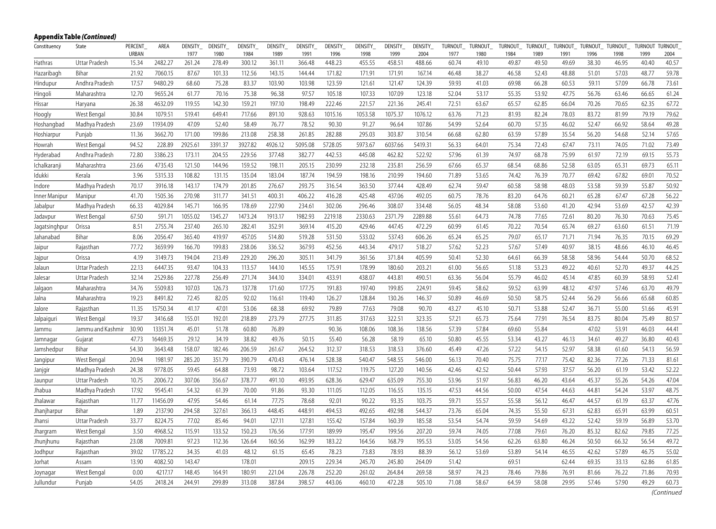|               | Appendix Table (Continued) |                         |          |                        |                 |                 |                 |                 |                 |                 |                 |                 |                 |                 |                 |                 |                  |                 |                 |                 |                        |
|---------------|----------------------------|-------------------------|----------|------------------------|-----------------|-----------------|-----------------|-----------------|-----------------|-----------------|-----------------|-----------------|-----------------|-----------------|-----------------|-----------------|------------------|-----------------|-----------------|-----------------|------------------------|
| Constituency  | State                      | PERCENT<br><b>URBAN</b> | AREA     | <b>DENSITY</b><br>1977 | DENSITY<br>1980 | DENSITY<br>1984 | DENSITY<br>1989 | DENSITY<br>1991 | DENSITY<br>1996 | DENSITY<br>1998 | DENSITY<br>1999 | DENSITY<br>2004 | TURNOUT<br>1977 | TURNOUT<br>1980 | TURNOUT<br>1984 | TURNOUT<br>1989 | TURNOUT_<br>1991 | TURNOUT<br>1996 | TURNOUT<br>1998 | TURNOUT<br>1999 | <b>TURNOUT</b><br>2004 |
| Hathras       | Uttar Pradesh              | 15.34                   | 2482.27  | 261.24                 | 278.49          | 300.12          | 361.11          | 366.48          | 448.23          | 455.55          | 458.51          | 488.66          | 60.74           | 49.10           | 49.87           | 49.50           | 49.69            | 38.30           | 46.95           | 40.40           | 40.57                  |
| Hazaribagh    | Bihar                      | 21.92                   | 7060.15  | 87.67                  | 101.33          | 112.56          | 143.15          | 144.44          | 171.82          | 171.91          | 171.91          | 167.14          | 46.48           | 38.27           | 46.58           | 52.43           | 48.88            | 51.01           | 57.03           | 48.77           | 59.78                  |
| Hindupur      | Andhra Pradesh             | 17.57                   | 9480.29  | 68.60                  | 75.28           | 83.37           | 103.90          | 103.98          | 123.59          | 121.61          | 121.47          | 124.39          | 59.93           | 41.03           | 69.98           | 66.28           | 60.53            | 59.11           | 57.09           | 66.78           | 73.61                  |
| Hingoli       | Maharashtra                | 12.70                   | 9655.24  | 61.77                  | 70.16           | 75.38           | 96.38           | 97.57           | 105.18          | 107.33          | 107.09          | 123.18          | 52.04           | 53.17           | 55.35           | 53.92           | 47.75            | 56.76           | 63.46           | 66.65           | 61.24                  |
| Hissar        | Haryana                    | 26.38                   | 4632.09  | 119.55                 | 142.30          | 159.21          | 197.10          | 198.49          | 222.46          | 221.57          | 221.36          | 245.41          | 72.51           | 63.67           | 65.57           | 62.85           | 66.04            | 70.26           | 70.65           | 62.35           | 67.72                  |
| Hoogly        | West Bengal                | 30.84                   | 1079.51  | 519.41                 | 649.41          | 717.66          | 891.10          | 928.63          | 1015.16         | 1053.58         | 1075.37         | 1076.12         | 63.76           | 71.23           | 81.93           | 82.24           | 78.03            | 83.72           | 81.99           | 79.19           | 79.62                  |
| Hoshangbad    | Madhya Pradesh             | 23.69                   | 11934.09 | 47.09                  | 52.40           | 58.49           | 76.77           | 78.52           | 90.30           | 91.27           | 96.64           | 107.86          | 54.99           | 52.64           | 60.70           | 57.35           | 46.02            | 52.47           | 66.92           | 58.64           | 49.28                  |
| Hoshiarpur    | Punjab                     | 11.36                   | 3662.70  | 171.00                 | 199.86          | 213.08          | 258.38          | 261.85          | 282.88          | 295.03          | 303.87          | 310.54          | 66.68           | 62.80           | 63.59           | 57.89           | 35.54            | 56.20           | 54.68           | 52.14           | 57.65                  |
| Howrah        | West Bengal                | 94.52                   | 228.89   | 2925.61                | 3391.37         | 3927.82         | 4926.12         | 5095.08         | 5728.05         | 5973.67         | 6037.66         | 5419.31         | 56.33           | 64.01           | 75.34           | 72.43           | 67.47            | 73.11           | 74.05           | 71.02           | 73.49                  |
| Hyderabad     | Andhra Pradesh             | 72.80                   | 3386.23  | 173.11                 | 204.55          | 229.56          | 377.48          | 382.77          | 442.53          | 445.08          | 462.82          | 522.92          | 57.96           | 61.39           | 74.97           | 68.78           | 75.99            | 61.97           | 72.19           | 69.15           | 55.73                  |
| Ichalkaranji  | Maharashtra                | 23.66                   | 4735.43  | 121.50                 | 144.96          | 159.52          | 198.11          | 205.15          | 230.99          | 232.18          | 235.81          | 256.59          | 67.66           | 65.37           | 68.54           | 68.86           | 52.58            | 63.05           | 65.31           | 69.73           | 65.11                  |
| Idukki        | Kerala                     | 3.96                    | 5315.33  | 108.82                 | 131.15          | 135.04          | 183.04          | 187.74          | 194.59          | 198.16          | 210.99          | 194.60          | 71.89           | 53.65           | 74.42           | 76.39           | 70.77            | 69.42           | 67.82           | 69.01           | 70.52                  |
| Indore        | Madhya Pradesh             | 70.17                   | 3916.18  | 143.17                 | 174.79          | 201.85          | 276.67          | 293.75          | 316.54          | 363.50          | 377.44          | 428.49          | 62.74           | 59.47           | 60.58           | 58.98           | 48.03            | 53.58           | 59.39           | 55.87           | 50.92                  |
| Inner Manipur | Manipur                    | 41.70                   | 1505.36  | 270.98                 | 311.77          | 341.51          | 400.31          | 406.22          | 416.28          | 425.48          | 437.06          | 492.05          | 60.75           | 78.76           | 83.20           | 64.76           | 60.21            | 65.28           | 67.47           | 67.28           | 56.22                  |
| Jabalpur      | Madhya Pradesh             | 66.33                   | 4029.84  | 145.71                 | 166.95          | 178.69          | 227.90          | 234.61          | 302.06          | 296.46          | 308.07          | 334.48          | 56.05           | 48.34           | 58.08           | 53.60           | 41.20            | 42.94           | 53.69           | 42.57           | 42.39                  |
| Jadavpur      | West Bengal                | 67.50                   | 591.71   | 1055.02                | 1345.27         | 1473.24         | 1913.17         | 1982.93         | 2219.18         | 2330.63         | 2371.79         | 2289.88         | 55.61           | 64.73           | 74.78           | 77.65           | 72.61            | 80.20           | 76.30           | 70.63           | 75.45                  |
| Jagatsinghpur | Orissa                     | 8.51                    | 2755.74  | 237.40                 | 265.10          | 282.41          | 352.91          | 369.14          | 415.20          | 429.46          | 447.45          | 472.29          | 60.99           | 61.45           | 70.22           | 70.54           | 65.74            | 69.27           | 63.60           | 61.51           | 71.19                  |
| Jahanabad     | Bihar                      | 8.06                    | 2056.47  | 365.40                 | 419.97          | 457.05          | 514.80          | 519.28          | 531.50          | 533.02          | 537.43          | 606.26          | 65.24           | 65.25           | 79.07           | 65.17           | 71.71            | 71.94           | 76.35           | 70.15           | 69.29                  |
| Jaipur        | Rajasthan                  | 77.72                   | 3659.99  | 166.70                 | 199.83          | 238.06          | 336.52          | 367.93          | 452.56          | 443.34          | 479.17          | 518.27          | 57.62           | 52.23           | 57.67           | 57.49           | 40.97            | 38.15           | 48.66           | 46.10           | 46.45                  |
| Jajpur        | Orissa                     | 4.19                    | 3149.73  | 194.04                 | 213.49          | 229.20          | 296.20          | 305.11          | 341.79          | 361.56          | 371.84          | 405.99          | 50.41           | 52.30           | 64.61           | 66.39           | 58.58            | 58.96           | 54.44           | 50.70           | 68.52                  |
| Jalaun        | Uttar Pradesh              | 22.13                   | 6447.35  | 93.47                  | 104.33          | 113.57          | 144.10          | 145.55          | 175.91          | 178.99          | 180.60          | 203.21          | 61.00           | 56.65           | 51.18           | 53.23           | 49.22            | 40.61           | 52.70           | 49.37           | 44.25                  |
| Jalesar       | Uttar Pradesh              | 32.14                   | 2529.86  | 227.78                 | 256.49          | 271.74          | 344.10          | 334.01          | 433.91          | 438.07          | 443.81          | 490.51          | 63.36           | 56.04           | 55.79           | 46.02           | 45.14            | 47.85           | 60.39           | 58.93           | 52.41                  |
| Jalgaon       | Maharashtra                | 34.76                   | 5509.83  | 107.03                 | 126.73          | 137.78          | 171.60          | 177.75          | 191.83          | 197.40          | 199.85          | 224.91          | 59.45           | 58.62           | 59.52           | 63.99           | 48.12            | 47.97           | 57.46           | 63.70           | 49.79                  |
| Jalna         | Maharashtra                | 19.23                   | 8491.82  | 72.45                  | 82.05           | 92.02           | 116.61          | 119.40          | 126.27          | 128.84          | 130.26          | 146.37          | 50.89           | 46.69           | 50.50           | 58.75           | 52.44            | 56.29           | 56.66           | 65.68           | 60.85                  |
| Jalore        | Rajasthan                  | 11.35                   | 15750.34 | 41.17                  | 47.01           | 53.06           | 68.38           | 69.92           | 79.89           | 77.63           | 79.08           | 90.70           | 43.27           | 45.10           | 50.71           | 53.88           | 52.47            | 36.71           | 55.00           | 51.66           | 45.91                  |
| Jalpaiguri    | West Bengal                | 19.37                   | 3416.68  | 155.01                 | 192.01          | 218.89          | 273.79          | 277.75          | 311.85          | 317.63          | 322.51          | 323.35          | 57.21           | 65.73           | 75.64           | 77.91           | 76.54            | 83.75           | 80.04           | 75.49           | 80.57                  |
| Jammu         | Jammu and Kashmir          | 30.90                   | 13351.74 | 45.01                  | 51.78           | 60.80           | 76.89           |                 | 90.36           | 108.06          | 108.36          | 138.56          | 57.39           | 57.84           | 69.60           | 55.84           |                  | 47.02           | 53.91           | 46.03           | 44.41                  |
| Jamnagar      | Gujarat                    | 47.73                   | 16469.35 | 29.12                  | 34.19           | 38.82           | 49.76           | 50.15           | 55.40           | 56.28           | 58.19           | 65.10           | 50.80           | 45.55           | 53.34           | 43.27           | 46.13            | 34.61           | 49.27           | 36.80           | 40.43                  |
| Jamshedpur    | Bihar                      | 54.30                   | 3643.48  | 158.07                 | 182.46          | 206.59          | 261.67          | 264.52          | 312.37          | 318.53          | 318.53          | 376.60          | 45.49           | 47.26           | 57.22           | 54.15           | 52.97            | 58.38           | 61.60           | 54.13           | 56.59                  |
| Jangipur      | West Bengal                | 20.94                   | 1981.97  | 285.20                 | 351.79          | 390.79          | 470.43          | 476.14          | 528.38          | 540.47          | 548.55          | 546.00          | 56.13           | 70.40           | 75.75           | 77.17           | 75.42            | 82.36           | 77.26           | 71.33           | 81.61                  |
| Janjgir       | Madhya Pradesh             | 24.38                   | 9778.05  | 59.45                  | 64.88           | 73.93           | 98.72           | 103.64          | 117.52          | 119.75          | 127.20          | 140.56          | 42.46           | 42.52           | 50.44           | 57.93           | 37.57            | 56.20           | 61.19           | 53.42           | 52.22                  |
| Jaunpur       | Uttar Pradesh              | 10.75                   | 2006.72  | 307.06                 | 356.67          | 378.77          | 491.10          | 493.95          | 628.36          | 629.47          | 635.09          | 755.30          | 53.96           | 51.97           | 56.83           | 46.20           | 43.64            | 45.37           | 55.26           | 54.26           | 47.04                  |
| Jhabua        | Madhya Pradesh             | 17.92                   | 9545.41  | 54.32                  | 61.39           | 70.00           | 91.86           | 93.30           | 111.05          | 112.05          | 116.55          | 135.15          | 47.53           | 44.56           | 50.00           | 47.54           | 44.63            | 44.81           | 54.24           | 53.97           | 48.75                  |
| Jhalawar      | Rajasthan                  | 11.77                   | 11456.09 | 47.95                  | 54.46           | 61.14           | 77.75           | 78.68           | 92.01           | 90.22           | 93.35           | 103.75          | 59.71           | 55.57           | 55.58           | 56.12           | 46.47            | 44.57           | 61.19           | 63.37           | 47.76                  |
| Jhanjharpur   | Bihar                      | 1.89                    | 2137.90  | 294.58                 | 327.61          | 366.13          | 448.45          | 448.91          | 494.53          | 492.65          | 492.98          | 544.37          | 73.76           | 65.04           | 74.35           | 55.50           | 67.31            | 62.83           | 65.91           | 63.99           | 60.51                  |
| Jhansi        | Uttar Pradesh              | 33.77                   | 8224.75  | 77.02                  | 85.46           | 94.01           | 127.11          | 127.81          | 155.42          | 157.84          | 160.39          | 185.58          | 53.54           | 54.74           | 59.59           | 54.69           | 43.22            | 52.42           | 59.19           | 56.89           | 53.70                  |
| Jhargram      | West Bengal                | 3.50                    | 4968.52  | 115.91                 | 133.52          | 150.23          | 176.56          | 177.91          | 189.99          | 195.47          | 199.56          | 207.20          | 59.74           | 74.05           | 77.08           | 79.61           | 76.20            | 85.32           | 82.62           | 79.85           | 77.25                  |
| Jhunjhunu     | Rajasthan                  | 23.08                   | 7009.81  | 97.23                  | 112.36          | 126.64          | 160.56          | 162.99          | 183.22          | 164.56          | 168.79          | 195.53          | 53.05           | 54.56           | 62.26           | 63.80           | 46.24            | 50.50           | 66.32           | 56.54           | 49.72                  |
| Jodhpur       | Rajasthan                  | 39.02                   | 17785.22 | 34.35                  | 41.03           | 48.12           | 61.15           | 65.45           | 78.23           | 73.83           | 78.93           | 88.39           | 56.12           | 53.69           | 53.89           | 54.14           | 46.55            | 42.62           | 57.89           | 46.75           | 55.02                  |
| Jorhat        | Assam                      | 13.90                   | 4082.50  | 143.47                 |                 | 178.01          |                 | 209.15          | 229.34          | 245.70          | 245.80          | 264.09          | 51.42           |                 | 69.51           |                 | 62.44            | 69.35           | 33.13           | 62.86           | 61.85                  |
| Joynagar      | West Bengal                | 0.00                    | 4217.17  | 148.45                 | 164.91          | 180.91          | 221.04          | 226.78          | 252.20          | 261.02          | 264.84          | 269.58          | 58.97           | 74.23           | 78.46           | 79.86           | 76.91            | 81.66           | 76.22           | 71.86           | 70.93                  |
| Jullundur     | Punjab                     | 54.05                   | 2418.24  | 244.91                 | 299.89          | 313.08          | 387.84          | 398.57          | 443.06          | 460.10          | 472.28          | 505.10          | 71.08           | 58.67           | 64.59           | 58.08           | 29.95            | 57.46           | 57.90           | 49.29           | 60.73                  |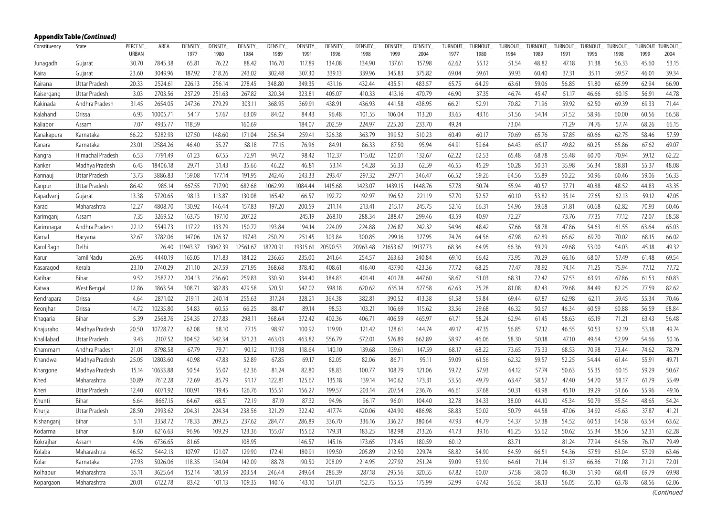|              | <b>Appendix Table (Continued)</b> |                         |          |                        |                        |                        |                        |                        |                        |                        |                        |                        |                 |                        |                        |                        |                 |                 |                        |                        |                        |
|--------------|-----------------------------------|-------------------------|----------|------------------------|------------------------|------------------------|------------------------|------------------------|------------------------|------------------------|------------------------|------------------------|-----------------|------------------------|------------------------|------------------------|-----------------|-----------------|------------------------|------------------------|------------------------|
| Constituency | State                             | <b>PERCENT</b><br>URBAN | AREA     | <b>DENSITY</b><br>1977 | <b>DENSITY</b><br>1980 | <b>DENSITY</b><br>1984 | <b>DENSITY</b><br>1989 | <b>DENSITY</b><br>1991 | <b>DENSITY</b><br>1996 | <b>DENSITY</b><br>1998 | <b>DENSITY</b><br>1999 | <b>DENSITY</b><br>2004 | TURNOUT<br>1977 | <b>TURNOUT</b><br>1980 | <b>TURNOUT</b><br>1984 | <b>TURNOUT</b><br>1989 | TURNOUT<br>1991 | TURNOUT<br>1996 | <b>TURNOUT</b><br>1998 | <b>TURNOUT</b><br>1999 | <b>TURNOUT</b><br>2004 |
| Junagadh     | Gujarat                           | 30.70                   | 7845.38  | 65.81                  | 76.22                  | 88.42                  | 116.70                 | 117.89                 | 134.08                 | 134.90                 | 137.61                 | 157.98                 | 62.62           | 55.12                  | 51.54                  | 48.82                  | 47.18           | 31.38           | 56.33                  | 45.60                  | 53.15                  |
| Kaira        | Gujarat                           | 23.60                   | 3049.96  | 187.92                 | 218.26                 | 243.02                 | 302.48                 | 307.30                 | 339.13                 | 339.96                 | 345.83                 | 375.82                 | 69.04           | 59.61                  | 59.93                  | 60.40                  | 37.31           | 35.11           | 59.57                  | 46.01                  | 39.34                  |
| Kairana      | Uttar Pradesh                     | 20.33                   | 2524.61  | 226.13                 | 256.14                 | 278.45                 | 348.80                 | 349.35                 | 431.16                 | 432.44                 | 435.51                 | 483.57                 | 65.75           | 64.29                  | 63.61                  | 59.06                  | 56.85           | 51.80           | 65.99                  | 62.94                  | 66.90                  |
| Kaisergang   | Uttar Pradesh                     | 3.03                    | 2703.56  | 237.29                 | 251.63                 | 267.82                 | 320.34                 | 323.81                 | 405.07                 | 410.33                 | 413.16                 | 470.79                 | 46.90           | 37.35                  | 46.74                  | 45.47                  | 51.17           | 46.66           | 60.15                  | 56.91                  | 44.78                  |
| Kakinada     | Andhra Pradesh                    | 31.45                   | 2654.05  | 247.36                 | 279.29                 | 303.11                 | 368.95                 | 369.91                 | 438.91                 | 436.93                 | 441.58                 | 438.95                 | 66.21           | 52.91                  | 70.82                  | 71.96                  | 59.92           | 62.50           | 69.39                  | 69.33                  | 71.44                  |
| Kalahandi    | Orissa                            | 6.93                    | 10005.71 | 54.17                  | 57.67                  | 63.09                  | 84.02                  | 84.43                  | 96.48                  | 101.55                 | 106.04                 | 113.20                 | 33.65           | 43.16                  | 51.56                  | 54.14                  | 51.52           | 58.96           | 60.00                  | 60.56                  | 66.58                  |
| Kaliabor     | Assam                             | 7.07                    | 4935.77  | 118.59                 |                        | 160.69                 |                        | 184.07                 | 202.59                 | 224.97                 | 225.20                 | 233.70                 | 49.24           |                        | 73.04                  |                        | 71.29           | 74.76           | 57.74                  | 68.26                  | 66.15                  |
| Kanakapura   | Karnataka                         | 66.22                   | 5282.93  | 127.50                 | 148.60                 | 171.04                 | 256.54                 | 259.41                 | 326.38                 | 363.79                 | 399.52                 | 510.23                 | 60.49           | 60.17                  | 70.69                  | 65.76                  | 57.85           | 60.66           | 62.75                  | 58.46                  | 57.59                  |
| Kanara       | Karnataka                         | 23.01                   | 12584.26 | 46.40                  | 55.27                  | 58.18                  | 77.15                  | 76.96                  | 84.91                  | 86.33                  | 87.50                  | 95.94                  | 64.91           | 59.64                  | 64.43                  | 65.17                  | 49.82           | 60.25           | 65.86                  | 67.62                  | 69.07                  |
| Kangra       | Himachal Pradesh                  | 6.53                    | 7791.49  | 61.23                  | 67.55                  | 72.91                  | 94.72                  | 98.42                  | 112.37                 | 115.02                 | 120.01                 | 132.67                 | 62.22           | 62.53                  | 65.48                  | 68.78                  | 55.48           | 60.70           | 70.94                  | 59.12                  | 62.22                  |
| Kanker       | Madhya Pradesh                    | 6.43                    | 18406.18 | 29.71                  | 31.43                  | 35.66                  | 46.22                  | 46.81                  | 53.14                  | 54.28                  | 56.33                  | 62.59                  | 46.55           | 45.29                  | 50.28                  | 50.31                  | 35.98           | 56.34           | 58.81                  | 55.37                  | 48.08                  |
| Kannauj      | Uttar Pradesh                     | 13.73                   | 3886.83  | 159.08                 | 177.14                 | 191.95                 | 242.46                 | 243.33                 | 293.47                 | 297.32                 | 297.71                 | 346.47                 | 66.52           | 59.26                  | 64.56                  | 55.89                  | 50.22           | 50.96           | 60.46                  | 59.06                  | 56.33                  |
| Kanpur       | Uttar Pradesh                     | 86.42                   | 985.14   | 667.55                 | 717.90                 | 682.68                 | 1062.99                | 1084.44                | 1415.68                | 1423.07                | 1439.15                | 1448.76                | 57.78           | 50.74                  | 55.94                  | 40.57                  | 37.71           | 40.88           | 48.52                  | 44.83                  | 43.35                  |
| Kapadvanj    | Gujarat                           | 13.38                   | 5720.65  | 98.13                  | 113.87                 | 130.08                 | 165.42                 | 166.57                 | 192.72                 | 192.97                 | 196.52                 | 221.19                 | 57.70           | 52.57                  | 60.10                  | 53.82                  | 35.14           | 27.65           | 62.13                  | 59.12                  | 47.05                  |
| Karad        | Maharashtra                       | 12.27                   | 4808.70  | 130.92                 | 146.44                 | 157.83                 | 197.20                 | 200.59                 | 211.14                 | 213.41                 | 215.17                 | 245.75                 | 52.16           | 66.31                  | 54.96                  | 59.68                  | 51.81           | 60.68           | 62.82                  | 70.93                  | 60.46                  |
| Karimganj    | Assam                             | 7.35                    | 3269.52  | 163.75                 | 197.10                 | 207.22                 |                        | 245.19                 | 268.10                 | 288.34                 | 288.47                 | 299.46                 | 43.59           | 40.97                  | 72.27                  |                        | 73.76           | 77.35           | 77.12                  | 72.07                  | 68.58                  |
| Karimnagar   | Andhra Pradesh                    | 22.12                   | 5549.73  | 117.22                 | 133.79                 | 150.72                 | 193.84                 | 194.14                 | 224.09                 | 224.88                 | 226.87                 | 242.32                 | 54.96           | 48.42                  | 57.66                  | 58.78                  | 47.86           | 54.63           | 61.55                  | 63.64                  | 65.03                  |
| Karnal       | Haryana                           | 32.67                   | 3782.06  | 147.06                 | 176.37                 | 197.43                 | 250.29                 | 251.45                 | 303.84                 | 300.85                 | 299.16                 | 327.95                 | 74.76           | 64.56                  | 67.98                  | 62.89                  | 65.62           | 69.70           | 70.02                  | 68.15                  | 66.02                  |
| Karol Bagh   | Delhi                             |                         | 26.40    | 11943.37               | 13062.39               | 12561.67               | 18220.91               | 19315.61               | 20590.53               | 20963.48               | 21653.67               | 19137.73               | 68.36           | 64.95                  | 66.36                  | 59.29                  | 49.68           | 53.00           | 54.03                  | 45.18                  | 49.32                  |
| Karur        | Tamil Nadu                        | 26.95                   | 4440.19  | 165.05                 | 171.83                 | 184.22                 | 236.65                 | 235.00                 | 241.64                 | 254.57                 | 263.63                 | 240.84                 | 69.10           | 66.42                  | 73.95                  | 70.29                  | 66.16           | 68.07           | 57.49                  | 61.48                  | 69.54                  |
| Kasaragod    | Kerala                            | 23.10                   | 2740.29  | 211.10                 | 247.59                 | 271.95                 | 368.68                 | 378.40                 | 408.61                 | 416.40                 | 437.90                 | 423.36                 | 77.72           | 68.25                  | 77.47                  | 78.92                  | 74.14           | 71.25           | 75.94                  | 77.12                  | 77.72                  |
| Katihar      | Bihar                             | 9.52                    | 2587.22  | 204.13                 | 236.60                 | 259.83                 | 330.50                 | 334.40                 | 384.83                 | 401.41                 | 401.78                 | 447.60                 | 58.67           | 51.03                  | 68.31                  | 72.42                  | 57.53           | 63.91           | 67.86                  | 61.53                  | 60.83                  |
| Katwa        | West Bengal                       | 12.86                   | 1863.54  | 308.71                 | 382.83                 | 429.58                 | 520.51                 | 542.02                 | 598.18                 | 620.62                 | 635.14                 | 627.58                 | 62.63           | 75.28                  | 81.08                  | 82.43                  | 79.68           | 84.49           | 82.25                  | 77.59                  | 82.62                  |
| Kendrapara   | Orissa                            | 4.64                    | 2871.02  | 219.11                 | 240.14                 | 255.63                 | 317.24                 | 328.21                 | 364.38                 | 382.81                 | 390.52                 | 413.38                 | 61.58           | 59.84                  | 69.44                  | 67.87                  | 62.98           | 62.11           | 59.45                  | 55.34                  | 70.46                  |
| Keonjhar     | Orissa                            | 14.72                   | 10235.80 | 54.83                  | 60.55                  | 66.25                  | 88.47                  | 89.14                  | 98.53                  | 103.21                 | 106.69                 | 115.62                 | 33.56           | 29.68                  | 46.32                  | 50.67                  | 46.34           | 60.59           | 60.88                  | 56.59                  | 68.84                  |
| Khagaria     | Bihar                             | 5.39                    | 2568.76  | 254.35                 | 277.83                 | 298.11                 | 368.64                 | 372.42                 | 402.36                 | 406.71                 | 406.59                 | 465.97                 | 61.71           | 58.24                  | 62.94                  | 61.45                  | 58.63           | 65.19           | 71.21                  | 63.43                  | 56.48                  |
| Khajuraho    | Madhya Pradesh                    | 20.50                   | 10728.72 | 62.08                  | 68.10                  | 77.15                  | 98.97                  | 100.92                 | 119.90                 | 121.42                 | 128.61                 | 144.74                 | 49.17           | 47.35                  | 56.85                  | 57.12                  | 46.55           | 50.53           | 62.19                  | 53.18                  | 49.74                  |
| Khalilabad   | Uttar Pradesh                     | 9.43                    | 2107.52  | 304.52                 | 342.34                 | 371.23                 | 463.03                 | 463.82                 | 556.79                 | 572.01                 | 576.89                 | 662.89                 | 58.97           | 46.06                  | 58.30                  | 50.18                  | 47.10           | 49.64           | 52.99                  | 54.66                  | 50.16                  |
| Khammam      | Andhra Pradesh                    | 21.01                   | 8798.58  | 67.79                  | 79.71                  | 90.12                  | 117.98                 | 118.64                 | 140.10                 | 139.68                 | 139.61                 | 147.59                 | 68.17           | 68.22                  | 73.65                  | 75.33                  | 68.53           | 70.98           | 73.44                  | 74.62                  | 78.79                  |
| Khandwa      | Madhya Pradesh                    | 25.05                   | 12803.60 | 40.98                  | 47.83                  | 52.89                  | 67.85                  | 69.17                  | 82.05                  | 82.06                  | 86.71                  | 95.11                  | 59.09           | 61.56                  | 62.32                  | 59.57                  | 52.25           | 54.44           | 61.44                  | 55.91                  | 49.71                  |
| Khargone     | Madhya Pradesh                    | 15.14                   | 10633.88 | 50.54                  | 55.07                  | 62.36                  | 81.24                  | 82.80                  | 98.83                  | 100.77                 | 108.79                 | 121.06                 | 59.72           | 57.93                  | 64.12                  | 57.74                  | 50.63           | 55.35           | 60.15                  | 59.29                  | 50.67                  |
| Khed         | Maharashtra                       | 30.89                   | 7612.28  | 72.69                  | 85.79                  | 91.17                  | 122.81                 | 125.67                 | 135.18                 | 139.14                 | 140.62                 | 173.31                 | 53.56           | 49.79                  | 63.47                  | 58.57                  | 47.40           | 54.70           | 58.17                  | 61.79                  | 55.49                  |
| Kheri        | Uttar Pradesh                     | 12.40                   | 6071.92  | 100.91                 | 119.45                 | 126.76                 | 155.51                 | 156.27                 | 199.57                 | 203.14                 | 207.54                 | 236.76                 | 46.61           | 37.68                  | 50.31                  | 43.98                  | 45.10           | 39.29           | 51.66                  | 55.96                  | 49.16                  |
| Khunti       | Bihar                             | 6.64                    | 8667.15  | 64.67                  | 68.51                  | 72.19                  | 87.19                  | 87.32                  | 94.96                  | 96.17                  | 96.01                  | 104.40                 | 32.78           | 34.33                  | 38.00                  | 44.10                  | 45.34           | 50.79           | 55.54                  | 48.65                  | 54.24                  |
| Khurja       | Uttar Pradesh                     | 28.50                   | 2993.62  | 204.31                 | 224.34                 | 238.56                 | 321.29                 | 322.42                 | 417.74                 | 420.06                 | 424.90                 | 486.98                 | 58.83           | 50.02                  | 50.79                  | 44.58                  | 47.06           | 34.92           | 45.63                  | 37.87                  | 41.21                  |
| Kishanganj   | Biha                              | 5.11                    | 3358.72  | 178.33                 | 209.25                 | 237.62                 | 284.77                 | 286.89                 | 336.70                 | 336.16                 | 336.27                 | 380.64                 | 47.93           | 44.79                  | 54.37                  | 57.38                  | 54.52           | 60.53           | 64.58                  | 63.54                  | 63.62                  |
| Kodarma      | Bihar                             | 8.60                    | 6216.63  | 96.96                  | 109.29                 | 123.36                 | 155.07                 | 155.62                 | 179.31                 | 183.25                 | 182.98                 | 213.26                 | 41.73           | 39.16                  | 46.25                  | 55.62                  | 50.62           | 55.34           | 58.56                  | 52.31                  | 62.28                  |
| Kokrajhar    | Assam                             | 4.96                    | 6736.65  | 81.65                  |                        | 108.95                 |                        | 146.57                 | 145.16                 | 173.65                 | 173.45                 | 180.59                 | 60.12           |                        | 83.71                  |                        | 81.24           | 77.94           | 64.56                  | 76.17                  | 79.49                  |
| Kolaba       | Maharashtra                       | 46.52                   | 5442.13  | 107.97                 | 121.07                 | 129.90                 | 172.41                 | 180.91                 | 199.50                 | 205.89                 | 212.50                 | 229.74                 | 58.82           | 54.90                  | 64.59                  | 66.51                  | 54.36           | 57.59           | 63.04                  | 57.09                  | 63.46                  |
| Kolar        | Karnataka                         | 27.93                   | 5026.06  | 118.35                 | 134.04                 | 142.09                 | 188.78                 | 190.50                 | 208.09                 | 214.95                 | 227.92                 | 251.24                 | 59.09           | 53.90                  | 64.61                  | 71.14                  | 61.37           | 66.86           | 71.08                  | 71.21                  | 72.01                  |
| Kolhapur     | Maharashtra                       | 35.11                   | 3625.64  | 152.14                 | 180.59                 | 203.54                 | 246.44                 | 249.64                 | 286.39                 | 287.18                 | 295.56                 | 320.55                 | 67.82           | 60.07                  | 57.58                  | 58.00                  | 46.30           | 51.90           | 68.41                  | 69.79                  | 69.98                  |
| Kopargaon    | Maharashtra                       | 20.01                   | 6122.78  | 83.42                  | 101.13                 | 109.35                 | 140.16                 | 143.10                 | 151.01                 | 152.73                 | 155.55                 | 175.99                 | 52.99           | 67.42                  | 56.52                  | 58.13                  | 56.05           | 55.10           | 63.78                  | 68.56                  | 62.06                  |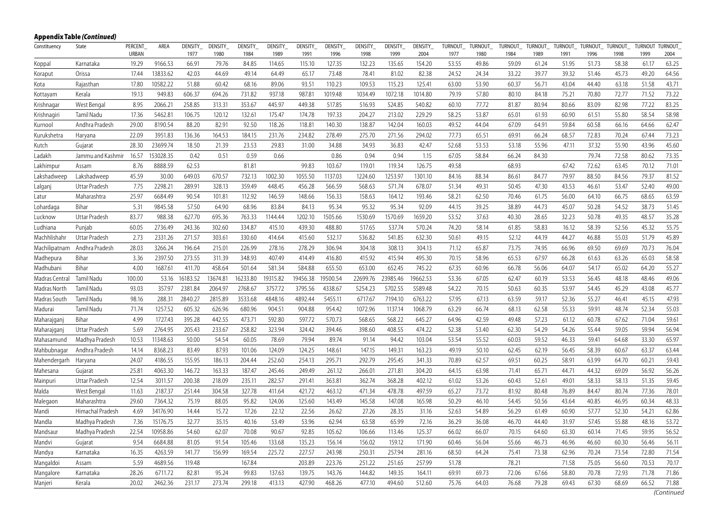|                | <b>Appendix Table (Continued)</b> |                         |           |                        |                        |                        |                        |                        |                        |                        |                        |                        |                        |                        |                        |                        |                        |                        |                        |                        |                        |
|----------------|-----------------------------------|-------------------------|-----------|------------------------|------------------------|------------------------|------------------------|------------------------|------------------------|------------------------|------------------------|------------------------|------------------------|------------------------|------------------------|------------------------|------------------------|------------------------|------------------------|------------------------|------------------------|
| Constituency   | State                             | <b>PERCENT</b><br>URBAN | AREA      | <b>DENSITY</b><br>1977 | <b>DENSITY</b><br>1980 | <b>DENSITY</b><br>1984 | <b>DENSITY</b><br>1989 | <b>DENSITY</b><br>1991 | <b>DENSITY</b><br>1996 | <b>DENSITY</b><br>1998 | <b>DENSITY</b><br>1999 | <b>DENSITY</b><br>2004 | <b>TURNOUT</b><br>1977 | <b>TURNOUT</b><br>1980 | <b>TURNOUT</b><br>1984 | <b>TURNOUT</b><br>1989 | <b>TURNOUT</b><br>1991 | <b>TURNOUT</b><br>1996 | <b>TURNOUT</b><br>1998 | <b>TURNOUT</b><br>1999 | <b>TURNOUT</b><br>2004 |
| Koppal         | Karnataka                         | 19.29                   | 9166.53   | 66.91                  | 79.76                  | 84.85                  | 114.65                 | 115.10                 | 127.35                 | 132.23                 | 135.65                 | 154.20                 | 53.55                  | 49.86                  | 59.09                  | 61.24                  | 51.95                  | 51.73                  | 58.38                  | 61.17                  | 63.25                  |
| Koraput        | Orissa                            | 17.44                   | 13833.62  | 42.03                  | 44.69                  | 49.14                  | 64.49                  | 65.17                  | 73.48                  | 78.41                  | 81.02                  | 82.38                  | 24.52                  | 24.34                  | 33.22                  | 39.77                  | 39.32                  | 51.46                  | 45.73                  | 49.20                  | 64.56                  |
| Kota           | Rajasthan                         | 17.80                   | 10582.22  | 51.88                  | 60.42                  | 68.16                  | 89.06                  | 93.51                  | 110.23                 | 109.53                 | 115.23                 | 125.41                 | 63.00                  | 53.90                  | 60.37                  | 56.71                  | 43.04                  | 44.40                  | 63.18                  | 51.58                  | 43.71                  |
| Kottayam       | Kerala                            | 19.13                   | 949.83    | 606.37                 | 694.26                 | 731.82                 | 937.18                 | 987.81                 | 1019.48                | 1034.49                | 1072.18                | 1014.80                | 79.19                  | 57.80                  | 80.10                  | 84.18                  | 75.21                  | 70.80                  | 72.77                  | 71.52                  | 73.22                  |
| Krishnagar     | West Bengal                       | 8.95                    | 2066.21   | 258.85                 | 313.31                 | 353.67                 | 445.97                 | 449.38                 | 517.85                 | 516.93                 | 524.85                 | 540.82                 | 60.10                  | 77.72                  | 81.87                  | 80.94                  | 80.66                  | 83.09                  | 82.98                  | 77.22                  | 83.25                  |
| Krishnagiri    | Tamil Nadu                        | 17.36                   | 5462.81   | 106.75                 | 120.12                 | 132.61                 | 175.47                 | 174.78                 | 197.33                 | 204.27                 | 213.02                 | 229.29                 | 58.25                  | 53.87                  | 65.01                  | 61.93                  | 60.90                  | 61.51                  | 55.80                  | 58.54                  | 58.98                  |
| Kurnool        | Andhra Pradesh                    | 29.00                   | 8190.54   | 88.20                  | 82.91                  | 92.50                  | 118.26                 | 118.81                 | 140.30                 | 138.87                 | 142.04                 | 160.03                 | 49.52                  | 44.04                  | 67.09                  | 64.91                  | 59.84                  | 60.58                  | 66.16                  | 64.66                  | 62.47                  |
| Kurukshetra    | Haryana                           | 22.09                   | 3951.83   | 136.36                 | 164.53                 | 184.15                 | 231.76                 | 234.82                 | 278.49                 | 275.70                 | 271.56                 | 294.02                 | 77.73                  | 65.51                  | 69.91                  | 66.24                  | 68.57                  | 72.83                  | 70.24                  | 67.44                  | 73.23                  |
| Kutch          | Gujarat                           | 28.30                   | 23699.74  | 18.50                  | 21.39                  | 23.53                  | 29.83                  | 31.00                  | 34.88                  | 34.93                  | 36.83                  | 42.47                  | 52.68                  | 53.53                  | 53.18                  | 55.96                  | 47.11                  | 37.32                  | 55.90                  | 43.96                  | 45.60                  |
| Ladakh         | Jammu and Kashmir                 | 16.57                   | 153028.35 | 0.42                   | 0.51                   | 0.59                   | 0.66                   |                        | 0.86                   | 0.94                   | 0.94                   | 1.15                   | 67.05                  | 58.84                  | 66.24                  | 84.30                  |                        | 79.74                  | 72.58                  | 80.62                  | 73.35                  |
| Lakhimpur      | Assam                             | 8.76                    | 8888.59   | 62.53                  |                        | 81.81                  |                        | 99.83                  | 103.67                 | 119.01                 | 119.34                 | 126.75                 | 49.58                  |                        | 68.93                  |                        | 67.42                  | 72.62                  | 63.45                  | 70.12                  | 71.01                  |
| Lakshadweep    | Lakshadweep                       | 45.59                   | 30.00     | 649.03                 | 670.57                 | 732.13                 | 1002.30                | 1055.50                | 1137.03                | 1224.60                | 1253.97                | 1301.10                | 84.16                  | 88.34                  | 86.61                  | 84.77                  | 79.97                  | 88.50                  | 84.56                  | 79.37                  | 81.52                  |
| Lalganj        | Uttar Pradesh                     | 7.75                    | 2298.21   | 289.91                 | 328.13                 | 359.49                 | 448.45                 | 456.28                 | 566.59                 | 568.63                 | 571.74                 | 678.07                 | 51.34                  | 49.31                  | 50.45                  | 47.30                  | 43.53                  | 46.61                  | 53.47                  | 52.40                  | 49.00                  |
| Latur          | Maharashtra                       | 25.97                   | 6684.49   | 90.54                  | 101.81                 | 112.92                 | 146.59                 | 148.66                 | 156.33                 | 158.63                 | 164.12                 | 193.46                 | 58.21                  | 62.50                  | 70.46                  | 61.75                  | 56.00                  | 64.10                  | 66.75                  | 68.65                  | 63.59                  |
| Lohardaga      | Bihar                             | 5.31                    | 9845.58   | 57.50                  | 64.90                  | 68.96                  | 83.84                  | 84.13                  | 95.34                  | 95.32                  | 95.34                  | 92.09                  | 44.15                  | 39.25                  | 38.89                  | 44.73                  | 45.07                  | 50.28                  | 54.52                  | 38.73                  | 51.45                  |
| Lucknow        | Uttar Pradesh                     | 83.77                   | 988.38    | 627.70                 | 695.36                 | 763.33                 | 1144.44                | 1202.10                | 1505.66                | 1530.69                | 1570.69                | 1659.20                | 53.52                  | 37.63                  | 40.30                  | 28.65                  | 32.23                  | 50.78                  | 49.35                  | 48.57                  | 35.28                  |
| Ludhiana       | Punjab                            | 60.05                   | 2736.49   | 243.36                 | 302.60                 | 334.87                 | 415.10                 | 439.30                 | 488.80                 | 517.65                 | 537.74                 | 570.24                 | 74.20                  | 58.14                  | 61.85                  | 58.83                  | 16.12                  | 58.39                  | 52.56                  | 45.32                  | 55.75                  |
| Machhlishahr   | Uttar Pradesh                     | 2.73                    | 2331.26   | 271.57                 | 303.61                 | 330.60                 | 414.64                 | 415.60                 | 532.17                 | 536.82                 | 541.85                 | 632.30                 | 50.61                  | 49.15                  | 52.12                  | 44.19                  | 44.27                  | 46.88                  | 55.03                  | 51.79                  | 45.89                  |
| Machilipatnam  | Andhra Pradesh                    | 28.03                   | 3266.24   | 196.64                 | 215.01                 | 226.99                 | 278.16                 | 278.29                 | 306.94                 | 304.18                 | 308.13                 | 304.13                 | 71.12                  | 65.87                  | 73.75                  | 74.95                  | 66.96                  | 69.50                  | 69.69                  | 70.73                  | 76.04                  |
| Madhepura      | Bihar                             | 3.36                    | 2397.50   | 273.55                 | 311.39                 | 348.93                 | 407.49                 | 414.49                 | 416.80                 | 415.92                 | 415.94                 | 495.30                 | 70.15                  | 58.96                  | 65.53                  | 67.97                  | 66.28                  | 61.63                  | 63.26                  | 65.03                  | 58.58                  |
| Madhubani      | Bihar                             | 4.00                    | 1687.61   | 411.70                 | 458.64                 | 501.64                 | 581.34                 | 584.88                 | 655.50                 | 653.00                 | 652.45                 | 745.22                 | 67.35                  | 60.96                  | 66.78                  | 56.06                  | 64.07                  | 54.17                  | 65.02                  | 64.20                  | 55.27                  |
| Madras Central | Tamil Nadu                        | 100.00                  | 53.16     | 16183.52               | 13674.81               | 16233.80               | 19315.82               | 19456.38               | 9500.54                | 22699.76               | 23985.46               | 19662.53               | 53.36                  | 67.05                  | 62.47                  | 60.19                  | 53.53                  | 56.45                  | 48.18                  | 48.46                  | 49.06                  |
| Madras North   | Tamil Nadu                        | 93.03                   | 357.97    | 2381.84                | 2064.97                | 2768.67                | 3757.72                | 3795.56                | 4338.67                | 5254.23                | 5702.55                | 5589.48                | 54.22                  | 70.15                  | 50.63                  | 60.35                  | 53.97                  | 54.45                  | 45.29                  | 43.08                  | 45.77                  |
| Madras South   | Tamil Nadu                        | 98.16                   | 288.31    | 2840.27                | 2815.89                | 3533.68                | 4848.16                | 4892.44                | 5455.11                | 6717.67                | 7194.10                | 6763.22                | 57.95                  | 67.13                  | 63.59                  | 59.17                  | 52.36                  | 55.27                  | 46.41                  | 45.15                  | 47.93                  |
| Madurai        | Tamil Nadu                        | 71.74                   | 1257.52   | 605.32                 | 626.96                 | 680.96                 | 904.51                 | 904.88                 | 954.42                 | 1072.96                | 1137.14                | 1068.79                | 63.29                  | 66.74                  | 68.13                  | 62.58                  | 55.33                  | 59.91                  | 48.74                  | 52.34                  | 55.03                  |
| Maharajganj    | Bihar                             | 4.99                    | 1727.43   | 395.28                 | 442.55                 | 473.71                 | 592.80                 | 597.72                 | 570.73                 | 568.65                 | 568.22                 | 645.27                 | 64.96                  | 42.59                  | 49.48                  | 57.23                  | 61.12                  | 60.78                  | 67.62                  | 71.04                  | 59.61                  |
| Maharajganj    | Uttar Pradesh                     | 5.69                    | 2764.95   | 205.43                 | 233.67                 | 258.82                 | 323.94                 | 324.42                 | 394.46                 | 398.60                 | 408.55                 | 474.22                 | 52.38                  | 53.40                  | 62.30                  | 54.29                  | 54.26                  | 55.44                  | 59.05                  | 59.94                  | 56.94                  |
| Mahasamund     | Madhya Pradesh                    | 10.53                   | 11348.63  | 50.00                  | 54.54                  | 60.05                  | 78.69                  | 79.94                  | 89.74                  | 91.14                  | 94.42                  | 103.04                 | 53.54                  | 55.52                  | 60.03                  | 59.52                  | 46.33                  | 59.41                  | 64.68                  | 33.30                  | 65.97                  |
| Mahbubnagar    | Andhra Pradesh                    | 14.14                   | 8368.23   | 83.49                  | 87.93                  | 101.06                 | 124.09                 | 124.25                 | 148.61                 | 147.15                 | 149.31                 | 163.23                 | 49.19                  | 50.10                  | 62.45                  | 62.19                  | 56.45                  | 58.39                  | 60.67                  | 63.37                  | 63.44                  |
| Mahendergarh   | Haryana                           | 24.07                   | 4186.55   | 155.95                 | 186.13                 | 204.44                 | 252.60                 | 254.13                 | 295.71                 | 292.79                 | 295.45                 | 341.33                 | 70.89                  | 62.57                  | 69.51                  | 60.25                  | 58.91                  | 63.99                  | 64.70                  | 60.21                  | 59.43                  |
| Mahesana       | Gujarat                           | 25.81                   | 4063.30   | 146.72                 | 163.33                 | 187.47                 | 245.46                 | 249.49                 | 261.12                 | 266.01                 | 271.81                 | 304.20                 | 64.15                  | 63.98                  | 71.41                  | 65.71                  | 44.71                  | 44.32                  | 69.09                  | 56.92                  | 56.26                  |
| Mainpuri       | Uttar Pradesh                     | 12.54                   | 3011.57   | 200.38                 | 218.09                 | 235.11                 | 282.57                 | 291.41                 | 363.81                 | 362.74                 | 368.28                 | 402.12                 | 61.02                  | 53.26                  | 60.43                  | 52.61                  | 49.01                  | 58.33                  | 58.13                  | 51.35                  | 59.45                  |
| Malda          | West Bengal                       | 11.63                   | 2187.37   | 251.44                 | 304.58                 | 327.78                 | 411.64                 | 421.72                 | 463.12                 | 471.34                 | 478.78                 | 497.59                 | 65.27                  | 73.72                  | 81.92                  | 80.48                  | 76.89                  | 84.47                  | 80.74                  | 77.36                  | 78.01                  |
| Malegaon       | Maharashtra                       | 29.60                   | 7364.32   | 75.19                  | 88.05                  | 95.82                  | 124.06                 | 125.60                 | 143.49                 | 145.58                 | 147.08                 | 165.98                 | 50.29                  | 46.10                  | 54.45                  | 50.56                  | 43.64                  | 40.85                  | 46.95                  | 60.34                  | 48.33                  |
| Mandi          | Himachal Pradesh                  | 4.69                    | 34176.90  | 14.44                  | 15.72                  | 17.26                  | 22.12                  | 22.56                  | 26.62                  | 27.26                  | 28.35                  | 31.16                  | 52.63                  | 54.89                  | 56.29                  | 61.49                  | 60.90                  | 57.77                  | 52.30                  | 54.21                  | 62.86                  |
| Mandla         | Madhya Pradesh                    | 7.36                    | 15176.75  | 32.77                  | 35.15                  | 40.16                  | 53.49                  | 53.96                  | 62.94                  | 63.58                  | 65.99                  | 72.16                  | 36.29                  | 36.08                  | 46.70                  | 44.40                  | 31.97                  | 57.45                  | 55.88                  | 48.16                  | 53.72                  |
| Mandsaur       | Madhya Pradesh                    | 22.54                   | 10958.86  | 54.60                  | 62.07                  | 70.08                  | 90.67                  | 92.85                  | 105.62                 | 106.66                 | 113.46                 | 125.37                 | 66.02                  | 66.07                  | 70.15                  | 64.60                  | 63.30                  | 60.14                  | 71.45                  | 59.95                  | 56.52                  |
| Mandvi         | Gujarat                           | 9.54                    | 6684.88   | 81.05                  | 91.54                  | 105.46                 | 133.68                 | 135.23                 | 156.14                 | 156.02                 | 159.12                 | 171.90                 | 60.46                  | 56.04                  | 55.66                  | 46.73                  | 46.96                  | 46.60                  | 60.30                  | 56.46                  | 56.11                  |
| Mandya         | Karnataka                         | 16.35                   | 4263.59   | 141.77                 | 156.99                 | 169.54                 | 225.72                 | 227.57                 | 243.98                 | 250.31                 | 257.94                 | 281.16                 | 68.50                  | 64.24                  | 75.41                  | 73.38                  | 62.96                  | 70.24                  | 73.54                  | 72.80                  | 71.54                  |
| Mangaldoi      | Assam                             | 5.59                    | 4689.56   | 119.48                 |                        | 167.84                 |                        | 203.89                 | 223.76                 | 251.22                 | 251.65                 | 257.99                 | 51.78                  |                        | 78.21                  |                        | 71.58                  | 75.05                  | 56.60                  | 70.53                  | 70.17                  |
| Mangalore      | Karnataka                         | 28.26                   | 6711.72   | 82.81                  | 95.24                  | 99.83                  | 137.63                 | 139.75                 | 143.76                 | 144.82                 | 149.35                 | 164.11                 | 69.91                  | 69.73                  | 72.06                  | 67.66                  | 58.80                  | 70.78                  | 72.93                  | 71.78                  | 71.86                  |
| Manjeri        | Kerala                            | 20.02                   | 2462.36   | 231.17                 | 273.74                 | 299.18                 | 413.13                 | 427.90                 | 468.26                 | 477.10                 | 494.60                 | 512.60                 | 75.76                  | 64.03                  | 76.68                  | 79.28                  | 69.43                  | 67.30                  | 68.69                  | 66.52                  | 71.88                  |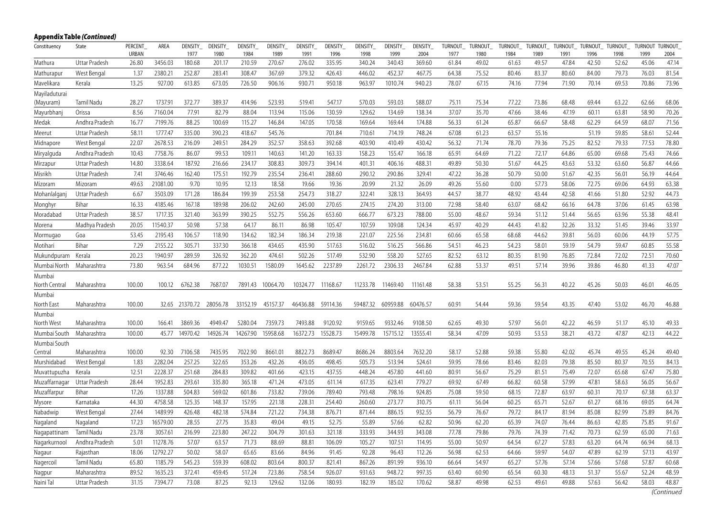|               | Appendix Table (Continued) |                         |          |                 |                 |                 |                        |                 |                 |                 |                 |                 |                 |                 |                 |                 |                 |                 |                 |                         |       |
|---------------|----------------------------|-------------------------|----------|-----------------|-----------------|-----------------|------------------------|-----------------|-----------------|-----------------|-----------------|-----------------|-----------------|-----------------|-----------------|-----------------|-----------------|-----------------|-----------------|-------------------------|-------|
| Constituency  | State                      | PERCENT<br><b>URBAN</b> | AREA     | DENSITY<br>1977 | DENSITY<br>1980 | DENSITY<br>1984 | <b>DENSITY</b><br>1989 | DENSITY<br>1991 | DENSITY<br>1996 | DENSITY<br>1998 | DENSITY<br>1999 | DENSITY<br>2004 | TURNOUT<br>1977 | TURNOUT<br>1980 | TURNOUT<br>1984 | TURNOUT<br>1989 | TURNOUT<br>1991 | TURNOUT<br>1996 | TURNOUT<br>1998 | TURNOUT TURNOUT<br>1999 | 2004  |
| Mathura       | Uttar Pradesh              | 26.80                   | 3456.03  | 180.68          | 201.17          | 210.59          | 270.67                 | 276.02          | 335.95          | 340.24          | 340.43          | 369.60          | 61.84           | 49.02           | 61.63           | 49.57           | 47.84           | 42.50           | 52.62           | 45.06                   | 47.14 |
| Mathurapur    | West Bengal                | 1.37                    | 2380.21  | 252.87          | 283.41          | 308.47          | 367.69                 | 379.32          | 426.43          | 446.02          | 452.37          | 467.75          | 64.38           | 75.52           | 80.46           | 83.37           | 80.60           | 84.00           | 79.73           | 76.03                   | 81.54 |
| Mavelikara    | Kerala                     | 13.25                   | 927.00   | 613.85          | 673.05          | 726.50          | 906.16                 | 930.71          | 950.18          | 963.97          | 1010.74         | 940.23          | 78.07           | 67.15           | 74.16           | 77.94           | 71.90           | 70.14           | 69.53           | 70.86                   | 73.96 |
| Mayiladuturai |                            |                         |          |                 |                 |                 |                        |                 |                 |                 |                 |                 |                 |                 |                 |                 |                 |                 |                 |                         |       |
| (Mayuram)     | Tamil Nadu                 | 28.27                   | 1737.91  | 372.77          | 389.37          | 414.96          | 523.93                 | 519.41          | 547.17          | 570.03          | 593.03          | 588.07          | 75.11           | 75.34           | 77.22           | 73.86           | 68.48           | 69.44           | 63.22           | 62.66                   | 68.06 |
| Mayurbhan     | Orissa                     | 8.56                    | 7160.04  | 77.91           | 82.79           | 88.04           | 113.94                 | 115.06          | 130.59          | 129.62          | 134.69          | 138.34          | 37.07           | 35.70           | 47.66           | 38.46           | 47.19           | 60.11           | 63.81           | 58.90                   | 70.26 |
| Medak         | Andhra Pradesh             | 16.77                   | 7199.76  | 88.25           | 100.69          | 115.27          | 146.84                 | 147.05          | 170.58          | 169.64          | 169.44          | 174.88          | 56.33           | 61.24           | 65.87           | 66.67           | 58.48           | 62.29           | 64.59           | 68.07                   | 71.56 |
| Meerut        | Uttar Pradesh              | 58.11                   | 1777.47  | 335.00          | 390.23          | 418.67          | 545.76                 |                 | 701.84          | 710.61          | 714.19          | 748.24          | 67.08           | 61.23           | 63.57           | 55.16           |                 | 51.19           | 59.85           | 58.61                   | 52.44 |
| Midnapore     | West Bengal                | 22.07                   | 2678.53  | 216.09          | 249.51          | 284.29          | 352.57                 | 358.63          | 392.68          | 403.90          | 410.49          | 430.42          | 56.32           | 71.74           | 78.70           | 79.36           | 75.25           | 82.52           | 79.33           | 77.53                   | 78.80 |
| Miryalguda    | Andhra Pradesh             | 10.43                   | 7758.76  | 86.07           | 99.53           | 109.11          | 140.63                 | 141.20          | 163.33          | 158.23          | 155.47          | 166.18          | 65.91           | 64.69           | 71.22           | 72.17           | 64.86           | 65.00           | 69.68           | 75.43                   | 74.66 |
| Mirzapur      | Uttar Pradesh              | 14.80                   | 3338.64  | 187.92          | 216.66          | 234.17          | 308.83                 | 309.73          | 394.14          | 401.31          | 406.16          | 488.31          | 49.89           | 50.30           | 51.67           | 44.25           | 43.63           | 53.32           | 63.60           | 56.87                   | 44.66 |
| Misrikh       | Uttar Pradesh              | 7.41                    | 3746.46  | 162.40          | 175.51          | 192.79          | 235.54                 | 236.41          | 288.60          | 290.12          | 290.86          | 329.41          | 47.22           | 36.28           | 50.79           | 50.00           | 51.67           | 42.35           | 56.01           | 56.19                   | 44.64 |
| Mizoram       | Mizoram                    | 49.63                   | 21081.00 | 9.70            | 10.95           | 12.13           | 18.58                  | 19.66           | 19.36           | 20.99           | 21.32           | 26.09           | 49.26           | 55.60           | 0.00            | 57.73           | 58.06           | 72.75           | 69.06           | 64.93                   | 63.38 |
| Mohanlalganj  | Uttar Pradesh              | 6.67                    | 3503.09  | 171.28          | 186.84          | 199.39          | 253.58                 | 254.73          | 318.27          | 322.41          | 328.13          | 364.93          | 44.57           | 38.77           | 48.92           | 43.44           | 42.58           | 41.66           | 51.80           | 52.92                   | 44.73 |
| Monghyr       | Bihar                      | 16.33                   | 4185.46  | 167.18          | 189.98          | 206.02          | 242.60                 | 245.00          | 270.65          | 274.15          | 274.20          | 313.00          | 72.98           | 58.40           | 63.07           | 68.42           | 66.16           | 64.78           | 37.06           | 61.45                   | 63.98 |
| Moradabad     | Uttar Pradesh              | 38.57                   | 1717.35  | 321.40          | 363.99          | 390.25          | 552.75                 | 556.26          | 653.60          | 666.77          | 673.23          | 788.00          | 55.00           | 48.67           | 59.34           | 51.12           | 51.44           | 56.65           | 63.96           | 55.38                   | 48.41 |
| Morena        | Madhya Pradesh             | 20.05                   | 11540.37 | 50.98           | 57.38           | 64.17           | 86.11                  | 86.98           | 105.47          | 107.59          | 109.08          | 124.34          | 45.97           | 40.29           | 44.43           | 41.82           | 32.26           | 33.32           | 51.45           | 39.46                   | 33.97 |
| Mormugao      | Goa                        | 53.45                   | 2195.43  | 106.57          | 118.90          | 134.62          | 182.34                 | 186.34          | 219.38          | 221.07          | 225.56          | 234.81          | 60.66           | 65.58           | 68.68           | 44.62           | 39.81           | 56.03           | 60.06           | 44.19                   | 57.75 |
| Motihari      | Bihar                      | 7.29                    | 2155.22  | 305.71          | 337.30          | 366.18          | 434.65                 | 435.90          | 517.63          | 516.02          | 516.25          | 566.86          | 54.51           | 46.23           | 54.23           | 58.01           | 59.19           | 54.79           | 59.47           | 60.85                   | 55.58 |
| Mukundpuram   | Kerala                     | 20.23                   | 1940.97  | 289.59          | 326.92          | 362.20          | 474.61                 | 502.26          | 517.49          | 532.90          | 558.20          | 527.65          | 82.52           | 63.12           | 80.35           | 81.90           | 76.85           | 72.84           | 72.02           | 72.51                   | 70.60 |
| Mumbai North  | Maharashtra                | 73.80                   | 963.54   | 684.96          | 877.22          | 1030.51         | 1580.09                | 1645.62         | 2237.89         | 2261.72         | 2306.33         | 2467.84         | 62.88           | 53.37           | 49.51           | 57.14           | 39.96           | 39.86           | 46.80           | 41.33                   | 47.07 |
| Mumbai        |                            |                         |          |                 |                 |                 |                        |                 |                 |                 |                 |                 |                 |                 |                 |                 |                 |                 |                 |                         |       |
| North Central | Maharashtra                | 100.00                  | 100.12   | 6762.38         | 7687.07         | 7891.43         | 10064.70               | 10324.77        | 11168.67        | 11233.78        | 11469.40        | 11161.48        | 58.38           | 53.51           | 55.25           | 56.31           | 40.22           | 45.26           | 50.03           | 46.01                   | 46.05 |
| Mumbai        |                            |                         |          |                 |                 |                 |                        |                 |                 |                 |                 |                 |                 |                 |                 |                 |                 |                 |                 |                         |       |
| North East    | Maharashtra                | 100.00                  | 32.65    | 21370.72        | 28056.78        | 33152.19        | 45157.37               | 46436.88        | 59114.36        | 59487.32        | 60959.88        | 60476.57        | 60.91           | 54.44           | 59.36           | 59.54           | 43.35           | 47.40           | 53.02           | 46.70                   | 46.88 |
| Mumbai        |                            |                         |          |                 |                 |                 |                        |                 |                 |                 |                 |                 |                 |                 |                 |                 |                 |                 |                 |                         |       |
| North West    | Maharashtra                | 100.00                  | 166.41   | 3869.36         | 4949.47         | 5280.04         | 7359.73                | 7493.88         | 9120.92         | 9159.65         | 9332.46         | 9108.50         | 62.65           | 49.30           | 57.97           | 56.01           | 42.22           | 46.59           | 51.17           | 45.10                   | 49.33 |
| Mumbai South  | Maharashtra                | 100.00                  | 45.77    | 14970.42        | 14926.74        | 14267.90        | 15958.68               | 16372.73        | 15528.73        | 15499.78        | 15715.12        | 13555.41        | 58.34           | 47.09           | 50.93           | 53.53           | 38.21           | 43.72           | 47.87           | 42.13                   | 44.22 |
| Mumbai South  |                            |                         |          |                 |                 |                 |                        |                 |                 |                 |                 |                 |                 |                 |                 |                 |                 |                 |                 |                         |       |
| Central       | Maharashtra                | 100.00                  | 92.30    | 7106.58         | 7435.95         | 7022.90         | 8661.01                | 8822.73         | 8689.47         | 8686.24         | 8803.64         | 7632.20         | 58.17           | 52.88           | 59.38           | 55.80           | 42.02           | 45.74           | 49.55           | 45.24                   | 49.40 |
| Murshidabad   | West Bengal                | 1.83                    | 2282.04  | 257.25          | 322.65          | 353.26          | 432.26                 | 436.05          | 498.45          | 505.73          | 513.94          | 524.61          | 59.95           | 78.66           | 83.46           | 82.03           | 79.38           | 85.50           | 80.37           | 70.55                   | 84.13 |
| Muvattupuzha  | Kerala                     | 12.51                   | 2228.37  | 251.68          | 284.83          | 309.82          | 401.66                 | 423.15          | 437.55          | 448.24          | 457.80          | 441.60          | 80.91           | 56.67           | 75.29           | 81.51           | 75.49           | 72.07           | 65.68           | 67.47                   | 75.80 |
| Muzaffarnagar | Uttar Pradesh              | 28.44                   | 1952.83  | 293.61          | 335.80          | 365.18          | 471.24                 | 473.05          | 611.14          | 617.35          | 623.41          | 779.27          | 69.92           | 67.49           | 66.82           | 60.58           | 57.99           | 47.81           | 58.63           | 56.05                   | 56.67 |
| Muzaffarpur   | Bihar                      | 17.26                   | 1337.88  | 504.83          | 569.02          | 601.86          | 733.82                 | 739.06          | 789.40          | 793.48          | 798.16          | 924.85          | 75.08           | 59.50           | 68.15           | 72.87           | 63.97           | 60.31           | 70.17           | 67.38                   | 63.37 |
| Mysore        | Karnataka                  | 44.30                   | 4758.58  | 125.35          | 148.37          | 157.95          | 221.18                 | 228.31          | 254.40          | 260.60          | 273.77          | 310.75          | 61.11           | 56.04           | 60.25           | 65.71           | 52.67           | 61.27           | 68.16           | 69.05                   | 64.74 |
| Nabadwip      | West Bengal                | 27.44                   | 1489.99  | 426.48          | 482.18          | 574.84          | 721.22                 | 734.38          | 876.71          | 871.44          | 886.15          | 932.55          | 56.79           | 76.67           | 79.72           | 84.17           | 81.94           | 85.08           | 82.99           | 75.89                   | 84.76 |
| Nagaland      | Nagaland                   | 17.23                   | 16579.00 | 28.55           | 27.75           | 35.83           | 49.04                  | 49.15           | 52.75           | 55.89           | 57.66           | 62.82           | 50.96           | 62.20           | 65.39           | 74.07           | 76.44           | 86.63           | 42.85           | 75.85                   | 91.67 |
| Nagapattinam  | Tamil Nadu                 | 23.78                   | 3057.61  | 216.99          | 223.80          | 247.22          | 304.79                 | 301.63          | 321.18          | 333.93          | 344.93          | 343.08          | 77.78           | 79.86           | 79.76           | 74.39           | 71.42           | 70.73           | 62.59           | 65.00                   | 71.63 |
| Nagarkurnool  | Andhra Pradesh             | 5.01                    | 11278.76 | 57.07           | 63.57           | 71.73           | 88.69                  | 88.81           | 106.09          | 105.27          | 107.51          | 114.95          | 55.00           | 50.97           | 64.54           | 67.27           | 57.83           | 63.20           | 64.74           | 66.94                   | 68.13 |
| Nagaur        | Rajasthan                  | 18.06                   | 12792.27 | 50.02           | 58.07           | 65.65           | 83.66                  | 84.96           | 91.45           | 92.28           | 96.43           | 112.26          | 56.98           | 62.53           | 64.66           | 59.97           | 54.07           | 47.89           | 62.19           | 57.13                   | 43.97 |
| Nagercoil     | Tamil Nadu                 | 65.80                   | 1185.79  | 545.23          | 559.39          | 608.02          | 803.64                 | 800.37          | 821.41          | 867.26          | 891.99          | 936.10          | 66.64           | 54.97           | 65.27           | 57.76           | 57.14           | 57.66           | 57.68           | 57.87                   | 60.68 |
| Nagpur        | Maharashtra                | 89.52                   | 1635.23  | 372.41          | 459.45          | 517.24          | 723.86                 | 758.54          | 926.07          | 931.63          | 948.72          | 997.35          | 63.40           | 60.90           | 65.54           | 60.30           | 48.13           | 51.37           | 55.67           | 52.24                   | 48.59 |
| Naini Tal     | Uttar Pradesh              | 31.15                   | 7394.77  | 73.08           | 87.25           | 92.13           | 129.62                 | 132.06          | 180.93          | 182.19          | 185.02          | 170.62          | 58.87           | 49.98           | 62.53           | 49.61           | 49.88           | 57.63           | 56.42           | 58.03                   | 48.87 |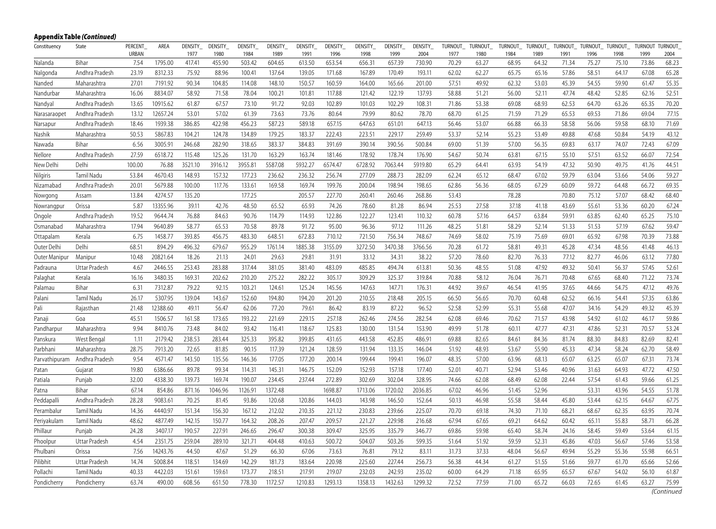|               | Appendix Table (Continued) |                  |          |                        |                  |                 |                 |                 |                 |                 |                 |                 |                 |                 |                 |                 |                  |                 |                 |                 |                        |
|---------------|----------------------------|------------------|----------|------------------------|------------------|-----------------|-----------------|-----------------|-----------------|-----------------|-----------------|-----------------|-----------------|-----------------|-----------------|-----------------|------------------|-----------------|-----------------|-----------------|------------------------|
| Constituency  | State                      | PERCENT<br>URBAN | AREA     | <b>DENSITY</b><br>1977 | DENSITY_<br>1980 | DENSITY<br>1984 | DENSITY<br>1989 | DENSITY<br>1991 | DENSITY<br>1996 | DENSITY<br>1998 | DENSITY<br>1999 | DENSITY<br>2004 | TURNOUT<br>1977 | TURNOUT<br>1980 | TURNOUT<br>1984 | TURNOUT<br>1989 | TURNOUT_<br>1991 | TURNOUT<br>1996 | TURNOUT<br>1998 | TURNOUT<br>1999 | <b>TURNOUT</b><br>2004 |
| Nalanda       | Bihar                      | 7.54             | 1795.00  | 417.41                 | 455.90           | 503.42          | 604.65          | 613.50          | 653.54          | 656.31          | 657.39          | 730.90          | 70.29           | 63.27           | 68.95           | 64.32           | 71.34            | 75.27           | 75.10           | 73.86           | 68.23                  |
| Nalgonda      | Andhra Pradesh             | 23.19            | 8312.33  | 75.92                  | 88.96            | 100.41          | 137.64          | 139.05          | 171.68          | 167.89          | 170.49          | 193.11          | 62.02           | 62.27           | 65.75           | 65.16           | 57.86            | 58.51           | 64.17           | 67.08           | 65.28                  |
| Nanded        | Maharashtra                | 27.01            | 7191.92  | 90.34                  | 104.85           | 114.08          | 148.10          | 150.57          | 160.59          | 164.00          | 165.66          | 201.00          | 57.51           | 49.92           | 62.32           | 53.03           | 45.39            | 54.55           | 59.90           | 61.47           | 55.35                  |
| Nandurbar     | Maharashtra                | 16.06            | 8834.07  | 58.92                  | 71.58            | 78.04           | 100.21          | 101.81          | 117.88          | 121.42          | 122.19          | 137.93          | 58.88           | 51.21           | 56.00           | 52.11           | 47.74            | 48.42           | 52.85           | 62.16           | 52.51                  |
| Nandyal       | Andhra Pradesh             | 13.65            | 10915.62 | 61.87                  | 67.57            | 73.10           | 91.72           | 92.03           | 102.89          | 101.03          | 102.29          | 108.31          | 71.86           | 53.38           | 69.08           | 68.93           | 62.53            | 64.70           | 63.26           | 65.35           | 70.20                  |
| Narasaraopet  | Andhra Pradesh             | 13.12            | 12657.24 | 53.01                  | 57.02            | 61.39           | 73.63           | 73.76           | 80.64           | 79.99           | 80.62           | 78.70           | 68.70           | 61.25           | 71.59           | 71.29           | 65.53            | 69.53           | 71.86           | 69.04           | 77.15                  |
| Narsapur      | Andhra Pradesh             | 18.46            | 1939.38  | 386.85                 | 422.98           | 456.23          | 587.23          | 589.18          | 657.15          | 647.63          | 651.01          | 647.13          | 56.46           | 53.07           | 66.88           | 66.33           | 58.58            | 56.06           | 59.58           | 68.10           | 71.69                  |
| Nashik        | Maharashtra                | 50.53            | 5867.83  | 104.21                 | 124.78           | 134.89          | 179.25          | 183.37          | 222.43          | 223.51          | 229.17          | 259.49          | 53.37           | 52.14           | 55.23           | 53.49           | 49.88            | 47.68           | 50.84           | 54.19           | 43.12                  |
| Nawada        | Bihar                      | 6.56             | 3005.91  | 246.68                 | 282.90           | 318.65          | 383.37          | 384.83          | 391.69          | 390.14          | 390.56          | 500.84          | 69.00           | 51.39           | 57.00           | 56.35           | 69.83            | 63.17           | 74.07           | 72.43           | 67.09                  |
| Nellore       | Andhra Pradesh             | 27.59            | 6518.72  | 115.48                 | 125.26           | 131.70          | 163.29          | 163.74          | 181.46          | 178.92          | 178.74          | 176.90          | 54.67           | 50.74           | 63.81           | 67.15           | 55.10            | 57.51           | 63.52           | 66.07           | 72.54                  |
| New Delhi     | Delhi                      | 100.00           | 76.88    | 3521.10                | 3916.12          | 3955.81         | 5587.08         | 5932.27         | 6574.47         | 6728.92         | 7063.44         | 5919.80         | 65.29           | 64.41           | 63.93           | 54.19           | 47.32            | 50.90           | 49.75           | 41.76           | 44.51                  |
| Nilgiris      | Tamil Nadu                 | 53.84            | 4670.43  | 148.93                 | 157.32           | 177.23          | 236.62          | 236.32          | 256.74          | 277.09          | 288.73          | 282.09          | 62.24           | 65.12           | 68.47           | 67.02           | 59.79            | 63.04           | 53.66           | 54.06           | 59.27                  |
| Nizamabad     | Andhra Pradesh             | 20.01            | 5679.88  | 100.00                 | 117.76           | 133.61          | 169.58          | 169.74          | 199.76          | 200.04          | 198.94          | 198.65          | 62.86           | 56.36           | 68.05           | 67.29           | 60.09            | 59.72           | 64.48           | 66.72           | 69.35                  |
| Nowgong       | Assam                      | 13.84            | 4274.57  | 135.20                 |                  | 177.25          |                 | 205.57          | 227.70          | 260.41          | 260.46          | 268.86          | 53.43           |                 | 78.28           |                 | 70.80            | 75.12           | 57.07           | 68.42           | 68.40                  |
| Nowrangpur    | Orissa                     | 5.87             | 13355.96 | 39.11                  | 42.76            | 48.50           | 65.52           | 65.93           | 74.26           | 78.60           | 81.28           | 86.94           | 25.53           | 27.58           | 37.18           | 41.18           | 43.69            | 55.61           | 53.36           | 60.20           | 67.24                  |
| Ongole        | Andhra Pradesh             | 19.52            | 9644.74  | 76.88                  | 84.63            | 90.76           | 114.79          | 114.93          | 122.86          | 122.27          | 123.41          | 110.32          | 60.78           | 57.16           | 64.57           | 63.84           | 59.91            | 63.85           | 62.40           | 65.25           | 75.10                  |
| Osmanabad     | Maharashtra                | 17.94            | 9640.89  | 58.77                  | 65.53            | 70.58           | 89.78           | 91.72           | 95.00           | 96.36           | 97.12           | 111.26          | 48.25           | 51.81           | 58.29           | 52.14           | 51.33            | 51.53           | 57.19           | 67.62           | 59.47                  |
| Ottapalam     | Kerala                     | 6.75             | 1458.77  | 393.85                 | 456.75           | 483.30          | 648.51          | 672.83          | 710.12          | 721.50          | 756.34          | 748.67          | 74.69           | 58.02           | 75.19           | 75.69           | 69.01            | 65.92           | 67.98           | 70.39           | 73.88                  |
| Outer Delhi   | Delhi                      | 68.51            | 894.29   | 496.32                 | 679.67           | 955.29          | 1761.14         | 1885.38         | 3155.09         | 3272.50         | 3470.38         | 3766.56         | 70.28           | 61.72           | 58.81           | 49.31           | 45.28            | 47.34           | 48.56           | 41.48           | 46.13                  |
| Outer Manipur | Manipur                    | 10.48            | 20821.64 | 18.26                  | 21.13            | 24.01           | 29.63           | 29.81           | 31.91           | 33.12           | 34.31           | 38.22           | 57.20           | 78.60           | 82.70           | 76.33           | 77.12            | 82.77           | 46.06           | 63.12           | 77.80                  |
| Padrauna      | Uttar Pradesh              | 4.67             | 2446.55  | 253.43                 | 283.88           | 317.44          | 381.05          | 381.40          | 483.09          | 485.85          | 494.74          | 613.81          | 50.36           | 48.55           | 51.08           | 47.92           | 49.32            | 50.41           | 56.37           | 57.45           | 52.61                  |
| Palaghat      | Kerala                     | 16.16            | 3480.35  | 169.31                 | 202.62           | 210.20          | 275.22          | 282.22          | 305.17          | 309.29          | 325.37          | 319.84          | 70.88           | 58.12           | 76.04           | 76.71           | 70.48            | 67.65           | 68.40           | 71.22           | 73.74                  |
| Palamau       | Bihar                      | 6.31             | 7312.87  | 79.22                  | 92.15            | 103.21          | 124.61          | 125.24          | 145.56          | 147.63          | 147.71          | 176.31          | 44.92           | 39.67           | 46.54           | 41.95           | 37.65            | 44.66           | 54.75           | 47.12           | 49.76                  |
| Palani        | <b>Tamil Nadu</b>          | 26.17            | 5307.95  | 139.04                 | 143.67           | 152.60          | 194.80          | 194.20          | 201.20          | 210.55          | 218.48          | 205.15          | 66.50           | 56.65           | 70.70           | 60.48           | 62.52            | 66.16           | 54.41           | 57.35           | 63.86                  |
| Pali          | Rajasthan                  | 21.48            | 12388.60 | 49.11                  | 56.47            | 62.06           | 77.20           | 79.61           | 86.42           | 83.19           | 87.22           | 96.52           | 52.58           | 52.99           | 55.31           | 55.68           | 47.07            | 34.16           | 54.29           | 49.32           | 45.39                  |
| Panaji        | Goa                        | 45.51            | 1506.57  | 161.58                 | 173.65           | 193.22          | 221.69          | 229.15          | 257.18          | 262.46          | 274.56          | 282.54          | 62.08           | 69.46           | 70.62           | 71.57           | 43.98            | 54.92           | 61.02           | 46.17           | 59.86                  |
| Pandharpur    | Maharashtra                | 9.94             | 8410.76  | 73.48                  | 84.02            | 93.42           | 116.41          | 118.67          | 125.83          | 130.00          | 131.54          | 153.90          | 49.99           | 51.78           | 60.11           | 47.77           | 47.31            | 47.86           | 52.31           | 70.57           | 53.24                  |
| Panskura      | West Bengal                | 1.11             | 2179.42  | 238.53                 | 283.44           | 325.33          | 395.82          | 399.85          | 431.65          | 443.58          | 452.85          | 486.91          | 69.88           | 82.65           | 84.61           | 84.36           | 81.74            | 88.30           | 84.83           | 82.69           | 82.41                  |
| Parbhani      | Maharashtra                | 28.75            | 7913.20  | 72.65                  | 81.85            | 90.15           | 117.39          | 121.24          | 128.59          | 131.94          | 133.35          | 146.04          | 51.92           | 48.93           | 53.67           | 55.90           | 45.33            | 47.34           | 58.24           | 62.70           | 58.49                  |
| Parvathipuram | Andhra Pradesh             | 9.54             | 4571.47  | 143.50                 | 135.56           | 146.36          | 177.05          | 177.20          | 200.14          | 199.44          | 199.41          | 196.07          | 48.35           | 57.00           | 63.96           | 68.13           | 65.07            | 63.25           | 65.07           | 67.31           | 73.74                  |
| Patan         | Gujarat                    | 19.80            | 6386.66  | 89.78                  | 99.34            | 114.31          | 145.31          | 146.75          | 152.09          | 152.93          | 157.18          | 177.40          | 52.01           | 40.71           | 52.94           | 53.46           | 40.96            | 31.63           | 64.93           | 47.72           | 47.50                  |
| Patiala       | Punjab                     | 32.00            | 4338.30  | 139.73                 | 169.74           | 190.07          | 234.45          | 237.44          | 272.89          | 302.69          | 302.04          | 328.95          | 74.66           | 62.08           | 68.49           | 62.08           | 22.44            | 57.54           | 61.43           | 59.66           | 61.25                  |
| Patna         | Bihar                      | 67.14            | 854.86   | 871.16                 | 1046.96          | 1126.91         | 1372.48         |                 | 1698.87         | 1713.06         | 1720.02         | 2036.85         | 67.02           | 46.96           | 51.45           | 52.96           |                  | 53.31           | 43.96           | 54.55           | 51.78                  |
| Peddapall     | Andhra Pradesh             | 28.28            | 9083.61  | 70.25                  | 81.45            | 93.86           | 120.68          | 120.86          | 144.03          | 143.98          | 146.50          | 152.64          | 50.13           | 46.98           | 55.58           | 58.44           | 45.80            | 53.44           | 62.15           | 64.67           | 67.75                  |
| Perambaluı    | Tamil Nadu                 | 14.36            | 4440.97  | 151.34                 | 156.30           | 167.12          | 212.02          | 210.35          | 221.12          | 230.83          | 239.66          | 225.07          | 70.70           | 69.18           | 74.30           | 71.10           | 68.21            | 68.67           | 62.35           | 63.95           | 70.74                  |
| Periyakulam   | Tamil Nadu                 | 48.62            | 4877.49  | 142.15                 | 150.77           | 164.32          | 208.26          | 207.47          | 209.57          | 221.27          | 229.98          | 216.68          | 67.94           | 67.65           | 69.21           | 64.62           | 60.42            | 65.11           | 55.83           | 58.71           | 66.28                  |
| Phillaur      | Puniab                     | 24.28            | 3407.17  | 190.57                 | 227.91           | 246.65          | 296.47          | 300.38          | 309.47          | 325.95          | 335.79          | 346.77          | 69.86           | 59.98           | 65.40           | 58.74           | 24.16            | 58.45           | 59.49           | 53.64           | 61.15                  |
| Phoolpur      | Uttar Pradesh              | 4.54             | 2351.75  | 259.04                 | 289.10           | 321.71          | 404.48          | 410.63          | 500.72          | 504.07          | 503.26          | 599.35          | 51.64           | 51.92           | 59.59           | 52.31           | 45.86            | 47.03           | 56.67           | 57.46           | 53.58                  |
| Phulbani      | Orissa                     | 7.56             | 14243.76 | 44.50                  | 47.67            | 51.29           | 66.30           | 67.06           | 73.63           | 76.81           | 79.12           | 83.11           | 31.73           | 37.33           | 48.04           | 56.67           | 49.94            | 55.29           | 55.36           | 55.98           | 66.51                  |
| Pilibhit      | Uttar Pradesh              | 14.74            | 5008.84  | 118.51                 | 134.69           | 142.29          | 181.73          | 183.64          | 220.98          | 225.60          | 227.44          | 256.73          | 56.38           | 44.34           | 61.27           | 51.55           | 51.66            | 59.77           | 61.70           | 65.66           | 52.66                  |
| Pollachi      | Tamil Nadu                 | 40.33            | 4422.03  | 151.61                 | 159.61           | 173.77          | 218.51          | 217.91          | 219.07          | 232.03          | 242.93          | 235.02          | 60.00           | 64.29           | 71.18           | 65.95           | 65.57            | 67.67           | 54.02           | 56.10           | 61.87                  |
| Pondicherry   | Pondicherry                | 63.74            | 490.00   | 608.56                 | 651.50           | 778.30          | 1172.57         | 1210.83         | 1293.13         | 1358.13         | 1432.63         | 1299.32         | 72.52           | 77.59           | 71.00           | 65.72           | 66.03            | 72.65           | 61.45           | 63.27           | 75.99                  |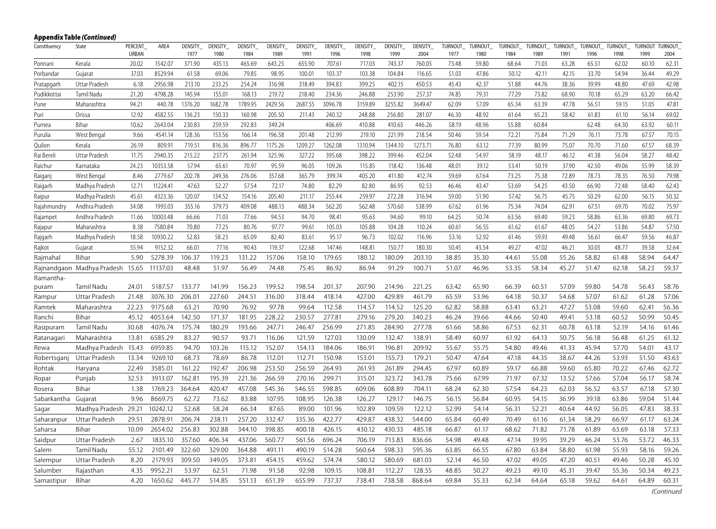|              | <b>Appendix Table (Continued)</b> |                         |          |                        |                        |                        |                        |                        |                        |                        |                        |                        |                        |                        |                        |                        |                        |                        |                 |                        |                        |
|--------------|-----------------------------------|-------------------------|----------|------------------------|------------------------|------------------------|------------------------|------------------------|------------------------|------------------------|------------------------|------------------------|------------------------|------------------------|------------------------|------------------------|------------------------|------------------------|-----------------|------------------------|------------------------|
| Constituency | State                             | <b>PERCENT</b><br>URBAN | AREA     | <b>DENSITY</b><br>1977 | <b>DENSITY</b><br>1980 | <b>DENSITY</b><br>1984 | <b>DENSITY</b><br>1989 | <b>DENSITY</b><br>1991 | <b>DENSITY</b><br>1996 | <b>DENSITY</b><br>1998 | <b>DENSITY</b><br>1999 | <b>DENSITY</b><br>2004 | <b>TURNOUT</b><br>1977 | <b>TURNOUT</b><br>1980 | <b>TURNOUT</b><br>1984 | <b>TURNOUT</b><br>1989 | <b>TURNOUT</b><br>1991 | <b>TURNOUT</b><br>1996 | TURNOUT<br>1998 | <b>TURNOUT</b><br>1999 | <b>TURNOUT</b><br>2004 |
| Ponnani      | Kerala                            | 20.02                   | 1542.07  | 371.90                 | 435.13                 | 465.69                 | 643.25                 | 655.90                 | 707.61                 | 717.03                 | 743.37                 | 760.05                 | 73.48                  | 59.80                  | 68.64                  | 71.03                  | 63.28                  | 65.51                  | 62.02           | 60.10                  | 62.31                  |
| Porbandar    | Gujarat                           | 37.03                   | 8529.94  | 61.58                  | 69.06                  | 79.85                  | 98.95                  | 100.01                 | 103.37                 | 103.38                 | 104.84                 | 116.65                 | 51.03                  | 47.86                  | 50.12                  | 42.11                  | 42.15                  | 33.70                  | 54.94           | 36.44                  | 49.29                  |
| Pratapgarh   | Uttar Pradesh                     | 6.18                    | 2956.98  | 213.10                 | 233.25                 | 254.24                 | 316.98                 | 318.49                 | 394.83                 | 399.25                 | 402.15                 | 450.53                 | 45.43                  | 42.37                  | 51.88                  | 44.76                  | 38.36                  | 39.99                  | 48.80           | 47.69                  | 42.98                  |
| Pudikkottai  | <b>Tamil Nadu</b>                 | 21.20                   | 4798.28  | 145.94                 | 155.01                 | 168.13                 | 219.72                 | 218.40                 | 234.36                 | 246.88                 | 253.90                 | 257.37                 | 74.85                  | 79.31                  | 77.29                  | 73.82                  | 68.90                  | 70.18                  | 65.29           | 63.20                  | 66.42                  |
| Pune         | Maharashtra                       | 94.21                   | 440.78   | 1376.20                | 1682.78                | 1789.95                | 2429.56                | 2687.55                | 3096.78                | 3159.89                | 3255.82                | 3649.47                | 62.09                  | 57.09                  | 65.34                  | 63.39                  | 47.78                  | 56.51                  | 59.15           | 51.05                  | 47.81                  |
| Puri         | Orissa                            | 12.92                   | 4582.55  | 136.23                 | 150.33                 | 160.98                 | 205.50                 | 211.43                 | 240.32                 | 248.88                 | 256.80                 | 281.07                 | 46.30                  | 48.92                  | 61.64                  | 65.23                  | 58.42                  | 61.83                  | 61.10           | 56.14                  | 69.02                  |
| Purnea       | Bihar                             | 10.62                   | 2643.04  | 230.83                 | 259.59                 | 292.83                 | 349.24                 |                        | 406.69                 | 410.88                 | 410.65                 | 446.26                 | 58.19                  | 48.96                  | 55.88                  | 60.84                  |                        | 62.48                  | 64.30           | 63.92                  | 60.11                  |
| Purulia      | West Bengal                       | 9.66                    | 4541.14  | 128.36                 | 153.56                 | 166.14                 | 196.58                 | 201.48                 | 212.99                 | 219.10                 | 221.99                 | 218.54                 | 50.46                  | 59.54                  | 72.21                  | 75.84                  | 71.29                  | 76.11                  | 73.78           | 67.57                  | 70.15                  |
| Quilon       | Kerala                            | 26.19                   | 809.91   | 719.51                 | 816.36                 | 896.77                 | 1175.26                | 1209.27                | 1262.08                | 1310.94                | 1344.10                | 1273.71                | 76.80                  | 63.12                  | 77.39                  | 80.99                  | 75.07                  | 70.70                  | 71.60           | 67.57                  | 68.39                  |
| Rai Bereli   | Uttar Pradesh                     | 11.75                   | 2940.35  | 215.22                 | 237.75                 | 261.94                 | 325.96                 | 327.22                 | 395.68                 | 398.22                 | 399.46                 | 452.04                 | 52.48                  | 54.97                  | 58.19                  | 48.17                  | 46.12                  | 41.38                  | 56.04           | 58.27                  | 48.42                  |
| Raichur      | Karnataka                         | 24.23                   | 10353.58 | 57.94                  | 65.61                  | 70.97                  | 95.59                  | 96.05                  | 109.26                 | 115.85                 | 118.42                 | 136.48                 | 48.01                  | 39.12                  | 53.41                  | 50.19                  | 37.90                  | 42.50                  | 49.06           | 55.99                  | 58.39                  |
| Raiganj      | West Bengal                       | 8.46                    | 2779.67  | 202.78                 | 249.36                 | 276.06                 | 357.68                 | 365.79                 | 399.74                 | 405.20                 | 411.80                 | 412.74                 | 59.69                  | 67.64                  | 73.25                  | 75.38                  | 72.89                  | 78.73                  | 78.35           | 76.50                  | 79.98                  |
| Raigarh      | Madhya Pradesh                    | 12.71                   | 11224.41 | 47.63                  | 52.27                  | 57.54                  | 72.17                  | 74.80                  | 82.29                  | 82.80                  | 86.95                  | 92.53                  | 46.46                  | 43.47                  | 53.69                  | 54.25                  | 43.50                  | 66.90                  | 72.48           | 58.40                  | 62.43                  |
| Raipur       | Madhya Pradesh                    | 45.61                   | 4323.36  | 120.07                 | 134.52                 | 154.16                 | 205.40                 | 211.17                 | 255.44                 | 259.97                 | 272.28                 | 316.94                 | 59.00                  | 51.90                  | 57.42                  | 56.75                  | 45.75                  | 50.29                  | 62.00           | 56.15                  | 50.32                  |
| Rajahmundry  | Andhra Pradesh                    | 34.08                   | 1993.03  | 355.16                 | 379.73                 | 409.08                 | 488.13                 | 488.34                 | 562.20                 | 562.48                 | 570.60                 | 538.99                 | 67.62                  | 61.96                  | 75.34                  | 74.04                  | 62.91                  | 67.51                  | 69.70           | 70.02                  | 75.97                  |
| Rajampet     | Andhra Pradesh                    | 11.66                   | 10003.48 | 66.66                  | 71.03                  | 77.66                  | 94.53                  | 94.70                  | 98.41                  | 95.63                  | 94.60                  | 99.10                  | 64.25                  | 50.74                  | 63.56                  | 69.40                  | 59.23                  | 58.86                  | 63.36           | 69.80                  | 69.73                  |
| Rajapur      | Maharashtra                       | 8.38                    | 7580.84  | 70.80                  | 77.25                  | 80.76                  | 97.77                  | 99.61                  | 105.03                 | 105.88                 | 104.28                 | 110.24                 | 60.61                  | 56.55                  | 61.62                  | 61.67                  | 48.05                  | 54.27                  | 53.86           | 54.87                  | 57.50                  |
| Rajgarh      | Madhya Pradesh                    | 18.58                   | 10930.22 | 52.83                  | 58.23                  | 65.09                  | 82.40                  | 83.61                  | 95.17                  | 96.73                  | 102.02                 | 116.96                 | 53.16                  | 52.92                  | 61.46                  | 59.93                  | 49.48                  | 56.61                  | 66.47           | 59.56                  | 46.87                  |
| Rajkot       | Gujarat                           | 55.94                   | 9152.32  | 66.01                  | 77.16                  | 90.43                  | 119.37                 | 122.68                 | 147.46                 | 148.81                 | 150.77                 | 180.30                 | 50.45                  | 43.54                  | 49.27                  | 47.02                  | 46.21                  | 30.05                  | 48.77           | 39.58                  | 32.64                  |
| Rajmahal     | Bihar                             | 5.90                    | 5278.39  | 106.37                 | 119.23                 | 131.22                 | 157.06                 | 158.10                 | 179.65                 | 180.12                 | 180.09                 | 203.10                 | 38.85                  | 35.30                  | 44.61                  | 55.08                  | 55.26                  | 58.82                  | 61.48           | 58.94                  | 64.47                  |
|              | Rajnandgaon Madhya Pradesh 15.65  |                         | 11137.03 | 48.48                  | 51.97                  | 56.49                  | 74.48                  | 75.45                  | 86.92                  | 86.94                  | 91.29                  | 100.71                 | 51.07                  | 46.96                  | 53.35                  | 58.34                  | 45.27                  | 51.47                  | 62.18           | 58.23                  | 59.37                  |
| Ramantha-    |                                   |                         |          |                        |                        |                        |                        |                        |                        |                        |                        |                        |                        |                        |                        |                        |                        |                        |                 |                        |                        |
| puram        | Tamil Nadu                        | 24.01                   | 5187.57  | 133.77                 | 141.99                 | 156.23                 | 199.52                 | 198.54                 | 201.37                 | 207.90                 | 214.96                 | 221.25                 | 63.42                  | 65.90                  | 66.39                  | 60.51                  | 57.09                  | 59.80                  | 54.78           | 56.43                  | 58.76                  |
| Rampur       | Uttar Pradesh                     | 21.48                   | 3076.30  | 206.01                 | 227.60                 | 244.51                 | 316.00                 | 318.44                 | 418.14                 | 427.00                 | 429.89                 | 461.79                 | 65.59                  | 53.96                  | 64.18                  | 50.37                  | 54.68                  | 57.07                  | 61.62           | 61.28                  | 57.06                  |
| Ramtek       | Maharashtra                       | 22.23                   | 9175.68  | 63.21                  | 70.90                  | 76.92                  | 97.78                  | 99.64                  | 112.58                 | 114.57                 | 114.52                 | 125.20                 | 62.82                  | 58.88                  | 63.41                  | 63.21                  | 47.27                  | 53.08                  | 59.60           | 62.41                  | 56.36                  |
| Ranchi       | Bihar                             | 45.12                   | 4053.64  | 142.50                 | 171.37                 | 181.95                 | 228.22                 | 230.57                 | 277.81                 | 279.16                 | 279.20                 | 340.23                 | 46.24                  | 39.66                  | 44.66                  | 50.40                  | 49.41                  | 53.18                  | 60.52           | 50.99                  | 50.45                  |
| Rasipuram    | Tamil Nadu                        | 30.68                   | 4076.74  | 175.74                 | 180.29                 | 193.66                 | 247.71                 | 246.47                 | 256.99                 | 271.85                 | 284.90                 | 277.78                 | 61.66                  | 58.86                  | 67.53                  | 62.31                  | 60.78                  | 63.18                  | 52.19           | 54.16                  | 61.46                  |
| Ratanagari   | Maharashtra                       | 13.81                   | 6585.29  | 83.27                  | 90.57                  | 93.71                  | 116.06                 | 121.59                 | 127.03                 | 130.09                 | 132.47                 | 138.91                 | 58.49                  | 60.97                  | 61.92                  | 64.13                  | 50.75                  | 56.18                  | 56.48           | 61.25                  | 61.32                  |
| Rewa         | Madhya Pradesh                    | 15.43                   | 6959.85  | 94.70                  | 103.26                 | 115.12                 | 152.07                 | 154.13                 | 184.06                 | 186.91                 | 196.81                 | 209.92                 | 55.67                  | 55.75                  | 54.80                  | 49.46                  | 41.33                  | 45.94                  | 57.70           | 54.01                  | 43.17                  |
| Robertsganj  | Uttar Pradesh                     | 13.34                   | 9269.10  | 68.73                  | 78.69                  | 86.78                  | 112.01                 | 112.71                 | 150.98                 | 153.01                 | 155.73                 | 179.21                 | 50.47                  | 47.64                  | 47.18                  | 44.35                  | 38.67                  | 44.26                  | 53.93           | 51.50                  | 43.63                  |
| Rohtak       | Haryana                           | 22.49                   | 3585.01  | 161.22                 | 192.47                 | 206.98                 | 253.50                 | 256.59                 | 264.93                 | 261.93                 | 261.89                 | 294.45                 | 67.97                  | 60.89                  | 59.17                  | 66.88                  | 59.60                  | 65.80                  | 70.22           | 67.46                  | 62.72                  |
| Ropar        | Punjab                            | 32.53                   | 3913.07  | 162.81                 | 195.39                 | 221.36                 | 266.59                 | 270.16                 | 299.71                 | 315.01                 | 323.72                 | 343.78                 | 75.66                  | 67.99                  | 71.97                  | 67.32                  | 13.52                  | 57.66                  | 57.04           | 56.17                  | 58.74                  |
| Rosera       | Bihar                             | 1.38                    | 1769.23  | 364.64                 | 420.47                 | 457.08                 | 545.36                 | 546.55                 | 598.85                 | 609.06                 | 608.89                 | 704.11                 | 68.24                  | 62.30                  | 57.54                  | 64.23                  | 62.03                  | 56.52                  | 63.57           | 67.18                  | 57.30                  |
| Sabarkantha  | Gujarat                           | 9.96                    | 8669.75  | 62.72                  | 73.62                  | 83.88                  | 107.95                 | 108.95                 | 126.38                 | 126.27                 | 129.17                 | 146.75                 | 56.15                  | 56.84                  | 60.95                  | 54.15                  | 36.99                  | 39.18                  | 63.86           | 59.04                  | 51.44                  |
| Sagar        | Madhya Pradesh                    | 29.21                   | 10242.12 | 52.68                  | 58.24                  | 66.34                  | 87.65                  | 89.00                  | 101.96                 | 102.89                 | 109.59                 | 122.12                 | 52.99                  | 54.14                  | 56.31                  | 52.21                  | 40.64                  | 44.92                  | 56.05           | 47.83                  | 38.33                  |
| Saharanpur   | Uttar Pradesh                     | 29.51                   | 2878.91  | 206.74                 | 238.11                 | 257.20                 | 332.47                 | 335.36                 | 422.77                 | 429.87                 | 438.32                 | 544.00                 | 65.84                  | 60.49                  | 70.49                  | 61.16                  | 61.34                  | 58.29                  | 66.97           | 61.17                  | 63.24                  |
| Saharsa      | Bihar                             | 10.09                   | 2654.02  | 256.83                 | 302.88                 | 344.10                 | 398.85                 | 400.18                 | 426.15                 | 430.12                 | 430.33                 | 485.18                 | 66.87                  | 61.17                  | 68.62                  | 71.82                  | 71.78                  | 61.89                  | 63.69           | 63.18                  | 57.33                  |
| Saidpur      | Uttar Pradesh                     | 2.67                    | 1835.10  | 357.60                 | 406.34                 | 437.06                 | 560.77                 | 561.56                 | 696.24                 | 706.19                 | 713.83                 | 836.66                 | 54.98                  | 49.48                  | 47.14                  | 39.95                  | 39.29                  | 46.24                  | 53.76           | 53.72                  | 46.33                  |
| Salem        | Tamil Nadu                        | 55.12                   | 2101.49  | 322.60                 | 329.00                 | 364.88                 | 491.11                 | 490.19                 | 514.28                 | 560.64                 | 598.33                 | 595.36                 | 63.85                  | 66.55                  | 67.80                  | 63.84                  | 58.80                  | 61.98                  | 55.93           | 58.16                  | 59.26                  |
| Salempur     | Uttar Pradesh                     | 8.20                    | 2179.93  | 309.50                 | 349.05                 | 373.81                 | 454.15                 | 459.62                 | 574.74                 | 580.12                 | 580.69                 | 681.03                 | 52.14                  | 46.50                  | 47.02                  | 49.05                  | 47.20                  | 40.51                  | 49.46           | 50.28                  | 45.10                  |
| Salumber     | Rajasthan                         | 4.35                    | 9952.21  | 53.97                  | 62.51                  | 71.98                  | 91.58                  | 92.98                  | 109.15                 | 108.81                 | 112.27                 | 128.55                 | 48.85                  | 50.27                  | 49.23                  | 49.10                  | 45.31                  | 39.47                  | 55.36           | 50.34                  | 49.23                  |
| Samastipur   | Bihar                             | 4.20                    | 1650.62  | 445.77                 | 514.85                 | 551.13                 | 651.39                 | 655.99                 | 737.37                 | 738.41                 | 738.58                 | 868.64                 | 69.84                  | 55.33                  | 62.34                  | 64.64                  | 65.18                  | 59.62                  | 64.61           | 64.89                  | 60.31                  |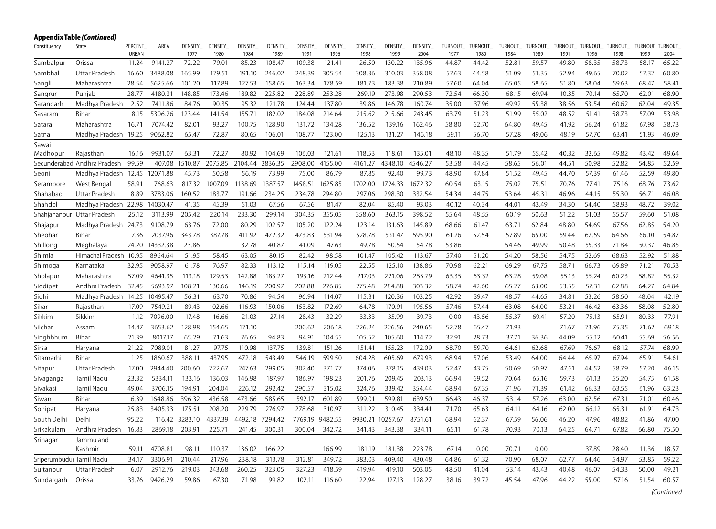|                          | Appendix Table (Continued)  |                         |          |                  |                  |                 |                 |                  |                 |                  |                  |                  |                 |                        |                 |                 |                  |                 |                 |                 |                        |
|--------------------------|-----------------------------|-------------------------|----------|------------------|------------------|-----------------|-----------------|------------------|-----------------|------------------|------------------|------------------|-----------------|------------------------|-----------------|-----------------|------------------|-----------------|-----------------|-----------------|------------------------|
| Constituency             | State                       | PERCENT<br><b>URBAN</b> | AREA     | DENSITY_<br>1977 | DENSITY_<br>1980 | DENSITY<br>1984 | DENSITY<br>1989 | DENSITY_<br>1991 | DENSITY<br>1996 | DENSITY_<br>1998 | DENSITY_<br>1999 | DENSITY_<br>2004 | TURNOUT<br>1977 | <b>TURNOUT</b><br>1980 | TURNOUT<br>1984 | TURNOUT<br>1989 | TURNOUT_<br>1991 | TURNOUT<br>1996 | TURNOUT<br>1998 | TURNOUT<br>1999 | <b>TURNOUT</b><br>2004 |
| Sambalpur                | Orissa                      | 11.24                   | 9141.27  | 72.22            | 79.01            | 85.23           | 108.47          | 109.38           | 121.41          | 126.50           | 130.22           | 135.96           | 44.87           | 44.42                  | 52.81           | 59.57           | 49.80            | 58.35           | 58.73           | 58.17           | 65.22                  |
| Sambhal                  | Uttar Pradesh               | 16.60                   | 3488.08  | 165.99           | 179.51           | 191.10          | 246.02          | 248.39           | 305.54          | 308.36           | 310.03           | 358.08           | 57.63           | 44.58                  | 51.09           | 51.35           | 52.94            | 49.65           | 70.02           | 57.32           | 60.80                  |
| Sangli                   | Maharashtra                 | 28.54                   | 5625.66  | 101.20           | 117.89           | 127.53          | 158.65          | 163.34           | 178.59          | 181.73           | 183.38           | 210.89           | 57.60           | 64.04                  | 65.05           | 58.65           | 51.80            | 58.04           | 59.63           | 68.47           | 58.41                  |
| Sangrur                  | Punjab                      | 28.77                   | 4180.31  | 148.85           | 173.46           | 189.82          | 225.82          | 228.89           | 253.28          | 269.19           | 273.98           | 290.53           | 72.54           | 66.30                  | 68.15           | 69.94           | 10.35            | 70.14           | 65.70           | 62.01           | 68.90                  |
| Sarangarh                | Madhya Pradesh              | 2.52                    | 7411.86  | 84.76            | 90.35            | 95.32           | 121.78          | 124.44           | 137.80          | 139.86           | 146.78           | 160.74           | 35.00           | 37.96                  | 49.92           | 55.38           | 38.56            | 53.54           | 60.62           | 62.04           | 49.35                  |
| Sasaram                  | Bihar                       | 8.15                    | 5306.26  | 123.44           | 141.54           | 155.71          | 182.02          | 184.08           | 214.64          | 215.62           | 215.66           | 243.45           | 63.79           | 51.23                  | 51.99           | 55.02           | 48.52            | 51.41           | 58.73           | 57.09           | 53.98                  |
| Satara                   | Maharashtra                 | 16.71                   | 7074.42  | 82.01            | 93.27            | 100.75          | 128.90          | 131.72           | 134.28          | 136.52           | 139.16           | 162.46           | 58.80           | 62.70                  | 64.80           | 49.45           | 41.92            | 56.24           | 61.82           | 67.98           | 58.73                  |
| Satna                    | Madhya Pradesh              | 19.25                   | 9062.82  | 65.47            | 72.87            | 80.65           | 106.01          | 108.77           | 123.00          | 125.13           | 131.27           | 146.18           | 59.11           | 56.70                  | 57.28           | 49.06           | 48.19            | 57.70           | 63.41           | 51.93           | 46.09                  |
| Sawai                    |                             |                         |          |                  |                  |                 |                 |                  |                 |                  |                  |                  |                 |                        |                 |                 |                  |                 |                 |                 |                        |
| Madhopur                 | Rajasthan                   | 16.16                   | 9931.07  | 63.31            | 72.27            | 80.92           | 104.69          | 106.03           | 121.61          | 118.53           | 118.61           | 135.01           | 48.10           | 48.35                  | 51.79           | 55.42           | 40.32            | 32.65           | 49.82           | 43.42           | 49.64                  |
|                          | Secunderabad Andhra Pradesh | 99.59                   | 407.08   | 1510.87          | 2075.85          | 2104.44         | 2836.35         | 2908.00          | 4155.00         | 4161.27          | 4348.10          | 4546.27          | 53.58           | 44.45                  | 58.65           | 56.01           | 44.51            | 50.98           | 52.82           | 54.85           | 52.59                  |
| Seoni                    | Madhya Pradesh              | 12.45                   | 12071.88 | 45.73            | 50.58            | 56.19           | 73.99           | 75.00            | 86.79           | 87.85            | 92.40            | 99.73            | 48.90           | 47.84                  | 51.52           | 49.45           | 44.70            | 57.39           | 61.46           | 52.59           | 49.80                  |
| Serampore                | West Bengal                 | 58.91                   | 768.63   | 817.32           | 1007.09          | 1138.69         | 1387.57         | 1458.51          | 1625.85         | 1702.00          | 1724.33          | 1672.32          | 60.54           | 63.15                  | 75.02           | 75.51           | 70.76            | 77.41           | 75.16           | 68.76           | 73.62                  |
| Shahabad                 | Uttar Pradesh               | 8.89                    | 3783.06  | 160.52           | 183.77           | 191.66          | 234.25          | 234.78           | 294.80          | 297.06           | 298.30           | 332.54           | 54.34           | 44.75                  | 53.64           | 45.31           | 46.96            | 44.15           | 55.30           | 56.71           | 46.08                  |
| Shahdol                  | Madhya Pradesh              | 22.98                   | 14030.47 | 41.35            | 45.39            | 51.03           | 67.56           | 67.56            | 81.47           | 82.04            | 85.40            | 93.03            | 40.12           | 40.34                  | 44.01           | 43.49           | 34.30            | 54.40           | 58.93           | 48.72           | 39.02                  |
|                          | Shahjahanpur Uttar Pradesh  | 25.12                   | 3113.99  | 205.42           | 220.14           | 233.30          | 299.14          | 304.35           | 355.05          | 358.60           | 363.15           | 398.52           | 55.64           | 48.55                  | 60.19           | 50.63           | 51.22            | 51.03           | 55.57           | 59.60           | 51.08                  |
| Shajapur                 | Madhya Pradesh 24.73        |                         | 9108.79  | 63.76            | 72.00            | 80.29           | 102.57          | 105.20           | 122.24          | 123.14           | 131.63           | 145.89           | 68.66           | 61.47                  | 63.71           | 62.84           | 48.80            | 54.69           | 67.56           | 62.85           | 54.20                  |
| Sheohar                  | Bihar                       | 7.36                    | 2037.96  | 343.78           | 387.78           | 411.92          | 472.32          | 473.83           | 531.94          | 528.78           | 531.47           | 595.90           | 61.26           | 52.54                  | 57.89           | 65.00           | 59.44            | 62.59           | 64.66           | 66.10           | 54.87                  |
| Shillong                 | Meghalaya                   | 24.20                   | 14332.38 | 23.86            |                  | 32.78           | 40.87           | 41.09            | 47.63           | 49.78            | 50.54            | 54.78            | 53.86           |                        | 54.46           | 49.99           | 50.48            | 55.33           | 71.84           | 50.37           | 46.85                  |
| Shimla                   | Himachal Pradesh 10.95      |                         | 8964.64  | 51.95            | 58.45            | 63.05           | 80.15           | 82.42            | 98.58           | 101.47           | 105.42           | 113.67           | 57.40           | 51.20                  | 54.20           | 58.56           | 54.75            | 52.69           | 68.63           | 52.92           | 51.88                  |
| Shimoga                  | Karnataka                   | 32.95                   | 9058.97  | 61.78            | 76.97            | 82.33           | 113.12          | 115.14           | 119.05          | 122.55           | 125.10           | 138.86           | 70.98           | 62.21                  | 69.29           | 67.75           | 58.71            | 66.73           | 69.89           | 71.21           | 70.53                  |
| Sholapur                 | Maharashtra                 | 57.09                   | 4641.35  | 113.18           | 129.53           | 142.88          | 183.27          | 193.16           | 212.44          | 217.03           | 221.06           | 255.79           | 63.35           | 63.32                  | 63.28           | 59.08           | 55.13            | 55.24           | 60.23           | 58.82           | 55.32                  |
| Siddipet                 | Andhra Pradesh              | 32.45                   | 5693.97  | 108.21           | 130.66           | 146.19          | 200.97          | 202.88           | 276.85          | 275.48           | 284.88           | 303.32           | 58.74           | 42.60                  | 65.27           | 63.00           | 53.55            | 57.31           | 62.88           | 64.27           | 64.84                  |
| Sidhi                    | Madhya Pradesh 14.25        |                         | 10495.47 | 56.31            | 63.70            | 70.86           | 94.54           | 96.94            | 114.07          | 115.31           | 120.36           | 103.25           | 42.92           | 39.47                  | 48.57           | 44.65           | 34.81            | 53.26           | 58.60           | 48.04           | 42.19                  |
| Sikar                    | Rajasthan                   | 17.09                   | 7549.21  | 89.43            | 102.66           | 116.93          | 150.06          | 153.82           | 172.69          | 164.78           | 170.91           | 195.56           | 57.46           | 57.44                  | 63.08           | 64.00           | 53.21            | 46.42           | 63.36           | 58.08           | 52.80                  |
| Sikkim                   | Sikkim                      | 1.12                    | 7096.00  | 17.48            | 16.66            | 21.03           | 27.14           | 28.43            | 32.29           | 33.33            | 35.99            | 39.73            | 0.00            | 43.56                  | 55.37           | 69.41           | 57.20            | 75.13           | 65.91           | 80.33           | 77.91                  |
| Silchar                  | Assam                       | 14.47                   | 3653.62  | 128.98           | 154.65           | 171.10          |                 | 200.62           | 206.18          | 226.24           | 226.56           | 240.65           | 52.78           | 65.47                  | 71.93           |                 | 71.67            | 73.96           | 75.35           | 71.62           | 69.18                  |
| Singhbhum                | Bihar                       | 21.39                   | 8017.17  | 65.29            | 71.63            | 76.65           | 94.83           | 94.91            | 104.55          | 105.52           | 105.60           | 114.72           | 32.91           | 28.73                  | 37.71           | 36.36           | 44.09            | 55.12           | 60.41           | 55.69           | 56.56                  |
| Sirsa                    | Haryana                     | 21.22                   | 7089.01  | 81.27            | 97.75            | 110.98          | 137.75          | 139.81           | 151.26          | 151.41           | 155.23           | 172.09           | 68.70           | 59.70                  | 64.61           | 62.68           | 67.69            | 76.67           | 68.12           | 57.74           | 68.99                  |
| Sitamarhi                | Bihar                       | 1.25                    | 1860.67  | 388.11           | 437.95           | 472.18          | 543.49          | 546.19           | 599.50          | 604.28           | 605.69           | 679.93           | 68.94           | 57.06                  | 53.49           | 64.00           | 64.44            | 65.97           | 67.94           | 65.91           | 54.61                  |
| Sitapur                  | Uttar Pradesh               | 17.00                   | 2944.40  | 200.60           | 222.67           | 247.63          | 299.05          | 302.40           | 371.77          | 374.06           | 378.15           | 439.03           | 52.47           | 43.75                  | 50.69           | 50.97           | 47.61            | 44.52           | 58.79           | 57.20           | 46.15                  |
| Sivaganga                | Tamil Nadu                  | 23.32                   | 5334.11  | 133.16           | 136.03           | 146.98          | 187.97          | 186.97           | 198.23          | 201.76           | 209.45           | 203.13           | 66.94           | 69.52                  | 70.64           | 65.16           | 59.73            | 61.13           | 55.20           | 54.75           | 61.58                  |
| Sivakasi                 | Tamil Nadu                  | 49.04                   | 3706.15  | 194.91           | 204.04           | 226.12          | 292.42          | 290.57           | 315.02          | 324.76           | 339.42           | 354.44           | 68.94           | 67.35                  | 71.96           | 71.39           | 61.42            | 66.33           | 63.55           | 61.96           | 63.23                  |
| Siwan                    | Bihar                       | 6.39                    | 1648.86  | 396.32           | 436.58           | 473.66          | 585.65          | 592.17           | 601.89          | 599.01           | 599.81           | 639.50           | 66.43           | 46.37                  | 53.14           | 57.26           | 63.00            | 62.56           | 67.31           | 71.01           | 60.46                  |
| Sonipat                  | Haryana                     | 25.83                   | 3405.33  | 175.51           | 208.20           | 229.79          | 276.97          | 278.68           | 310.97          | 311.22           | 310.45           | 334.41           | 71.70           | 65.63                  | 64.11           | 64.16           | 62.00            | 66.12           | 65.31           | 61.91           | 64.73                  |
| South Delhi              | Delhi                       | 95.22                   | 116.42   | 3283.10          | 4337.39          | 4492.18         | 7294.42         | 7769.19          | 9482.55         | 9930.21          | 10257.67         | 8751.61          | 68.94           | 62.37                  | 67.59           | 56.06           | 46.20            | 47.96           | 48.82           | 41.86           | 47.00                  |
| Srikakulam               | Andhra Pradesh              | 16.83                   | 2869.18  | 203.91           | 225.71           | 241.45          | 300.31          | 300.04           | 342.72          | 341.43           | 343.38           | 334.11           | 65.11           | 61.78                  | 70.93           | 70.13           | 64.25            | 64.71           | 67.82           | 66.80           | 75.50                  |
| Srinagar                 | Jammu and                   |                         |          |                  |                  |                 |                 |                  |                 |                  |                  |                  |                 |                        |                 |                 |                  |                 |                 |                 |                        |
|                          | Kashmir                     | 59.11                   | 4708.81  | 98.11            | 110.37           | 136.02          | 166.22          |                  | 166.99          | 181.19           | 181.38           | 223.78           | 67.14           | 0.00                   | 70.71           | 0.00            |                  | 37.89           | 28.40           | 11.36           | 18.57                  |
| Sriperumbudur Tamil Nadu |                             | 34.17                   | 3306.91  | 210.44           | 217.96           | 238.18          | 313.78          | 312.81           | 349.72          | 383.03           | 409.40           | 430.48           | 64.86           | 61.32                  | 70.90           | 68.07           | 62.77            | 64.46           | 54.97           | 53.85           | 59.22                  |
| Sultanpur                | Uttar Pradesh               | 6.07                    | 2912.76  | 219.03           | 243.68           | 260.25          | 323.05          | 327.23           | 418.59          | 419.94           | 419.10           | 503.05           | 48.50           | 41.04                  | 53.14           | 43.43           | 40.48            | 46.07           | 54.33           | 50.00           | 49.21                  |
| Sundargarh               | Orissa                      | 33.76                   | 9426.29  | 59.86            | 67.30            | 71.98           | 99.82           | 102.11           | 116.60          | 122.94           | 127.13           | 128.27           | 38.16           | 39.72                  | 45.54           | 47.96           | 44.22            | 55.00           | 57.16           | 51.54           | 60.57                  |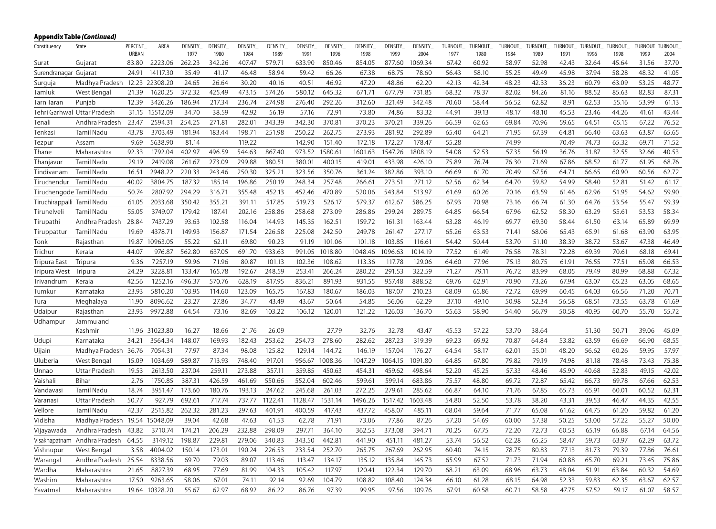|                            | Appendix Table <i>(Continued)</i> |                |                |                |                |                |                |                |                |                |                |                 |               |               |               |               |               |               |               |                |               |
|----------------------------|-----------------------------------|----------------|----------------|----------------|----------------|----------------|----------------|----------------|----------------|----------------|----------------|-----------------|---------------|---------------|---------------|---------------|---------------|---------------|---------------|----------------|---------------|
| Constituency               | State                             | PERCENT        | AREA           | DENSITY        | DENSITY_       | DENSITY        | DENSITY        | DENSITY        | DENSITY        | DENSITY        | DENSITY        | DENSITY_        | TURNOUT       | TURNOUT       | TURNOUT_      | TURNOUT_      | TURNOUT       | TURNOUT       | TURNOUT       | <b>TURNOUT</b> | TURNOUT       |
| Surat                      | Gujarat                           | URBAN<br>83.80 | 2223.06        | 1977<br>262.23 | 1980<br>342.26 | 1984<br>407.47 | 1989<br>579.71 | 1991<br>633.90 | 1996<br>850.46 | 1998<br>854.05 | 1999<br>877.60 | 2004<br>1069.34 | 1977<br>67.42 | 1980<br>60.92 | 1984<br>58.97 | 1989<br>52.98 | 1991<br>42.43 | 1996<br>32.64 | 1998<br>45.64 | 1999<br>31.56  | 2004<br>37.70 |
| Surendranagar Gujarat      |                                   | 24.91          | 14117.30       | 35.49          | 41.17          | 46.48          | 58.94          | 59.42          | 66.26          | 67.38          | 68.75          | 78.60           | 56.43         | 58.10         | 55.25         | 49.49         | 45.98         | 37.94         | 58.28         | 48.32          | 41.05         |
| Surguja                    | Madhya Pradesh 12.23              |                | 22308.20       | 24.65          | 26.64          | 30.20          | 40.16          | 40.51          | 46.92          | 47.20          | 48.86          | 62.20           | 42.13         | 42.34         | 48.23         | 42.33         | 36.23         | 60.79         | 63.09         | 53.25          | 48.77         |
| Tamluk                     | West Bengal                       | 21.39          | 1620.25        | 372.32         | 425.49         | 473.15         | 574.26         | 580.12         | 645.32         | 671.71         | 677.79         | 731.85          | 68.32         | 78.37         | 82.02         | 84.26         | 81.16         | 88.52         | 85.63         | 82.83          | 87.31         |
| Tarn Taran                 | Puniab                            | 12.39          | 3426.26        | 186.94         | 217.34         | 236.74         | 274.98         | 276.40         | 292.26         | 312.60         | 321.49         | 342.48          | 70.60         | 58.44         | 56.52         | 62.82         | 8.91          | 62.53         | 55.16         | 53.99          | 61.13         |
|                            | Tehri Garhwal Uttar Pradesh       | 31.15          | 15512.09       | 34.70          | 38.59          | 42.92          | 56.19          | 57.16          | 72.91          | 73.80          | 74.86          | 83.32           | 44.91         | 39.13         | 48.17         | 48.10         | 45.53         | 23.46         | 44.26         | 41.61          | 43.44         |
| Tenali                     | Andhra Pradesh                    | 23.47          | 2594.31        | 254.25         | 271.81         | 282.01         | 343.39         | 342.30         | 370.81         | 370.23         | 370.21         | 339.26          | 66.59         | 62.65         | 69.84         | 70.96         | 59.65         | 64.51         | 65.15         | 67.22          | 76.52         |
| Tenkasi                    | Tamil Nadu                        | 43.78          | 3703.49        | 181.94         | 183.44         | 198.71         | 251.98         | 250.22         | 262.75         | 273.93         | 281.92         | 292.89          | 65.40         | 64.21         | 71.95         | 67.39         | 64.81         | 66.40         | 63.63         | 63.87          | 65.65         |
| Tezpur                     | Assam                             | 9.69           | 5638.90        | 81.14          |                | 119.22         |                | 142.90         | 151.40         | 172.18         | 172.27         | 178.47          | 55.28         |               | 74.99         |               | 70.49         | 74.73         | 65.32         | 69.71          | 71.52         |
| Thane                      | Maharashtra                       | 92.33          | 1792.04        | 402.97         | 496.59         | 544.63         | 867.40         | 973.52         | 1580.61        | 1601.63        | 1547.26        | 1808.19         | 54.08         | 52.53         | 57.35         | 56.19         | 36.76         | 31.87         | 32.55         | 32.66          | 40.53         |
| Thanjavur                  | Tamil Nadu                        | 29.19          | 2419.08        | 261.67         | 273.09         | 299.88         | 380.51         | 380.01         | 400.15         | 419.01         | 433.98         | 426.10          | 75.89         | 76.74         | 76.30         | 71.69         | 67.86         | 68.52         | 61.77         | 61.95          | 68.76         |
| Tindivanam                 | Tamil Nadu                        | 16.51          | 2948.22        | 220.33         | 243.46         | 250.30         | 325.21         | 323.56         | 350.76         | 361.24         | 382.86         | 393.10          | 66.69         | 61.70         | 70.49         | 67.56         | 64.71         | 66.65         | 60.90         | 60.56          | 62.72         |
| Tiruchendur                | Tamil Nadu                        | 40.02          | 3804.75        | 187.32         | 185.14         | 196.86         | 250.19         | 248.34         | 257.48         | 266.61         | 273.51         | 271.12          | 62.56         | 62.34         | 64.70         | 59.82         | 54.99         | 58.40         | 52.81         | 51.42          | 61.17         |
| Tiruchengode Tamil Nadu    |                                   | 50.74          | 2807.92        | 294.29         | 316.71         | 355.48         | 452.13         | 452.46         | 470.89         | 520.06         | 543.84         | 513.97          | 61.69         | 60.26         | 70.16         | 63.59         | 61.46         | 62.96         | 51.95         | 54.62          | 59.90         |
| Tiruchirappalli Tamil Nadu |                                   | 61.05          | 2033.68        | 350.42         | 355.21         | 391.11         | 517.85         | 519.73         | 526.17         | 579.37         | 612.67         | 586.25          | 67.93         | 70.98         | 73.16         | 66.74         | 61.30         | 64.76         | 53.54         | 55.47          | 59.39         |
| Tirunelveli                | Tamil Nadu                        | 55.05          | 3749.07        | 179.42         | 187.41         | 202.16         | 258.86         | 258.68         | 273.09         | 286.86         | 299.24         | 289.75          | 64.85         | 66.54         | 67.96         | 62.52         | 58.30         | 63.29         | 55.61         | 53.53          | 58.34         |
| Tirupathi                  | Andhra Pradesh                    | 28.84          | 7437.29        | 93.63          | 102.58         | 116.04         | 144.93         | 145.35         | 162.51         | 159.72         | 161.31         | 163.44          | 63.28         | 46.19         | 69.77         | 69.30         | 58.44         | 61.50         | 63.14         | 65.89          | 69.99         |
| Tiruppattur                | Tamil Nadu                        | 19.69          | 4378.71        | 149.93         | 156.87         | 171.54         | 226.58         | 225.08         | 242.50         | 249.78         | 261.47         | 277.17          | 65.26         | 63.53         | 71.41         | 68.06         | 65.43         | 65.91         | 61.68         | 63.90          | 63.95         |
| Tonk                       | Rajasthan                         | 19.87          | 10963.05       | 55.22          | 62.11          | 69.80          | 90.23          | 91.19          | 101.06         | 101.18         | 103.85         | 116.61          | 54.42         | 50.44         | 53.70         | 51.10         | 38.39         | 38.72         | 53.67         | 47.38          | 46.49         |
| Trichur                    | Kerala                            | 44.07          | 976.87         | 562.80         | 637.05         | 691.70         | 933.63         | 991.05         | 1018.80        | 1048.46        | 1096.63        | 1014.19         | 77.52         | 61.49         | 76.58         | 78.31         | 72.28         | 69.39         | 70.61         | 68.18          | 69.41         |
| Tripura East               | Tripura                           | 9.36           | 7257.19        | 59.96          | 71.96          | 80.87          | 101.13         | 102.36         | 108.62         | 113.36         | 117.78         | 129.06          | 64.60         | 77.96         | 75.13         | 80.75         | 61.91         | 76.55         | 77.51         | 65.08          | 66.53         |
| Tripura West               | Tripura                           | 24.29          | 3228.81        | 133.47         | 165.78         | 192.67         | 248.59         | 253.41         | 266.24         | 280.22         | 291.53         | 322.59          | 71.27         | 79.11         | 76.72         | 83.99         | 68.05         | 79.49         | 80.99         | 68.88          | 67.32         |
| Trivandrum                 | Kerala                            | 42.56          | 1252.16        | 496.37         | 570.76         | 628.19         | 817.95         | 836.21         | 891.93         | 931.55         | 957.48         | 888.52          | 69.76         | 62.91         | 70.90         | 73.26         | 67.94         | 63.07         | 65.23         | 63.05          | 68.65         |
| Tumkur                     | Karnataka                         | 23.93          | 5810.20        | 103.95         | 114.60         | 123.09         | 165.75         | 167.83         | 180.67         | 186.03         | 187.07         | 210.23          | 68.09         | 65.86         | 72.72         | 69.99         | 60.45         | 64.03         | 66.56         | 71.20          | 70.71         |
| Tura                       | Meghalaya                         | 11.90          | 8096.62        | 23.27          | 27.86          | 34.77          | 43.49          | 43.67          | 50.64          | 54.85          | 56.06          | 62.29           | 37.10         | 49.10         | 50.98         | 52.34         | 56.58         | 68.51         | 73.55         | 63.78          | 61.69         |
| Udaipur                    | Rajasthan                         | 23.93          | 9972.88        | 64.54          | 73.16          | 82.69          | 103.22         | 106.12         | 120.01         | 121.22         | 126.03         | 136.70          | 55.63         | 58.90         | 54.40         | 56.79         | 50.58         | 40.95         | 60.70         | 55.70          | 55.72         |
| Udhampur                   | Jammu and                         |                |                |                |                |                |                |                |                |                |                |                 |               |               |               |               |               |               |               |                |               |
|                            | Kashmir                           |                | 11.96 31023.80 | 16.27          | 18.66          | 21.76          | 26.09          |                | 27.79          | 32.76          | 32.78          | 43.47           | 45.53         | 57.22         | 53.70         | 38.64         |               | 51.30         | 50.71         | 39.06          | 45.09         |
| Udupi                      | Karnataka                         | 34.21          | 3564.34        | 148.07         | 169.93         | 182.43         | 253.62         | 254.73         | 278.60         | 282.62         | 287.23         | 319.39          | 69.23         | 69.92         | 70.87         | 64.84         | 53.82         | 63.59         | 66.69         | 66.90          | 68.55         |
| Ujjain                     | Madhya Pradesh 36.76              |                | 7054.31        | 77.97          | 87.34          | 98.08          | 125.82         | 129.14         | 144.72         | 146.19         | 157.04         | 176.27          | 64.54         | 58.17         | 62.01         | 55.01         | 48.20         | 56.62         | 60.26         | 59.95          | 57.97         |
| Uluberia                   | West Bengal                       | 15.09          | 1034.69        | 589.87         | 713.93         | 748.40         | 917.01         | 956.67         | 1008.36        | 1047.29        | 1064.15        | 1091.80         | 64.85         | 67.80         | 79.82         | 79.19         | 74.98         | 81.18         | 78.48         | 73.43          | 75.38         |
| Unnao                      | Uttar Pradesh                     | 19.53          | 2613.50        | 237.04         | 259.11         | 273.88         | 357.11         | 359.85         | 450.63         | 454.31         | 459.62         | 498.64          | 52.20         | 45.25         | 57.33         | 48.46         | 45.90         | 40.68         | 52.83         | 49.15          | 42.02         |
| Vaishali                   | Bihar                             | 2.76           | 1750.85        | 387.31         | 426.59         | 461.69         | 550.66         | 552.04         | 602.46         | 599.61         | 599.14         | 683.86          | 75.57         | 48.80         | 69.72         | 72.87         | 65.42         | 66.73         | 69.78         | 67.66          | 62.53         |
| Vandavasi                  | Tamil Nadu                        | 18.74          | 3951.47        | 173.60         | 180.76         | 193.13         | 247.62         | 245.68         | 261.03         | 272.25         | 279.61         | 285.62          | 66.87         | 64.10         | 71.76         | 67.85         | 65.73         | 65.91         | 60.01         | 60.52          | 62.31         |
| Varanasi                   | Uttar Pradesh                     | 50.77          | 927.79         | 692.61         | 717.74         | 737.77         | 1122.41        | 1128.47        | 1531.14        | 1496.26        | 1517.42        | 1603.48         | 54.80         | 52.50         | 53.78         | 38.20         | 43.31         | 39.53         | 46.47         | 44.35          | 42.55         |
| Vellore                    | Tamil Nadu                        | 42.37          | 2515.82        | 262.32         | 281.23         | 297.63         | 401.91         | 400.59         | 417.43         | 437.72         | 458.07         | 485.11          | 68.04         | 59.64         | 71.77         | 65.08         | 61.62         | 64.75         | 61.20         | 59.82          | 61.20         |
| Vidisha                    | Madhya Pradesh                    | 19.54          | 15048.09       | 39.04          | 42.68          | 47.63          | 61.53          | 62.78          | 71.91          | 73.06          | 77.86          | 87.26           | 57.20         | 54.69         | 60.00         | 57.38         | 50.25         | 53.00         | 57.22         | 55.27          | 50.00         |
| Vijayawada                 | Andhra Pradesh                    | 43.82          | 3710.74        | 174.21         | 206.29         | 232.88         | 298.09         | 297.71         | 364.10         | 362.53         | 373.08         | 394.71          | 70.25         | 67.75         | 72.20         | 72.73         | 60.53         | 65.19         | 66.88         | 67.14          | 64.56         |
| Visakhapatnam              | Andhra Pradesh                    | 64.55          | 3149.12        | 198.87         | 229.81         | 279.06         | 340.83         | 343.50         | 442.81         | 441.90         | 451.11         | 481.27          | 53.74         | 56.52         | 62.28         | 65.25         | 58.47         | 59.73         | 63.97         | 62.29          | 63.72         |
| Vishnupur                  | West Bengal                       | 3.58           | 4004.02        | 150.14         | 173.01         | 190.24         | 226.53         | 233.54         | 252.70         | 265.75         | 267.69         | 262.95          | 60.40         | 74.15         | 78.75         | 80.83         | 77.13         | 81.73         | 79.39         | 77.86          | 76.61         |
| Warangal                   | Andhra Pradesh                    | 25.54          | 8338.56        | 69.70          | 79.03          | 89.07          | 113.46         | 113.47         | 134.17         | 135.12         | 135.84         | 145.73          | 65.99         | 67.52         | 71.73         | 71.94         | 60.88         | 65.70         | 69.21         | 73.45          | 75.86         |
| Wardha                     | Maharashtra                       | 21.65          | 8827.39        | 68.95          | 77.69          | 81.99          | 104.33         | 105.42         | 117.97         | 120.41         | 122.34         | 129.70          | 68.21         | 63.09         | 68.96         | 63.73         | 48.04         | 51.91         | 63.84         | 60.32          | 54.69         |
| Washim                     | Maharashtra                       | 17.50          | 9263.65        | 58.06          | 67.01          | 74.11          | 92.14          | 92.69          | 104.79         | 108.82         | 108.40         | 124.34          | 66.10         | 61.28         | 68.15         | 64.98         | 52.33         | 59.83         | 62.35         | 63.67          | 62.57         |
| Yavatmal                   | Maharashtra                       | 19.64          | 10328.20       | 55.67          | 62.97          | 68.92          | 86.22          | 86.76          | 97.39          | 99.95          | 97.56          | 109.76          | 67.91         | 60.58         | 60.71         | 58.58         | 47.75         | 57.52         | 59.17         | 61.07          | 58.57         |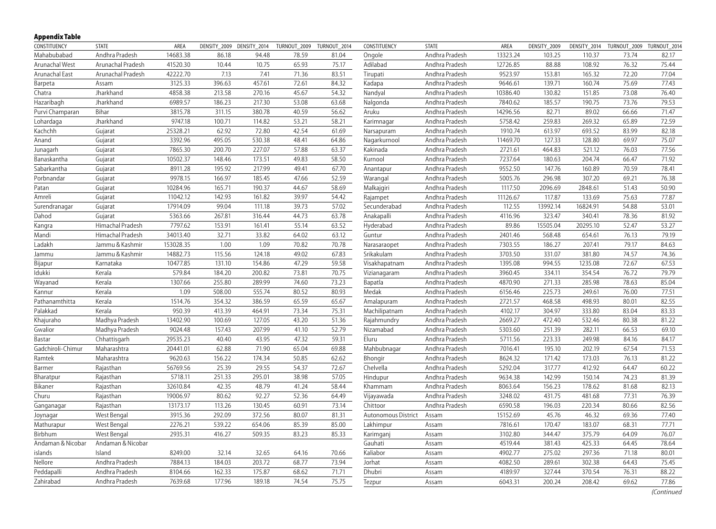# **Appendix Table**

| CONSTITUENCY      | STATE             | AREA      |        | DENSITY_2009 DENSITY_2014 | TURNOUT_2009 | TURNOUT_2014 | CONSTITUENCY        | <b>STATE</b>   | AREA     | DENSITY_2009 |          | DENSITY_2014 TURNOUT_2009 TURNOUT_2014 |       |
|-------------------|-------------------|-----------|--------|---------------------------|--------------|--------------|---------------------|----------------|----------|--------------|----------|----------------------------------------|-------|
| Mahabubabad       | Andhra Pradesh    | 14683.38  | 86.18  | 94.48                     | 78.59        | 81.04        | Ongole              | Andhra Pradesh | 13323.24 | 103.25       | 110.37   | 73.74                                  | 82.17 |
| Arunachal West    | Arunachal Pradesh | 41520.30  | 10.44  | 10.75                     | 65.93        | 75.17        | Adilabad            | Andhra Pradesh | 12726.85 | 88.88        | 108.92   | 76.32                                  | 75.44 |
| Arunachal East    | Arunachal Pradesh | 42222.70  | 7.13   | 7.41                      | 71.36        | 83.51        | Tirupati            | Andhra Pradesh | 9523.97  | 153.81       | 165.32   | 72.20                                  | 77.04 |
| Barpeta           | Assam             | 3125.33   | 396.63 | 457.61                    | 72.61        | 84.32        | Kadapa              | Andhra Pradesh | 9646.61  | 139.71       | 160.74   | 75.69                                  | 77.43 |
| Chatra            | Jharkhand         | 4858.38   | 213.58 | 270.16                    | 45.67        | 54.32        | Nandyal             | Andhra Pradesh | 10386.40 | 130.82       | 151.85   | 73.08                                  | 76.40 |
| Hazaribagh        | Jharkhand         | 6989.57   | 186.23 | 217.30                    | 53.08        | 63.68        | Nalgonda            | Andhra Pradesh | 7840.62  | 185.57       | 190.75   | 73.76                                  | 79.53 |
| Purvi Champaran   | Bihar             | 3815.78   | 311.15 | 380.78                    | 40.59        | 56.62        | Aruku               | Andhra Pradesh | 14296.56 | 82.71        | 89.02    | 66.66                                  | 71.47 |
| Lohardaga         | Jharkhand         | 9747.18   | 100.71 | 114.82                    | 53.21        | 58.21        | Karimnagar          | Andhra Pradesh | 5758.42  | 259.83       | 269.32   | 65.89                                  | 72.59 |
| Kachchh           | Gujarat           | 25328.21  | 62.92  | 72.80                     | 42.54        | 61.69        | Narsapuram          | Andhra Pradesh | 1910.74  | 613.97       | 693.52   | 83.99                                  | 82.18 |
| Anand             | Gujarat           | 3392.96   | 495.05 | 530.38                    | 48.41        | 64.86        | Nagarkurnool        | Andhra Pradesh | 11469.70 | 127.33       | 128.80   | 69.97                                  | 75.07 |
| Junagarh          | Gujarat           | 7865.30   | 200.70 | 227.07                    | 57.88        | 63.37        | Kakinada            | Andhra Pradesh | 2721.61  | 464.83       | 521.12   | 76.03                                  | 77.56 |
| Banaskantha       | Gujarat           | 10502.37  | 148.46 | 173.51                    | 49.83        | 58.50        | Kurnool             | Andhra Pradesh | 7237.64  | 180.63       | 204.74   | 66.47                                  | 71.92 |
| Sabarkantha       | Gujarat           | 8911.28   | 195.92 | 217.99                    | 49.41        | 67.70        | Anantapur           | Andhra Pradesh | 9552.50  | 147.76       | 160.89   | 70.59                                  | 78.41 |
| Porbnandar        | Gujarat           | 9978.15   | 166.97 | 185.45                    | 47.66        | 52.59        | Warangal            | Andhra Pradesh | 5005.76  | 296.98       | 307.20   | 69.21                                  | 76.38 |
| Patan             | Gujarat           | 10284.96  | 165.71 | 190.37                    | 44.67        | 58.69        | Malkajgiri          | Andhra Pradesh | 1117.50  | 2096.69      | 2848.61  | 51.43                                  | 50.90 |
| Amreli            | Gujarat           | 11042.12  | 142.93 | 161.82                    | 39.97        | 54.42        | Rajampet            | Andhra Pradesh | 11126.67 | 117.87       | 133.69   | 75.63                                  | 77.87 |
| Surendranagar     | Gujarat           | 17914.09  | 99.04  | 111.18                    | 39.73        | 57.02        | Secunderabad        | Andhra Pradesh | 112.55   | 13992.14     | 16824.91 | 54.88                                  | 53.01 |
| Dahod             | Gujarat           | 5363.66   | 267.81 | 316.44                    | 44.73        | 63.78        | Anakapalli          | Andhra Pradesh | 4116.96  | 323.47       | 340.41   | 78.36                                  | 81.92 |
| Kangra            | Himachal Pradesh  | 7797.62   | 153.91 | 161.41                    | 55.14        | 63.52        | Hyderabad           | Andhra Pradesh | 89.86    | 15505.04     | 20295.10 | 52.47                                  | 53.27 |
| Mandi             | Himachal Pradesh  | 34013.40  | 32.71  | 33.82                     | 64.02        | 63.12        | Guntur              | Andhra Pradesh | 2401.46  | 568.48       | 654.61   | 76.13                                  | 79.19 |
| Ladakh            | Jammu & Kashmir   | 153028.35 | 1.00   | 1.09                      | 70.82        | 70.78        | Narasaraopet        | Andhra Pradesh | 7303.55  | 186.27       | 207.41   | 79.17                                  | 84.63 |
| Jammu             | Jammu & Kashmir   | 14882.73  | 115.56 | 124.18                    | 49.02        | 67.83        | Srikakulam          | Andhra Pradesh | 3703.50  | 331.07       | 381.80   | 74.57                                  | 74.36 |
| Bijapur           | Karnataka         | 10477.85  | 131.10 | 154.86                    | 47.29        | 59.58        | Visakhapatnam       | Andhra Pradesh | 1395.08  | 994.55       | 1235.08  | 72.67                                  | 67.53 |
| Idukki            | Kerala            | 579.84    | 184.20 | 200.82                    | 73.81        | 70.75        | Vizianagaram        | Andhra Pradesh | 3960.45  | 334.11       | 354.54   | 76.72                                  | 79.79 |
| Wayanad           | Kerala            | 1307.66   | 255.80 | 289.99                    | 74.60        | 73.23        | Bapatla             | Andhra Pradesh | 4870.90  | 271.33       | 285.98   | 78.63                                  | 85.04 |
| Kannur            | Kerala            | 1.09      | 508.00 | 555.74                    | 80.52        | 80.93        | Medak               | Andhra Pradesh | 6156.46  | 225.73       | 249.61   | 76.00                                  | 77.51 |
| Pathanamthitta    | Kerala            | 1514.76   | 354.32 | 386.59                    | 65.59        | 65.67        | Amalapuram          | Andhra Pradesh | 2721.57  | 468.58       | 498.93   | 80.01                                  | 82.55 |
| Palakkad          | Kerala            | 950.39    | 413.39 | 464.91                    | 73.34        | 75.31        | Machilipatnam       | Andhra Pradesh | 4102.17  | 304.97       | 333.80   | 83.04                                  | 83.33 |
| Khajuraho         | Madhya Pradesh    | 13402.90  | 100.69 | 127.05                    | 43.20        | 51.36        | Rajahmundry         | Andhra Pradesh | 2669.27  | 472.40       | 532.46   | 80.38                                  | 81.22 |
| Gwalior           | Madhya Pradesh    | 9024.48   | 157.43 | 207.99                    | 41.10        | 52.79        | Nizamabad           | Andhra Pradesh | 5303.60  | 251.39       | 282.11   | 66.53                                  | 69.10 |
| Bastar            | Chhattisgarh      | 29535.23  | 40.40  | 43.95                     | 47.32        | 59.31        | Eluru               | Andhra Pradesh | 5711.56  | 223.33       | 249.98   | 84.16                                  | 84.17 |
| Gadchiroli-Chimur | Maharashtra       | 20441.01  | 62.88  | 71.90                     | 65.04        | 69.88        | Mahbubnagar         | Andhra Pradesh | 7016.41  | 195.10       | 202.19   | 67.54                                  | 71.53 |
| Ramtek            | Maharashtra       | 9620.63   | 156.22 | 174.34                    | 50.85        | 62.62        | Bhongir             | Andhra Pradesh | 8624.32  | 171.42       | 173.03   | 76.13                                  | 81.22 |
| Barmer            | Rajasthan         | 56769.56  | 25.39  | 29.55                     | 54.37        | 72.67        | Chelvella           | Andhra Pradesh | 5292.04  | 317.77       | 412.92   | 64.47                                  | 60.22 |
| Bharatpur         | Rajasthan         | 5718.11   | 251.33 | 295.01                    | 38.98        | 57.05        | Hindupur            | Andhra Pradesh | 9634.38  | 142.99       | 150.14   | 74.23                                  | 81.39 |
| Bikaner           | Rajasthan         | 32610.84  | 42.35  | 48.79                     | 41.24        | 58.44        | Khammam             | Andhra Pradesh | 8063.64  | 156.23       | 178.62   | 81.68                                  | 82.13 |
| Churu             | Rajasthan         | 19006.97  | 80.62  | 92.27                     | 52.36        | 64.49        | Vijayawada          | Andhra Pradesh | 3248.02  | 431.75       | 481.68   | 77.31                                  | 76.39 |
| Ganganagar        | Rajasthan         | 13173.17  | 113.26 | 130.45                    | 60.91        | 73.14        | Chittoor            | Andhra Pradesh | 6590.58  | 196.03       | 220.34   | 80.66                                  | 82.56 |
| Joynagar          | West Bengal       | 3915.36   | 292.09 | 372.56                    | 80.07        | 81.31        | Autonomous District | Assam          | 15152.69 | 45.76        | 46.32    | 69.36                                  | 77.40 |
| Mathurapur        | West Bengal       | 2276.21   | 539.22 | 654.06                    | 85.39        | 85.00        | Lakhimpur           | Assam          | 7816.61  | 170.47       | 183.07   | 68.31                                  | 77.71 |
| Birbhum           | West Bengal       | 2935.31   | 416.27 | 509.35                    | 83.23        | 85.33        | Karimganj           | Assam          | 3102.80  | 344.47       | 375.79   | 64.09                                  | 76.07 |
| Andaman & Nicobar | Andaman & Nicobar |           |        |                           |              |              | Gauhati             | Assam          | 4519.44  | 381.43       | 425.33   | 64.45                                  | 78.64 |
| islands           | Island            | 8249.00   | 32.14  | 32.65                     | 64.16        | 70.66        | Kaliabor            | Assam          | 4902.77  | 275.02       | 297.36   | 71.18                                  | 80.01 |
| Nellore           | Andhra Pradesh    | 7884.13   | 184.03 | 203.72                    | 68.77        | 73.94        | Jorhat              | Assam          | 4082.50  | 289.61       | 302.38   | 64.43                                  | 75.45 |
| Peddapalli        | Andhra Pradesh    | 8104.66   | 162.33 | 175.87                    | 68.62        | 71.71        | Dhubri              | Assam          | 4189.97  | 327.44       | 370.54   | 76.31                                  | 88.22 |
| Zahirabad         |                   | 7639.68   | 177.96 | 189.18                    | 74.54        | 75.75        |                     |                |          |              |          |                                        | 77.86 |
|                   | Andhra Pradesh    |           |        |                           |              |              | Tezpur              | Assam          | 6043.31  | 200.24       | 208.42   | 69.62                                  |       |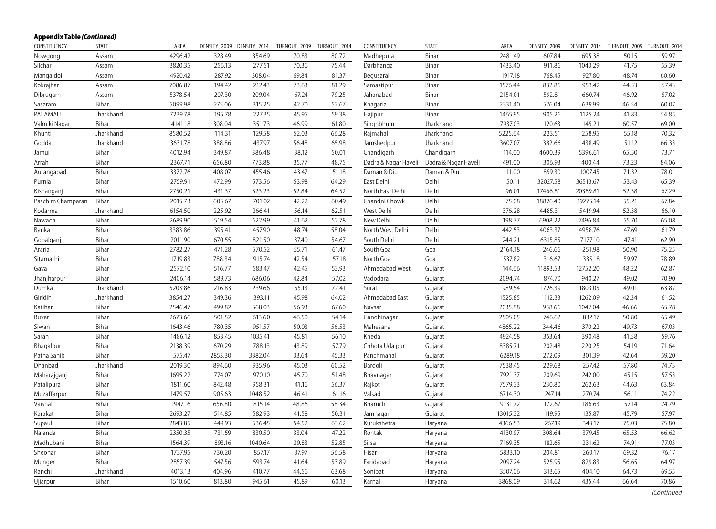| CONSTITUENCY      | <b>STATE</b> | AREA    | DENSITY 2009 | DENSITY_2014 | TURNOUT_2009 | TURNOUT_2014 | CONSTITUENCY         | <b>STATE</b>         | AREA     | DENSITY_2009 | DENSITY_2014 | TURNOUT_2009 | TURNOUT_2014 |
|-------------------|--------------|---------|--------------|--------------|--------------|--------------|----------------------|----------------------|----------|--------------|--------------|--------------|--------------|
| Nowgong           | Assam        | 4296.42 | 328.49       | 354.69       | 70.83        | 80.72        | Madhepura            | Bihar                | 2481.49  | 607.84       | 695.38       | 50.15        | 59.97        |
| Silchar           | Assam        | 3820.35 | 256.13       | 277.51       | 70.36        | 75.44        | Darbhanga            | Bihar                | 1433.40  | 911.86       | 1043.29      | 41.75        | 55.39        |
| Mangaldoi         | Assam        | 4920.42 | 287.92       | 308.04       | 69.84        | 81.37        | Begusarai            | Bihar                | 1917.18  | 768.45       | 927.80       | 48.74        | 60.60        |
| Kokrajhar         | Assam        | 7086.87 | 194.42       | 212.43       | 73.63        | 81.29        | Samastipur           | Bihar                | 1576.44  | 832.86       | 953.42       | 44.53        | 57.43        |
| Dibrugarh         | Assam        | 5378.54 | 207.30       | 209.04       | 67.24        | 79.25        | Jahanabad            | Bihar                | 2154.01  | 592.81       | 660.74       | 46.92        | 57.02        |
| Sasaram           | Bihar        | 5099.98 | 275.06       | 315.25       | 42.70        | 52.67        | Khagaria             | Bihar                | 2331.40  | 576.04       | 639.99       | 46.54        | 60.07        |
| PALAMAU           | Jharkhand    | 7239.78 | 195.78       | 227.35       | 45.95        | 59.38        | Hajipur              | Bihar                | 1465.95  | 905.26       | 1125.24      | 41.83        | 54.85        |
| Valmiki Nagar     | Bihar        | 4141.18 | 308.04       | 351.73       | 46.99        | 61.80        | Singhbhum            | Jharkhand            | 7937.03  | 120.63       | 145.21       | 60.57        | 69.00        |
| Khunti            | Jharkhand    | 8580.52 | 114.31       | 129.58       | 52.03        | 66.28        | Rajmahal             | Jharkhand            | 5225.64  | 223.51       | 258.95       | 55.18        | 70.32        |
| Godda             | Jharkhand    | 3631.78 | 388.86       | 437.97       | 56.48        | 65.98        | Jamshedpur           | Jharkhand            | 3607.07  | 382.66       | 438.49       | 51.12        | 66.33        |
| Jamui             | Bihar        | 4012.94 | 349.87       | 386.48       | 38.12        | 50.01        | Chandigarh           | Chandigarh           | 114.00   | 4600.39      | 5396.61      | 65.50        | 73.71        |
| Arrah             | Bihar        | 2367.71 | 656.80       | 773.88       | 35.77        | 48.75        | Dadra & Nagar Haveli | Dadra & Nagar Haveli | 491.00   | 306.93       | 400.44       | 73.23        | 84.06        |
| Aurangabad        | Bihar        | 3372.76 | 408.07       | 455.46       | 43.47        | 51.18        | Daman & Diu          | Daman & Diu          | 111.00   | 859.30       | 1007.45      | 71.32        | 78.01        |
| Purnia            | Bihar        | 2759.91 | 472.99       | 573.56       | 53.98        | 64.29        | East Delhi           | Delhi                | 50.11    | 32027.58     | 36513.67     | 53.43        | 65.39        |
| Kishanganj        | Bihar        | 2750.21 | 431.37       | 523.23       | 52.84        | 64.52        | North East Delhi     | Delhi                | 96.01    | 17466.81     | 20389.81     | 52.38        | 67.29        |
| Paschim Champaran | Bihar        | 2015.73 | 605.67       | 701.02       | 42.22        | 60.49        | Chandni Chowk        | Delhi                | 75.08    | 18826.40     | 19275.14     | 55.21        | 67.84        |
| Kodarma           | Jharkhand    | 6154.50 | 225.92       | 266.41       | 56.14        | 62.51        | West Delhi           | Delhi                | 376.28   | 4485.31      | 5419.94      | 52.38        | 66.10        |
| Nawada            | Bihar        | 2689.90 | 519.54       | 622.99       | 41.62        | 52.78        | New Delhi            | Delhi                | 198.77   | 6908.22      | 7496.84      | 55.70        | 65.08        |
| Banka             | Bihar        | 3383.86 | 395.41       | 457.90       | 48.74        | 58.04        | North West Delhi     | Delhi                | 442.53   | 4063.37      | 4958.76      | 47.69        | 61.79        |
| Gopalganj         | Bihar        | 2011.90 | 670.55       | 821.50       | 37.40        | 54.67        | South Delhi          | Delhi                | 244.21   | 6315.85      | 7177.10      | 47.41        | 62.90        |
| Araria            | Bihar        | 2782.27 | 471.28       | 570.52       | 55.71        | 61.47        | South Goa            | Goa                  | 2164.18  | 246.66       | 251.98       | 50.90        | 75.25        |
| Sitamarhi         | Bihar        | 1719.83 | 788.34       | 915.74       | 42.54        | 57.18        | North Goa            | Goa                  | 1537.82  | 316.67       | 335.18       | 59.97        | 78.89        |
| Gaya              | Bihar        | 2572.10 | 516.77       | 583.47       | 42.45        | 53.93        | Ahmedabad West       | Gujarat              | 144.66   | 11893.53     | 12752.20     | 48.22        | 62.87        |
| Jhanjharpur       | Bihar        | 2406.14 | 589.73       | 686.06       | 42.84        | 57.02        | Vadodara             | Gujarat              | 2094.74  | 874.70       | 940.27       | 49.02        | 70.90        |
| Dumka             | Jharkhand    | 5203.86 | 216.83       | 239.66       | 55.13        | 72.41        | Surat                | Gujarat              | 989.54   | 1726.39      | 1803.05      | 49.01        | 63.87        |
| Giridih           | Jharkhand    | 3854.27 | 349.36       | 393.11       | 45.98        | 64.02        | Ahmedabad East       | Gujarat              | 1525.85  | 1112.33      | 1262.09      | 42.34        | 61.52        |
| Katihar           | Bihar        | 2546.47 | 499.82       | 568.03       | 56.93        | 67.60        | Navsari              | Gujarat              | 2035.88  | 958.66       | 1042.04      | 46.66        | 65.78        |
| Buxar             | Bihar        | 2673.66 | 501.52       | 613.60       | 46.50        | 54.14        | Gandhinagar          | Gujarat              | 2505.05  | 746.62       | 832.17       | 50.80        | 65.49        |
| Siwan             | Bihar        | 1643.46 | 780.35       | 951.57       | 50.03        | 56.53        | Mahesana             | Gujarat              | 4865.22  | 344.46       | 370.22       | 49.73        | 67.03        |
| Saran             | Bihar        | 1486.12 | 853.45       | 1035.41      | 45.81        | 56.10        | Kheda                | Gujarat              | 4924.58  | 353.64       | 390.48       | 41.58        | 59.76        |
| Bhagalpur         | Bihar        | 2138.39 | 670.29       | 788.13       | 43.89        | 57.79        | Chhota Udaipur       | Gujarat              | 8385.71  | 202.48       | 220.25       | 54.19        | 71.64        |
| Patna Sahib       | Bihar        | 575.47  | 2853.30      | 3382.04      | 33.64        | 45.33        | Panchmahal           | Gujarat              | 6289.18  | 272.09       | 301.39       | 42.64        | 59.20        |
| Dhanbad           | Jharkhand    | 2019.30 | 894.60       | 935.96       | 45.03        | 60.52        | Bardoli              | Gujarat              | 7538.45  | 229.68       | 257.42       | 57.80        | 74.73        |
| Maharajganj       | Bihar        | 1695.22 | 774.07       | 970.10       | 45.70        | 51.48        | Bhavnagar            | Gujarat              | 7921.37  | 209.69       | 242.00       | 45.15        | 57.53        |
| Patalipura        | Bihar        | 1811.60 | 842.48       | 958.31       | 41.16        | 56.37        | Rajkot               | Gujarat              | 7579.33  | 230.80       | 262.63       | 44.63        | 63.84        |
| Muzaffarpur       | Bihar        | 1479.57 | 905.63       | 1048.52      | 46.41        | 61.16        | Valsad               | Gujarat              | 6714.30  | 247.14       | 270.74       | 56.11        | 74.22        |
| Vaishali          | Bihar        | 1947.16 | 656.80       | 815.14       | 48.86        | 58.34        | Bharuch              | Gujarat              | 9131.72  | 172.67       | 186.63       | 57.14        | 74.79        |
| Karakat           | Bihar        | 2693.27 | 514.85       | 582.93       | 41.58        | 50.31        | Jamnagar             | Gujarat              | 13015.32 | 119.95       | 135.87       | 45.79        | 57.97        |
| Supaul            | Bihar        | 2843.85 | 449.93       | 536.45       | 54.52        | 63.62        | Kurukshetra          | Haryana              | 4366.53  | 267.19       | 343.17       | 75.03        | 75.80        |
| Nalanda           | Bihar        | 2350.35 | 731.59       | 830.50       | 33.04        | 47.22        | Rohtak               | Haryana              | 4130.97  | 308.64       | 379.45       | 65.53        | 66.62        |
| Madhubani         | Bihar        | 1564.39 | 893.16       | 1040.64      | 39.83        | 52.85        | Sirsa                | Haryana              | 7169.35  | 182.65       | 231.62       | 74.91        | 77.03        |
| Sheohar           | Bihar        | 1737.95 | 730.20       | 857.17       | 37.97        | 56.58        | Hisar                | Haryana              | 5833.10  | 204.81       | 260.17       | 69.32        | 76.17        |
| Munger            | Bihar        | 2857.39 | 547.56       | 593.74       | 41.64        | 53.89        | Faridabad            | Haryana              | 2097.24  | 525.95       | 829.83       | 56.65        | 64.97        |
| Ranchi            | Jharkhand    | 4013.13 | 404.96       | 410.77       | 44.56        | 63.68        | Sonipat              | Haryana              | 3507.06  | 313.65       | 404.10       | 64.73        | 69.55        |
| Ujiarpur          | Bihar        | 1510.60 | 813.80       | 945.61       | 45.89        | 60.13        | Karnal               | Haryana              | 3868.09  | 314.62       | 435.44       | 66.64        | 70.86        |
|                   |              |         |              |              |              |              |                      |                      |          |              |              |              |              |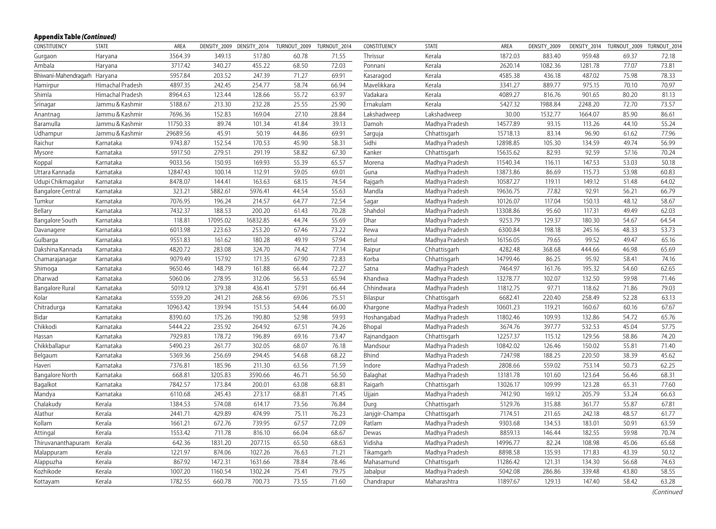| CONSTITUENCY                 | <b>STATE</b>     | AREA     | DENSITY 2009 | DENSITY 2014 | TURNOUT 2009 | TURNOUT 2014 | CONSTITUENCY   | <b>STATE</b>   | AREA     | DENSITY 2009 | DENSITY 2014 | TURNOUT 2009 | TURNOUT 2014 |
|------------------------------|------------------|----------|--------------|--------------|--------------|--------------|----------------|----------------|----------|--------------|--------------|--------------|--------------|
| Gurgaon                      | Haryana          | 3564.39  | 349.13       | 517.80       | 60.78        | 71.55        | Thrissur       | Kerala         | 1872.03  | 883.40       | 959.48       | 69.37        | 72.18        |
| Ambala                       | Haryana          | 3717.42  | 340.27       | 455.22       | 68.50        | 72.03        | Ponnani        | Kerala         | 2620.14  | 1082.36      | 1281.78      | 77.07        | 73.81        |
| Bhiwani-Mahendragarh Haryana |                  | 5957.84  | 203.52       | 247.39       | 71.27        | 69.91        | Kasaragod      | Kerala         | 4585.38  | 436.18       | 487.02       | 75.98        | 78.33        |
| Hamirpur                     | Himachal Pradesh | 4897.35  | 242.45       | 254.77       | 58.74        | 66.94        | Mavelikkara    | Kerala         | 3341.27  | 889.77       | 975.15       | 70.10        | 70.97        |
| Shimla                       | Himachal Pradesh | 8964.63  | 123.44       | 128.66       | 55.72        | 63.97        | Vadakara       | Kerala         | 4089.27  | 816.76       | 901.65       | 80.20        | 81.13        |
| Srinagar                     | Jammu & Kashmir  | 5188.67  | 213.30       | 232.28       | 25.55        | 25.90        | Ernakulam      | Kerala         | 5427.32  | 1988.84      | 2248.20      | 72.70        | 73.57        |
| Anantnag                     | Jammu & Kashmir  | 7696.36  | 152.83       | 169.04       | 27.10        | 28.84        | Lakshadweep    | Lakshadweep    | 30.00    | 1532.77      | 1664.07      | 85.90        | 86.61        |
| Baramulla                    | Jammu & Kashmir  | 11750.33 | 89.74        | 101.34       | 41.84        | 39.13        | Damoh          | Madhya Pradesh | 14577.89 | 93.15        | 113.26       | 44.10        | 55.24        |
| Udhampur                     | Jammu & Kashmir  | 29689.56 | 45.91        | 50.19        | 44.86        | 69.91        | Sarguja        | Chhattisgarh   | 15718.13 | 83.14        | 96.90        | 61.62        | 77.96        |
| Raichur                      | Karnataka        | 9743.87  | 152.54       | 170.53       | 45.90        | 58.31        | Sidhi          | Madhya Pradesh | 12898.85 | 105.30       | 134.59       | 49.74        | 56.99        |
| Mysore                       | Karnataka        | 5917.50  | 279.51       | 291.19       | 58.82        | 67.30        | Kanker         | Chhattisgarh   | 15635.62 | 82.93        | 92.59        | 57.16        | 70.24        |
| Koppal                       | Karnataka        | 9033.56  | 150.93       | 169.93       | 55.39        | 65.57        | Morena         | Madhya Pradesh | 11540.34 | 116.11       | 147.53       | 53.03        | 50.18        |
| Uttara Kannada               | Karnataka        | 12847.43 | 100.14       | 112.91       | 59.05        | 69.01        | Guna           | Madhya Pradesh | 13873.86 | 86.69        | 115.73       | 53.98        | 60.83        |
| Udupi Chikmagalur            | Karnataka        | 8478.07  | 144.41       | 163.63       | 68.15        | 74.54        | Rajgarh        | Madhya Pradesh | 10587.27 | 119.11       | 149.12       | 51.48        | 64.02        |
| <b>Bangalore Central</b>     | Karnataka        | 323.21   | 5882.61      | 5976.41      | 44.54        | 55.63        | Mandla         | Madhya Pradesh | 19636.75 | 77.82        | 92.91        | 56.21        | 66.79        |
| Tumkur                       | Karnataka        | 7076.95  | 196.24       | 214.57       | 64.77        | 72.54        | Sagar          | Madhya Pradesh | 10126.07 | 117.04       | 150.13       | 48.12        | 58.67        |
| Bellary                      | Karnataka        | 7432.37  | 188.53       | 200.20       | 61.43        | 70.28        | Shahdol        | Madhya Pradesh | 13308.86 | 95.60        | 117.31       | 49.49        | 62.03        |
| <b>Bangalore South</b>       | Karnataka        | 118.81   | 17095.02     | 16832.85     | 44.74        | 55.69        | Dhar           | Madhya Pradesh | 9253.79  | 129.37       | 180.30       | 54.67        | 64.54        |
| Davanagere                   | Karnataka        | 6013.98  | 223.63       | 253.20       | 67.46        | 73.22        | Rewa           | Madhya Pradesh | 6300.84  | 198.18       | 245.16       | 48.33        | 53.73        |
| Gulbarga                     | Karnataka        | 9551.83  | 161.62       | 180.28       | 49.19        | 57.94        | Betul          | Madhya Pradesh | 16156.05 | 79.65        | 99.52        | 49.47        | 65.16        |
| Dakshina Kannada             | Karnataka        | 4820.72  | 283.08       | 324.70       | 74.42        | 77.14        | Raipur         | Chhattisgarh   | 4282.48  | 368.68       | 444.66       | 46.98        | 65.69        |
| Chamarajanagar               | Karnataka        | 9079.49  | 157.92       | 171.35       | 67.90        | 72.83        | Korba          | Chhattisgarh   | 14799.46 | 86.25        | 95.92        | 58.41        | 74.16        |
| Shimoga                      | Karnataka        | 9650.46  | 148.79       | 161.88       | 66.44        | 72.27        | Satna          | Madhya Pradesh | 7464.97  | 161.76       | 195.32       | 54.60        | 62.65        |
| Dharwad                      | Karnataka        | 5060.06  | 278.95       | 312.06       | 56.53        | 65.94        | Khandwa        | Madhya Pradesh | 13278.77 | 102.07       | 132.50       | 59.98        | 71.46        |
| Bangalore Rural              | Karnataka        | 5019.12  | 379.38       | 436.41       | 57.91        | 66.44        | Chhindwara     | Madhya Pradesh | 11812.75 | 97.71        | 118.62       | 71.86        | 79.03        |
| Kolar                        | Karnataka        | 5559.20  | 241.21       | 268.56       | 69.06        | 75.51        | Bilaspur       | Chhattisgarh   | 6682.41  | 220.40       | 258.49       | 52.28        | 63.13        |
| Chitradurga                  | Karnataka        | 10963.42 | 139.94       | 151.53       | 54.44        | 66.00        | Khargone       | Madhya Pradesh | 10601.23 | 119.21       | 160.67       | 60.16        | 67.67        |
| Bidar                        | Karnataka        | 8390.60  | 175.26       | 190.80       | 52.98        | 59.93        | Hoshangabad    | Madhya Pradesh | 11802.46 | 109.93       | 132.86       | 54.72        | 65.76        |
| Chikkodi                     | Karnataka        | 5444.22  | 235.92       | 264.92       | 67.51        | 74.26        | Bhopal         | Madhya Pradesh | 3674.76  | 397.77       | 532.53       | 45.04        | 57.75        |
| Hassan                       | Karnataka        | 7929.83  | 178.72       | 196.89       | 69.16        | 73.47        | Rajnandgaon    | Chhattisgarh   | 12257.37 | 115.12       | 129.56       | 58.86        | 74.20        |
| Chikkballapur                | Karnataka        | 5490.23  | 261.77       | 302.05       | 68.07        | 76.18        | Mandsour       | Madhya Pradesh | 10842.02 | 126.46       | 150.02       | 55.81        | 71.40        |
| Belgaum                      | Karnataka        | 5369.36  | 256.69       | 294.45       | 54.68        | 68.22        | Bhind          | Madhya Pradesh | 7247.98  | 188.25       | 220.50       | 38.39        | 45.62        |
| Haveri                       | Karnataka        | 7376.81  | 185.96       | 211.30       | 63.56        | 71.59        | Indore         | Madhya Pradesh | 2808.66  | 559.02       | 753.14       | 50.73        | 62.25        |
| <b>Bangalore North</b>       | Karnataka        | 668.81   | 3205.83      | 3590.66      | 46.71        | 56.50        | Balaghat       | Madhya Pradesh | 13181.78 | 101.60       | 123.64       | 56.46        | 68.31        |
| Bagalkot                     | Karnataka        | 7842.57  | 173.84       | 200.01       | 63.08        | 68.81        | Raigarh        | Chhattisgarh   | 13026.17 | 109.99       | 123.28       | 65.31        | 77.60        |
| Mandya                       | Karnataka        | 6110.68  | 245.43       | 273.17       | 68.81        | 71.45        | Ujjain         | Madhya Pradesh | 7412.90  | 169.12       | 205.79       | 53.24        | 66.63        |
| Chalakudy                    | Kerala           | 1384.53  | 574.08       | 614.17       | 73.56        | 76.84        | Durg           | Chhattisgarh   | 5129.76  | 315.88       | 361.77       | 55.87        | 67.81        |
| Alathur                      | Kerala           | 2441.71  | 429.89       | 474.99       | 75.11        | 76.23        | Janjgir-Champa | Chhattisgarh   | 7174.51  | 211.65       | 242.18       | 48.57        | 61.77        |
| Kollam                       | Kerala           | 1661.21  | 672.76       | 739.95       | 67.57        | 72.09        | Ratlam         | Madhya Pradesh | 9303.68  | 134.53       | 183.01       | 50.91        | 63.59        |
| Attingal                     | Kerala           | 1553.42  | 711.78       | 816.10       | 66.04        | 68.67        | Dewas          | Madhya Pradesh | 8859.13  | 146.44       | 182.55       | 59.98        | 70.74        |
| Thiruvananthapuram           | Kerala           | 642.36   | 1831.20      | 2077.15      | 65.50        | 68.63        | Vidisha        | Madhya Pradesh | 14996.77 | 82.24        | 108.98       | 45.06        | 65.68        |
| Malappuram                   | Kerala           | 1221.97  | 874.06       | 1027.26      | 76.63        | 71.21        | Tikamgarh      | Madhya Pradesh | 8898.58  | 135.93       | 171.83       | 43.39        | 50.12        |
| Alappuzha                    | Kerala           | 867.92   | 1472.31      | 1631.66      | 78.84        | 78.46        | Mahasamund     | Chhattisgarh   | 11286.42 | 121.31       | 134.30       | 56.68        | 74.63        |
| Kozhikode                    | Kerala           | 1007.20  | 1160.54      | 1302.24      | 75.41        | 79.75        | Jabalpur       | Madhya Pradesh | 5042.08  | 286.86       | 339.48       | 43.80        | 58.55        |
| Kottayam                     | Kerala           | 1782.55  | 660.78       | 700.73       | 73.55        | 71.60        | Chandrapur     | Maharashtra    | 11897.67 | 129.13       | 147.40       | 58.42        | 63.28        |
|                              |                  |          |              |              |              |              |                |                |          |              |              |              |              |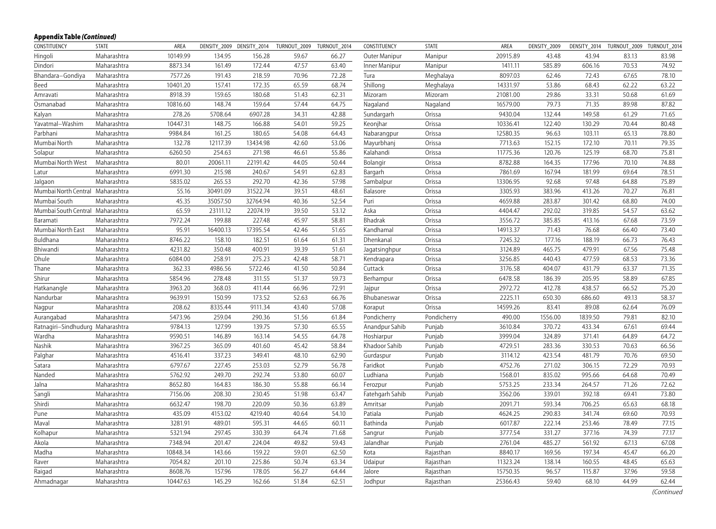| CONSTITUENCY                     | <b>STATE</b> | AREA     |          | DENSITY_2009 DENSITY_2014 | TURNOUT_2009 | TURNOUT 2014 | CONSTITUENCY    | <b>STATE</b> | AREA     | DENSITY 2009 | DENSITY_2014 | TURNOUT_2009 TURNOUT_2014 |       |
|----------------------------------|--------------|----------|----------|---------------------------|--------------|--------------|-----------------|--------------|----------|--------------|--------------|---------------------------|-------|
| Hingoli                          | Maharashtra  | 10149.99 | 134.95   | 156.28                    | 59.67        | 66.27        | Outer Manipur   | Manipur      | 20915.89 | 43.48        | 43.94        | 83.13                     | 83.98 |
| Dindori                          | Maharashtra  | 8873.34  | 161.49   | 172.44                    | 47.57        | 63.40        | Inner Manipur   | Manipur      | 1411.11  | 585.89       | 606.16       | 70.53                     | 74.92 |
| Bhandara-Gondiya                 | Maharashtra  | 7577.26  | 191.43   | 218.59                    | 70.96        | 72.28        | Tura            | Meghalaya    | 8097.03  | 62.46        | 72.43        | 67.65                     | 78.10 |
| Beed                             | Maharashtra  | 10401.20 | 157.41   | 172.35                    | 65.59        | 68.74        | Shillong        | Meghalaya    | 14331.97 | 53.86        | 68.43        | 62.22                     | 63.22 |
| Amravati                         | Maharashtra  | 8918.39  | 159.65   | 180.68                    | 51.43        | 62.31        | Mizoram         | Mizoram      | 21081.00 | 29.86        | 33.31        | 50.68                     | 61.69 |
| Osmanabad                        | Maharashtra  | 10816.60 | 148.74   | 159.64                    | 57.44        | 64.75        | Nagaland        | Nagaland     | 16579.00 | 79.73        | 71.35        | 89.98                     | 87.82 |
| Kalyan                           | Maharashtra  | 278.26   | 5708.64  | 6907.28                   | 34.31        | 42.88        | Sundargarh      | Orissa       | 9430.04  | 132.44       | 149.58       | 61.29                     | 71.65 |
| Yavatmal-Washim                  | Maharashtra  | 10447.31 | 148.75   | 166.88                    | 54.01        | 59.25        | Keonjhar        | Orissa       | 10336.41 | 122.40       | 130.29       | 70.44                     | 80.48 |
| Parbhani                         | Maharashtra  | 9984.84  | 161.25   | 180.65                    | 54.08        | 64.43        | Nabarangpur     | Orissa       | 12580.35 | 96.63        | 103.11       | 65.13                     | 78.80 |
| Mumbai North                     | Maharashtra  | 132.78   | 12117.39 | 13434.98                  | 42.60        | 53.06        | Mayurbhanj      | Orissa       | 7713.63  | 152.15       | 172.10       | 70.11                     | 79.35 |
| Solapur                          | Maharashtra  | 6260.50  | 254.63   | 271.98                    | 46.61        | 55.86        | Kalahandi       | Orissa       | 11775.36 | 120.76       | 125.19       | 68.70                     | 75.81 |
| Mumbai North West                | Maharashtra  | 80.01    | 20061.11 | 22191.42                  | 44.05        | 50.44        | Bolangir        | Orissa       | 8782.88  | 164.35       | 177.96       | 70.10                     | 74.88 |
| Latur                            | Maharashtra  | 6991.30  | 215.98   | 240.67                    | 54.91        | 62.83        | Bargarh         | Orissa       | 7861.69  | 167.94       | 181.99       | 69.64                     | 78.51 |
| Jalgaon                          | Maharashtra  | 5835.02  | 265.53   | 292.70                    | 42.36        | 57.98        | Sambalpur       | Orissa       | 13306.95 | 92.68        | 97.48        | 64.88                     | 75.89 |
| Mumbai North Central Maharashtra |              | 55.16    | 30491.09 | 31522.74                  | 39.51        | 48.61        | Balasore        | Orissa       | 3305.93  | 383.96       | 413.26       | 70.27                     | 76.81 |
| Mumbai South                     | Maharashtra  | 45.35    | 35057.50 | 32764.94                  | 40.36        | 52.54        | Puri            | Orissa       | 4659.88  | 283.87       | 301.42       | 68.80                     | 74.00 |
| Mumbai South Central Maharashtra |              | 65.59    | 23111.12 | 22074.19                  | 39.50        | 53.12        | Aska            | Orissa       | 4404.47  | 292.02       | 319.85       | 54.57                     | 63.62 |
| Baramati                         | Maharashtra  | 7972.24  | 199.88   | 227.48                    | 45.97        | 58.81        | Bhadrak         | Orissa       | 3556.72  | 385.85       | 413.16       | 67.68                     | 73.59 |
| Mumbai North East                | Maharashtra  | 95.91    | 16400.13 | 17395.54                  | 42.46        | 51.65        | Kandhamal       | Orissa       | 14913.37 | 71.43        | 76.68        | 66.40                     | 73.40 |
| Buldhana                         | Maharashtra  | 8746.22  | 158.10   | 182.51                    | 61.64        | 61.31        | Dhenkanal       | Orissa       | 7245.32  | 177.16       | 188.19       | 66.73                     | 76.43 |
| Bhiwandi                         | Maharashtra  | 4231.82  | 350.48   | 400.91                    | 39.39        | 51.61        | Jagatsinghpur   | Orissa       | 3124.89  | 465.75       | 479.91       | 67.56                     | 75.48 |
| Dhule                            | Maharashtra  | 6084.00  | 258.91   | 275.23                    | 42.48        | 58.71        | Kendrapara      | Orissa       | 3256.85  | 440.43       | 477.59       | 68.53                     | 73.36 |
| Thane                            | Maharashtra  | 362.33   | 4986.56  | 5722.46                   | 41.50        | 50.84        | Cuttack         | Orissa       | 3176.58  | 404.07       | 431.79       | 63.37                     | 71.35 |
| Shirur                           | Maharashtra  | 5854.96  | 278.48   | 311.55                    | 51.37        | 59.73        | Berhampur       | Orissa       | 6478.58  | 186.39       | 205.95       | 58.89                     | 67.85 |
| Hatkanangle                      | Maharashtra  | 3963.20  | 368.03   | 411.44                    | 66.96        | 72.91        | Jajpur          | Orissa       | 2972.72  | 412.78       | 438.57       | 66.52                     | 75.20 |
| Nandurbar                        | Maharashtra  | 9639.91  | 150.99   | 173.52                    | 52.63        | 66.76        | Bhubaneswar     | Orissa       | 2225.11  | 650.30       | 686.60       | 49.13                     | 58.37 |
| Nagpur                           | Maharashtra  | 208.62   | 8335.44  | 9111.34                   | 43.40        | 57.08        | Koraput         | Orissa       | 14599.26 | 83.41        | 89.08        | 62.64                     | 76.09 |
| Aurangabad                       | Maharashtra  | 5473.96  | 259.04   | 290.36                    | 51.56        | 61.84        | Pondicherry     | Pondicherry  | 490.00   | 1556.00      | 1839.50      | 79.81                     | 82.10 |
| Ratnagiri-Sindhudurg Maharashtra |              | 9784.13  | 127.99   | 139.75                    | 57.30        | 65.55        | Anandpur Sahib  | Punjab       | 3610.84  | 370.72       | 433.34       | 67.61                     | 69.44 |
| Wardha                           | Maharashtra  | 9590.51  | 146.89   | 163.14                    | 54.55        | 64.78        | Hoshiarpur      | Punjab       | 3999.04  | 324.89       | 371.41       | 64.89                     | 64.72 |
| Nashik                           | Maharashtra  | 3967.25  | 365.09   | 401.60                    | 45.42        | 58.84        | Khadoor Sahib   | Punjab       | 4729.51  | 283.36       | 330.53       | 70.63                     | 66.56 |
| Palghar                          | Maharashtra  | 4516.41  | 337.23   | 349.41                    | 48.10        | 62.90        | Gurdaspur       | Punjab       | 3114.12  | 423.54       | 481.79       | 70.76                     | 69.50 |
| Satara                           | Maharashtra  | 6797.67  | 227.45   | 253.03                    | 52.79        | 56.78        | Faridkot        | Punjab       | 4752.76  | 271.02       | 306.15       | 72.29                     | 70.93 |
| Nanded                           | Maharashtra  | 5762.92  | 249.70   | 292.74                    | 53.80        | 60.07        | Ludhiana        | Punjab       | 1568.01  | 835.02       | 995.66       | 64.68                     | 70.49 |
| Jalna                            | Maharashtra  | 8652.80  | 164.83   | 186.30                    | 55.88        | 66.14        | Ferozpur        | Punjab       | 5753.25  | 233.34       | 264.57       | 71.26                     | 72.62 |
| Sangli                           | Maharashtra  | 7156.06  | 208.30   | 230.45                    | 51.98        | 63.47        | Fatehgarh Sahib | Punjab       | 3562.06  | 339.01       | 392.18       | 69.41                     | 73.80 |
| Shirdi                           | Maharashtra  | 6632.47  | 198.70   | 220.09                    | 50.36        | 63.89        | Amritsar        | Punjab       | 2091.71  | 593.34       | 706.25       | 65.63                     | 68.18 |
| Pune                             | Maharashtra  | 435.09   | 4153.02  | 4219.40                   | 40.64        | 54.10        | Patiala         | Punjab       | 4624.25  | 290.83       | 341.74       | 69.60                     | 70.93 |
| Maval                            | Maharashtra  | 3281.91  | 489.01   | 595.31                    | 44.65        | 60.11        | Bathinda        | Punjab       | 6017.87  | 222.14       | 253.46       | 78.49                     | 77.15 |
| Kolhapur                         | Maharashtra  | 5321.94  | 297.45   | 330.39                    | 64.74        | 71.68        | Sangrur         | Punjab       | 3777.54  | 331.27       | 377.16       | 74.39                     | 77.17 |
| Akola                            | Maharashtra  | 7348.94  | 201.47   | 224.04                    | 49.82        | 59.43        | Jalandhar       | Punjab       | 2761.04  | 485.27       | 561.92       | 67.13                     | 67.08 |
| Madha                            | Maharashtra  | 10848.34 | 143.66   | 159.22                    | 59.01        | 62.50        | Kota            | Rajasthan    | 8840.17  | 169.56       | 197.34       | 45.47                     | 66.20 |
| Raver                            | Maharashtra  | 7054.82  | 201.10   | 225.86                    | 50.74        | 63.34        | Udaipur         | Rajasthan    | 11323.24 | 138.14       | 160.55       | 48.45                     | 65.63 |
| Raigad                           | Maharashtra  | 8608.76  | 157.96   | 178.05                    | 56.27        | 64.44        | Jalore          | Rajasthan    | 15750.35 | 96.57        | 115.87       | 37.96                     | 59.58 |
| Ahmadnagar                       | Maharashtra  | 10447.63 | 145.29   | 162.66                    | 51.84        | 62.51        | Jodhpur         | Rajasthan    | 25366.43 | 59.40        | 68.10        | 44.99                     | 62.44 |
|                                  |              |          |          |                           |              |              |                 |              |          |              |              |                           |       |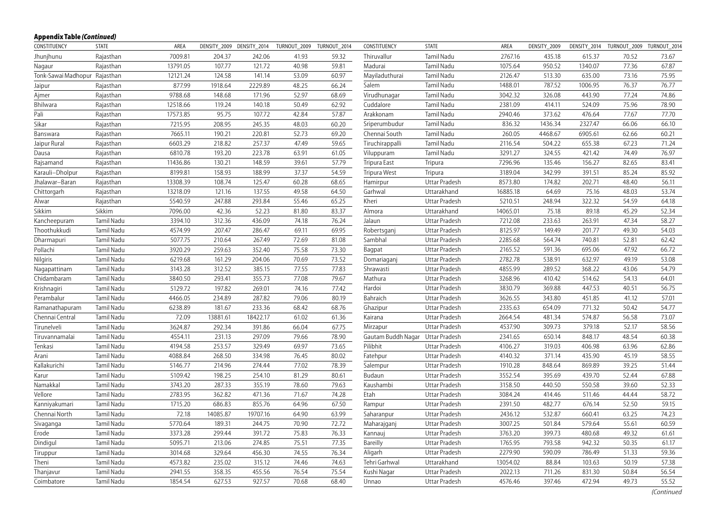| CONSTITUENCY                  | <b>STATE</b> | AREA     | DENSITY_2009 DENSITY_2014 |          | TURNOUT_2009 | TURNOUT_2014 | CONSTITUENCY                     | <b>STATE</b>  | AREA     | DENSITY_2009 |         | DENSITY_2014 TURNOUT_2009 TURNOUT_2014 |       |
|-------------------------------|--------------|----------|---------------------------|----------|--------------|--------------|----------------------------------|---------------|----------|--------------|---------|----------------------------------------|-------|
| Jhunjhunu                     | Rajasthan    | 7009.81  | 204.37                    | 242.06   | 41.93        | 59.32        | Thiruvallur                      | Tamil Nadu    | 2767.16  | 435.18       | 615.37  | 70.52                                  | 73.67 |
| Nagaur                        | Rajasthan    | 13791.05 | 107.77                    | 121.72   | 40.98        | 59.81        | Madurai                          | Tamil Nadu    | 1075.64  | 950.52       | 1340.07 | 77.36                                  | 67.87 |
| Tonk-Sawai Madhopur Rajasthan |              | 12121.24 | 124.58                    | 141.14   | 53.09        | 60.97        | Mayiladuthurai                   | Tamil Nadu    | 2126.47  | 513.30       | 635.00  | 73.16                                  | 75.95 |
| Jaipur                        | Rajasthan    | 877.99   | 1918.64                   | 2229.89  | 48.25        | 66.24        | Salem                            | Tamil Nadu    | 1488.01  | 787.52       | 1006.95 | 76.37                                  | 76.77 |
| Ajmer                         | Rajasthan    | 9788.68  | 148.68                    | 171.96   | 52.97        | 68.69        | Virudhunagar                     | Tamil Nadu    | 3042.32  | 326.08       | 443.90  | 77.24                                  | 74.86 |
| Bhilwara                      | Rajasthan    | 12518.66 | 119.24                    | 140.18   | 50.49        | 62.92        | Cuddalore                        | Tamil Nadu    | 2381.09  | 414.11       | 524.09  | 75.96                                  | 78.90 |
| Pali                          | Rajasthan    | 17573.85 | 95.75                     | 107.72   | 42.84        | 57.87        | Arakkonam                        | Tamil Nadu    | 2940.46  | 373.62       | 476.64  | 77.67                                  | 77.70 |
| Sikar                         | Rajasthan    | 7215.95  | 208.95                    | 245.35   | 48.03        | 60.20        | Sriperumbudur                    | Tamil Nadu    | 836.32   | 1436.34      | 2327.47 | 66.06                                  | 66.10 |
| Banswara                      | Rajasthan    | 7665.11  | 190.21                    | 220.81   | 52.73        | 69.20        | Chennai South                    | Tamil Nadu    | 260.05   | 4468.67      | 6905.61 | 62.66                                  | 60.21 |
| Jaipur Rural                  | Rajasthan    | 6603.29  | 218.82                    | 257.37   | 47.49        | 59.65        | Tiruchirappalli                  | Tamil Nadu    | 2116.54  | 504.22       | 655.38  | 67.23                                  | 71.24 |
| Dausa                         | Rajasthan    | 6810.78  | 193.20                    | 223.78   | 63.91        | 61.05        | Viluppuram                       | Tamil Nadu    | 3291.27  | 324.55       | 421.42  | 74.49                                  | 76.97 |
| Rajsamand                     | Rajasthan    | 11436.86 | 130.21                    | 148.59   | 39.61        | 57.79        | Tripura East                     | Tripura       | 7296.96  | 135.46       | 156.27  | 82.65                                  | 83.41 |
| Karauli-Dholpur               | Rajasthan    | 8199.81  | 158.93                    | 188.99   | 37.37        | 54.59        | Tripura West                     | Tripura       | 3189.04  | 342.99       | 391.51  | 85.24                                  | 85.92 |
| Jhalawar-Baran                | Rajasthan    | 13308.39 | 108.74                    | 125.47   | 60.28        | 68.65        | Hamirpur                         | Uttar Pradesh | 8573.80  | 174.82       | 202.71  | 48.40                                  | 56.11 |
| Chittorgarh                   | Rajasthan    | 13218.09 | 121.16                    | 137.55   | 49.58        | 64.50        | Garhwal                          | Uttarakhand   | 16885.18 | 64.69        | 75.16   | 48.03                                  | 53.74 |
| Alwar                         | Rajasthan    | 5540.59  | 247.88                    | 293.84   | 55.46        | 65.25        | Kheri                            | Uttar Pradesh | 5210.51  | 248.94       | 322.32  | 54.59                                  | 64.18 |
| Sikkim                        | Sikkim       | 7096.00  | 42.36                     | 52.23    | 81.80        | 83.37        | Almora                           | Uttarakhand   | 14065.01 | 75.18        | 89.18   | 45.29                                  | 52.34 |
| Kancheepuram                  | Tamil Nadu   | 3394.10  | 312.36                    | 436.09   | 74.18        | 76.24        | Jalaun                           | Uttar Pradesh | 7212.08  | 233.63       | 263.91  | 47.34                                  | 58.27 |
| Thoothukkudi                  | Tamil Nadu   | 4574.99  | 207.47                    | 286.47   | 69.11        | 69.95        | Robertsganj                      | Uttar Pradesh | 8125.97  | 149.49       | 201.77  | 49.30                                  | 54.03 |
| Dharmapuri                    | Tamil Nadu   | 5077.75  | 210.64                    | 267.49   | 72.69        | 81.08        | Sambhal                          | Uttar Pradesh | 2285.68  | 564.74       | 740.81  | 52.81                                  | 62.42 |
| Pollachi                      | Tamil Nadu   | 3920.29  | 259.63                    | 352.40   | 75.58        | 73.30        | Bagpat                           | Uttar Pradesh | 2165.52  | 591.36       | 695.06  | 47.92                                  | 66.72 |
| Nilgiris                      | Tamil Nadu   | 6219.68  | 161.29                    | 204.06   | 70.69        | 73.52        | Domariaganj                      | Uttar Pradesh | 2782.78  | 538.91       | 632.97  | 49.19                                  | 53.08 |
| Nagapattinam                  | Tamil Nadu   | 3143.28  | 312.52                    | 385.15   | 77.55        | 77.83        | Shrawasti                        | Uttar Pradesh | 4855.99  | 289.52       | 368.22  | 43.06                                  | 54.79 |
| Chidambaram                   | Tamil Nadu   | 3840.50  | 293.41                    | 355.73   | 77.08        | 79.67        | Mathura                          | Uttar Pradesh | 3268.96  | 410.42       | 514.62  | 54.13                                  | 64.01 |
| Krishnagiri                   | Tamil Nadu   | 5129.72  | 197.82                    | 269.01   | 74.16        | 77.42        | Hardoi                           | Uttar Pradesh | 3830.79  | 369.88       | 447.53  | 40.51                                  | 56.75 |
| Perambalur                    | Tamil Nadu   | 4466.05  | 234.89                    | 287.82   | 79.06        | 80.19        | Bahraich                         | Uttar Pradesh | 3626.55  | 343.80       | 451.85  | 41.12                                  | 57.01 |
| Ramanathapuram                | Tamil Nadu   | 6238.89  | 181.67                    | 233.36   | 68.42        | 68.76        | Ghazipur                         | Uttar Pradesh | 2335.63  | 654.09       | 771.32  | 50.42                                  | 54.77 |
| Chennai Central               | Tamil Nadu   | 72.09    | 13881.61                  | 18422.17 | 61.02        | 61.36        | Kairana                          | Uttar Pradesh | 2664.54  | 481.34       | 574.87  | 56.58                                  | 73.07 |
| Tirunelveli                   | Tamil Nadu   | 3624.87  | 292.34                    | 391.86   | 66.04        | 67.75        | Mirzapur                         | Uttar Pradesh | 4537.90  | 309.73       | 379.18  | 52.17                                  | 58.56 |
| Tiruvannamalai                | Tamil Nadu   | 4554.11  | 231.13                    | 297.09   | 79.66        | 78.90        | Gautam Buddh Nagar Uttar Pradesh |               | 2341.65  | 650.14       | 848.17  | 48.54                                  | 60.38 |
| Tenkasi                       | Tamil Nadu   | 4194.58  | 253.57                    | 329.49   | 69.97        | 73.65        | Pilibhit                         | Uttar Pradesh | 4106.27  | 319.03       | 406.98  | 63.96                                  | 62.86 |
| Arani                         | Tamil Nadu   | 4088.84  | 268.50                    | 334.98   | 76.45        | 80.02        | Fatehpur                         | Uttar Pradesh | 4140.32  | 371.14       | 435.90  | 45.19                                  | 58.55 |
| Kallakurichi                  | Tamil Nadu   | 5146.77  | 214.96                    | 274.44   | 77.02        | 78.39        | Salempur                         | Uttar Pradesh | 1910.28  | 848.64       | 869.89  | 39.25                                  | 51.44 |
| Karur                         | Tamil Nadu   | 5109.42  | 198.25                    | 254.10   | 81.29        | 80.61        | Budaun                           | Uttar Pradesh | 3552.54  | 395.69       | 439.70  | 52.44                                  | 67.88 |
| Namakkal                      | Tamil Nadu   | 3743.20  | 287.33                    | 355.19   | 78.60        | 79.63        | Kaushambi                        | Uttar Pradesh | 3158.50  | 440.50       | 550.58  | 39.60                                  | 52.33 |
| Vellore                       | Tamil Nadu   | 2783.95  | 362.82                    | 471.36   | 71.67        | 74.28        | Etah                             | Uttar Pradesh | 3084.24  | 414.46       | 511.46  | 44.44                                  | 58.72 |
| Kanniyakumari                 | Tamil Nadu   | 1715.20  | 686.83                    | 855.76   | 64.96        | 67.50        | Rampur                           | Uttar Pradesh | 2391.50  | 482.77       | 676.14  | 52.50                                  | 59.15 |
| Chennai North                 | Tamil Nadu   | 72.18    | 14085.87                  | 19707.16 | 64.90        | 63.99        | Saharanpur                       | Uttar Pradesh | 2436.12  | 532.87       | 660.41  | 63.25                                  | 74.23 |
| Sivaganga                     | Tamil Nadu   | 5770.64  | 189.31                    | 244.75   | 70.90        | 72.72        | Maharajganj                      | Uttar Pradesh | 3007.25  | 501.84       | 579.64  | 55.61                                  | 60.59 |
| Erode                         | Tamil Nadu   | 3373.28  | 299.44                    | 391.72   | 75.83        | 76.33        | Kannauj                          | Uttar Pradesh | 3763.20  | 399.73       | 480.68  | 49.32                                  | 61.61 |
| Dindigul                      | Tamil Nadu   | 5095.71  | 213.06                    | 274.85   | 75.51        | 77.35        | Bareilly                         | Uttar Pradesh | 1765.95  | 793.58       | 942.32  | 50.35                                  | 61.17 |
| Tiruppur                      | Tamil Nadu   | 3014.68  | 329.64                    | 456.30   | 74.55        | 76.34        | Aligarh                          | Uttar Pradesh | 2279.90  | 590.09       | 786.49  | 51.33                                  | 59.36 |
| Theni                         | Tamil Nadu   | 4573.82  | 235.02                    | 315.12   | 74.46        | 74.63        | Tehri Garhwal                    | Uttarakhand   | 13054.02 | 88.84        | 103.63  | 50.19                                  | 57.38 |
| Thanjavur                     | Tamil Nadu   | 2941.55  | 358.35                    | 455.56   | 76.54        | 75.54        | Kushi Nagar                      | Uttar Pradesh | 2022.13  | 711.26       | 831.30  | 50.84                                  | 56.54 |
| Coimbatore                    | Tamil Nadu   | 1854.54  | 627.53                    | 927.57   | 70.68        | 68.40        | Unnao                            | Uttar Pradesh | 4576.46  | 397.46       | 472.94  | 49.73                                  | 55.52 |